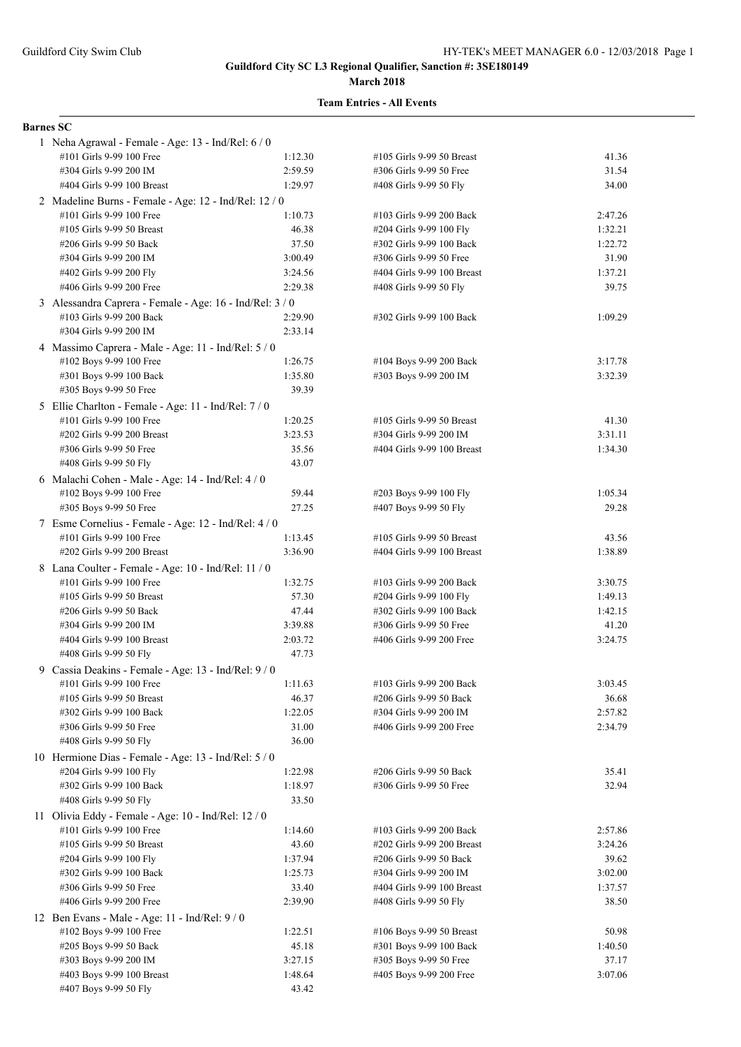#### **March 2018**

| <b>Barnes SC</b> |                                                          |         |                                                     |         |
|------------------|----------------------------------------------------------|---------|-----------------------------------------------------|---------|
|                  | 1 Neha Agrawal - Female - Age: 13 - Ind/Rel: 6 / 0       |         |                                                     |         |
|                  | #101 Girls 9-99 100 Free                                 | 1:12.30 | #105 Girls 9-99 50 Breast                           | 41.36   |
|                  | #304 Girls 9-99 200 IM                                   | 2:59.59 | #306 Girls 9-99 50 Free                             | 31.54   |
|                  | #404 Girls 9-99 100 Breast                               | 1:29.97 | #408 Girls 9-99 50 Fly                              | 34.00   |
|                  | 2 Madeline Burns - Female - Age: 12 - Ind/Rel: 12 / 0    |         |                                                     |         |
|                  | #101 Girls 9-99 100 Free                                 | 1:10.73 | #103 Girls 9-99 200 Back                            | 2:47.26 |
|                  | #105 Girls 9-99 50 Breast                                | 46.38   | #204 Girls 9-99 100 Fly                             | 1:32.21 |
|                  | #206 Girls 9-99 50 Back                                  | 37.50   | #302 Girls 9-99 100 Back                            | 1:22.72 |
|                  | #304 Girls 9-99 200 IM                                   | 3:00.49 | #306 Girls 9-99 50 Free                             | 31.90   |
|                  | #402 Girls 9-99 200 Fly                                  | 3:24.56 | #404 Girls 9-99 100 Breast                          | 1:37.21 |
|                  | #406 Girls 9-99 200 Free                                 | 2:29.38 | #408 Girls 9-99 50 Fly                              | 39.75   |
|                  | 3 Alessandra Caprera - Female - Age: 16 - Ind/Rel: 3 / 0 |         |                                                     |         |
|                  | #103 Girls 9-99 200 Back                                 | 2:29.90 | #302 Girls 9-99 100 Back                            | 1:09.29 |
|                  | #304 Girls 9-99 200 IM                                   | 2:33.14 |                                                     |         |
|                  | 4 Massimo Caprera - Male - Age: 11 - Ind/Rel: 5 / 0      |         |                                                     |         |
|                  | #102 Boys 9-99 100 Free                                  | 1:26.75 | #104 Boys 9-99 200 Back                             | 3:17.78 |
|                  | #301 Boys 9-99 100 Back                                  | 1:35.80 | #303 Boys 9-99 200 IM                               | 3:32.39 |
|                  | #305 Boys 9-99 50 Free                                   | 39.39   |                                                     |         |
|                  | 5 Ellie Charlton - Female - Age: 11 - Ind/Rel: 7 / 0     |         |                                                     |         |
|                  | #101 Girls 9-99 100 Free                                 | 1:20.25 |                                                     | 41.30   |
|                  | #202 Girls 9-99 200 Breast                               | 3:23.53 | #105 Girls 9-99 50 Breast<br>#304 Girls 9-99 200 IM | 3:31.11 |
|                  | #306 Girls 9-99 50 Free                                  | 35.56   |                                                     |         |
|                  |                                                          |         | #404 Girls 9-99 100 Breast                          | 1:34.30 |
|                  | #408 Girls 9-99 50 Fly                                   | 43.07   |                                                     |         |
|                  | 6 Malachi Cohen - Male - Age: 14 - Ind/Rel: 4 / 0        |         |                                                     |         |
|                  | #102 Boys 9-99 100 Free                                  | 59.44   | #203 Boys 9-99 100 Fly                              | 1:05.34 |
|                  | #305 Boys 9-99 50 Free                                   | 27.25   | #407 Boys 9-99 50 Fly                               | 29.28   |
|                  | 7 Esme Cornelius - Female - Age: 12 - Ind/Rel: 4 / 0     |         |                                                     |         |
|                  | #101 Girls 9-99 100 Free                                 | 1:13.45 | #105 Girls 9-99 50 Breast                           | 43.56   |
|                  | #202 Girls 9-99 200 Breast                               | 3:36.90 | #404 Girls 9-99 100 Breast                          | 1:38.89 |
|                  | 8 Lana Coulter - Female - Age: 10 - Ind/Rel: 11 / 0      |         |                                                     |         |
|                  | #101 Girls 9-99 100 Free                                 | 1:32.75 | #103 Girls 9-99 200 Back                            | 3:30.75 |
|                  | #105 Girls 9-99 50 Breast                                | 57.30   | #204 Girls 9-99 100 Fly                             | 1:49.13 |
|                  | #206 Girls 9-99 50 Back                                  | 47.44   | #302 Girls 9-99 100 Back                            | 1:42.15 |
|                  | #304 Girls 9-99 200 IM                                   | 3:39.88 | #306 Girls 9-99 50 Free                             | 41.20   |
|                  | #404 Girls 9-99 100 Breast                               | 2:03.72 | #406 Girls 9-99 200 Free                            | 3:24.75 |
|                  | #408 Girls 9-99 50 Fly                                   | 47.73   |                                                     |         |
|                  | 9 Cassia Deakins - Female - Age: 13 - Ind/Rel: 9 / 0     |         |                                                     |         |
|                  | #101 Girls 9-99 100 Free                                 | 1:11.63 | #103 Girls 9-99 200 Back                            | 3:03.45 |
|                  | #105 Girls 9-99 50 Breast                                | 46.37   | #206 Girls 9-99 50 Back                             | 36.68   |
|                  | #302 Girls 9-99 100 Back                                 | 1:22.05 | #304 Girls 9-99 200 IM                              | 2:57.82 |
|                  | #306 Girls 9-99 50 Free                                  | 31.00   | #406 Girls 9-99 200 Free                            | 2:34.79 |
|                  | #408 Girls 9-99 50 Fly                                   | 36.00   |                                                     |         |
|                  | 10 Hermione Dias - Female - Age: 13 - Ind/Rel: 5 / 0     |         |                                                     |         |
|                  | #204 Girls 9-99 100 Fly                                  | 1:22.98 | #206 Girls 9-99 50 Back                             | 35.41   |
|                  | #302 Girls 9-99 100 Back                                 | 1:18.97 | #306 Girls 9-99 50 Free                             | 32.94   |
|                  | #408 Girls 9-99 50 Fly                                   | 33.50   |                                                     |         |
|                  | 11 Olivia Eddy - Female - Age: 10 - Ind/Rel: 12 / 0      |         |                                                     |         |
|                  | #101 Girls 9-99 100 Free                                 | 1:14.60 | #103 Girls 9-99 200 Back                            | 2:57.86 |
|                  | #105 Girls 9-99 50 Breast                                | 43.60   | #202 Girls 9-99 200 Breast                          | 3:24.26 |
|                  | #204 Girls 9-99 100 Fly                                  | 1:37.94 | #206 Girls 9-99 50 Back                             | 39.62   |
|                  | #302 Girls 9-99 100 Back                                 | 1:25.73 | #304 Girls 9-99 200 IM                              | 3:02.00 |
|                  | #306 Girls 9-99 50 Free                                  | 33.40   | #404 Girls 9-99 100 Breast                          | 1:37.57 |
|                  | #406 Girls 9-99 200 Free                                 | 2:39.90 | #408 Girls 9-99 50 Fly                              | 38.50   |
|                  | 12 Ben Evans - Male - Age: 11 - Ind/Rel: 9 / 0           |         |                                                     |         |
|                  | #102 Boys 9-99 100 Free                                  | 1:22.51 | #106 Boys 9-99 50 Breast                            | 50.98   |
|                  | #205 Boys 9-99 50 Back                                   | 45.18   | #301 Boys 9-99 100 Back                             | 1:40.50 |
|                  | #303 Boys 9-99 200 IM                                    | 3:27.15 | #305 Boys 9-99 50 Free                              | 37.17   |
|                  | #403 Boys 9-99 100 Breast                                | 1:48.64 | #405 Boys 9-99 200 Free                             | 3:07.06 |
|                  | #407 Boys 9-99 50 Fly                                    | 43.42   |                                                     |         |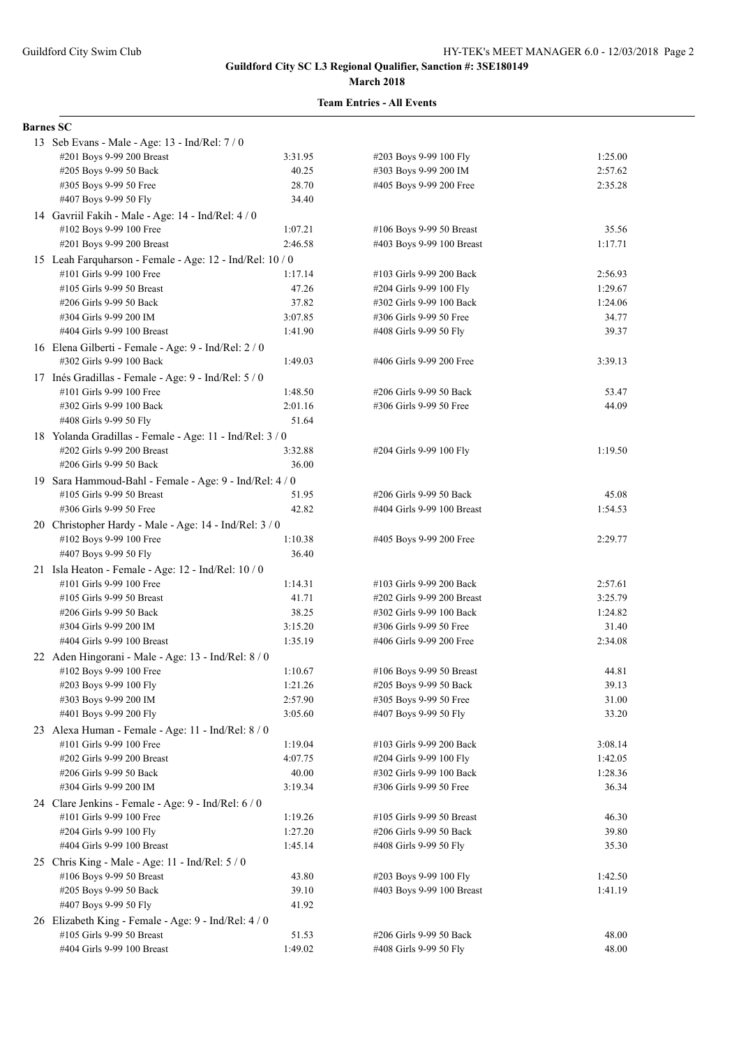#### **March 2018**

#### **Team Entries - All Events**

#### **Barnes SC**

| 13 Seb Evans - Male - Age: 13 - Ind/Rel: 7 / 0           |         |                            |         |
|----------------------------------------------------------|---------|----------------------------|---------|
| #201 Boys 9-99 200 Breast                                | 3:31.95 | #203 Boys 9-99 100 Fly     | 1:25.00 |
| #205 Boys 9-99 50 Back                                   | 40.25   | #303 Boys 9-99 200 IM      | 2:57.62 |
| #305 Boys 9-99 50 Free                                   | 28.70   | #405 Boys 9-99 200 Free    | 2:35.28 |
| #407 Boys 9-99 50 Fly                                    | 34.40   |                            |         |
| 14 Gavriil Fakih - Male - Age: 14 - Ind/Rel: 4 / 0       |         |                            |         |
| #102 Boys 9-99 100 Free                                  | 1:07.21 | #106 Boys 9-99 50 Breast   | 35.56   |
| #201 Boys 9-99 200 Breast                                | 2:46.58 | #403 Boys 9-99 100 Breast  | 1:17.71 |
| 15 Leah Farquharson - Female - Age: 12 - Ind/Rel: 10 / 0 |         |                            |         |
| #101 Girls 9-99 100 Free                                 | 1:17.14 | #103 Girls 9-99 200 Back   | 2:56.93 |
| #105 Girls 9-99 50 Breast                                | 47.26   | #204 Girls 9-99 100 Fly    | 1:29.67 |
| #206 Girls 9-99 50 Back                                  | 37.82   | #302 Girls 9-99 100 Back   | 1:24.06 |
| #304 Girls 9-99 200 IM                                   | 3:07.85 | #306 Girls 9-99 50 Free    | 34.77   |
| #404 Girls 9-99 100 Breast                               | 1:41.90 | #408 Girls 9-99 50 Fly     | 39.37   |
| 16 Elena Gilberti - Female - Age: 9 - Ind/Rel: 2 / 0     |         |                            |         |
| #302 Girls 9-99 100 Back                                 | 1:49.03 | #406 Girls 9-99 200 Free   | 3:39.13 |
| 17 Inés Gradillas - Female - Age: 9 - Ind/Rel: 5 / 0     |         |                            |         |
| #101 Girls 9-99 100 Free                                 | 1:48.50 | #206 Girls 9-99 50 Back    | 53.47   |
| #302 Girls 9-99 100 Back                                 | 2:01.16 | #306 Girls 9-99 50 Free    | 44.09   |
| #408 Girls 9-99 50 Fly                                   | 51.64   |                            |         |
| 18 Yolanda Gradillas - Female - Age: 11 - Ind/Rel: 3 / 0 |         |                            |         |
| #202 Girls 9-99 200 Breast                               | 3:32.88 | #204 Girls 9-99 100 Fly    | 1:19.50 |
| #206 Girls 9-99 50 Back                                  | 36.00   |                            |         |
| 19 Sara Hammoud-Bahl - Female - Age: 9 - Ind/Rel: 4 / 0  |         |                            |         |
| #105 Girls 9-99 50 Breast                                | 51.95   | #206 Girls 9-99 50 Back    | 45.08   |
| #306 Girls 9-99 50 Free                                  | 42.82   | #404 Girls 9-99 100 Breast | 1:54.53 |
| 20 Christopher Hardy - Male - Age: 14 - Ind/Rel: 3 / 0   |         |                            |         |
| #102 Boys 9-99 100 Free                                  | 1:10.38 | #405 Boys 9-99 200 Free    | 2:29.77 |
| #407 Boys 9-99 50 Fly                                    | 36.40   |                            |         |
| 21 Isla Heaton - Female - Age: 12 - Ind/Rel: 10 / 0      |         |                            |         |
| #101 Girls 9-99 100 Free                                 | 1:14.31 | #103 Girls 9-99 200 Back   | 2:57.61 |
| #105 Girls 9-99 50 Breast                                | 41.71   | #202 Girls 9-99 200 Breast | 3:25.79 |
| #206 Girls 9-99 50 Back                                  | 38.25   | #302 Girls 9-99 100 Back   | 1:24.82 |
| #304 Girls 9-99 200 IM                                   | 3:15.20 | #306 Girls 9-99 50 Free    | 31.40   |
| #404 Girls 9-99 100 Breast                               | 1:35.19 | #406 Girls 9-99 200 Free   | 2:34.08 |
| 22 Aden Hingorani - Male - Age: 13 - Ind/Rel: 8 / 0      |         |                            |         |
| #102 Boys 9-99 100 Free                                  | 1:10.67 | #106 Boys 9-99 50 Breast   | 44.81   |
| #203 Boys 9-99 100 Fly                                   | 1:21.26 | #205 Boys 9-99 50 Back     | 39.13   |
| #303 Boys 9-99 200 IM                                    | 2:57.90 | #305 Boys 9-99 50 Free     | 31.00   |
| #401 Boys 9-99 200 Fly                                   | 3:05.60 | #407 Boys 9-99 50 Fly      | 33.20   |
| 23 Alexa Human - Female - Age: 11 - Ind/Rel: 8 / 0       |         |                            |         |
| #101 Girls 9-99 100 Free                                 | 1:19.04 | #103 Girls 9-99 200 Back   | 3:08.14 |
| #202 Girls 9-99 200 Breast                               | 4:07.75 | #204 Girls 9-99 100 Fly    | 1:42.05 |
| #206 Girls 9-99 50 Back                                  | 40.00   | #302 Girls 9-99 100 Back   | 1:28.36 |
| #304 Girls 9-99 200 IM                                   | 3:19.34 | #306 Girls 9-99 50 Free    | 36.34   |
| 24 Clare Jenkins - Female - Age: 9 - Ind/Rel: 6 / 0      |         |                            |         |
| #101 Girls 9-99 100 Free                                 | 1:19.26 | #105 Girls 9-99 50 Breast  | 46.30   |
| #204 Girls 9-99 100 Fly                                  | 1:27.20 | #206 Girls 9-99 50 Back    | 39.80   |
| #404 Girls 9-99 100 Breast                               | 1:45.14 | #408 Girls 9-99 50 Fly     | 35.30   |
| 25 Chris King - Male - Age: 11 - Ind/Rel: $5/0$          |         |                            |         |
| #106 Boys 9-99 50 Breast                                 | 43.80   | #203 Boys 9-99 100 Fly     | 1:42.50 |
| #205 Boys 9-99 50 Back                                   | 39.10   | #403 Boys 9-99 100 Breast  | 1:41.19 |
| #407 Boys 9-99 50 Fly                                    | 41.92   |                            |         |
| 26 Elizabeth King - Female - Age: 9 - Ind/Rel: 4 / 0     |         |                            |         |
| #105 Girls 9-99 50 Breast                                | 51.53   | #206 Girls 9-99 50 Back    | 48.00   |
| #404 Girls 9-99 100 Breast                               | 1:49.02 | #408 Girls 9-99 50 Fly     | 48.00   |
|                                                          |         |                            |         |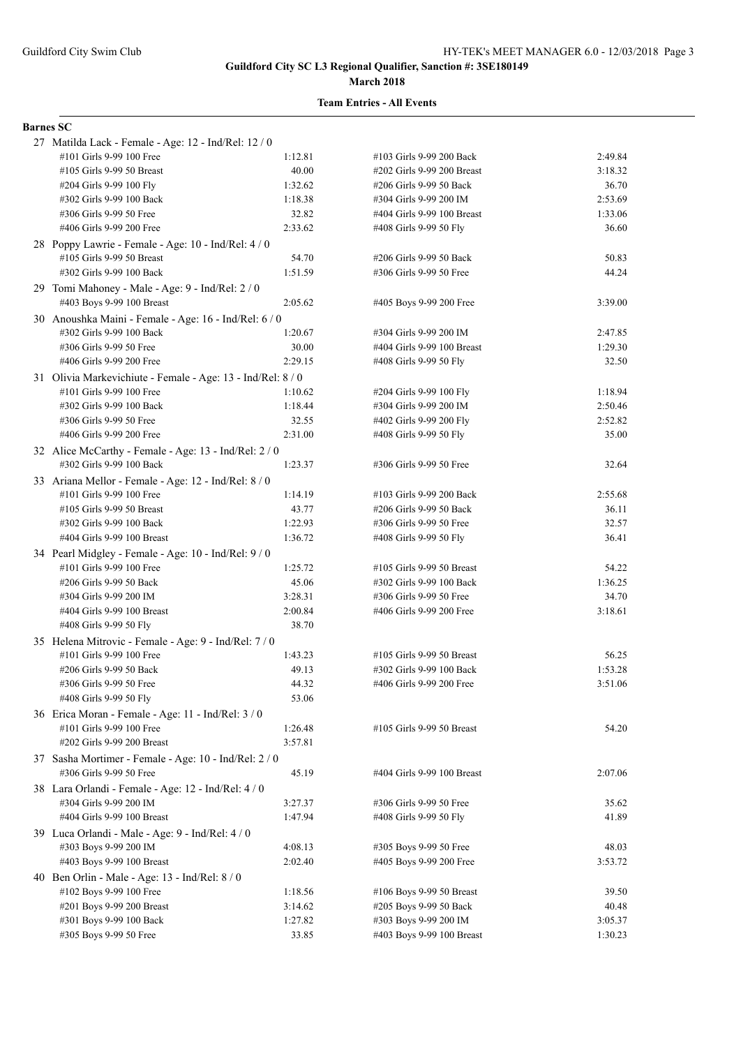#### **March 2018**

#### **Team Entries - All Events**

#### **Barnes SC**

| 27 Matilda Lack - Female - Age: 12 - Ind/Rel: 12 / 0        |         |                            |         |
|-------------------------------------------------------------|---------|----------------------------|---------|
| #101 Girls 9-99 100 Free                                    | 1:12.81 | #103 Girls 9-99 200 Back   | 2:49.84 |
| #105 Girls 9-99 50 Breast                                   | 40.00   | #202 Girls 9-99 200 Breast | 3:18.32 |
| #204 Girls 9-99 100 Fly                                     | 1:32.62 | #206 Girls 9-99 50 Back    | 36.70   |
| #302 Girls 9-99 100 Back                                    | 1:18.38 | #304 Girls 9-99 200 IM     | 2:53.69 |
| #306 Girls 9-99 50 Free                                     | 32.82   | #404 Girls 9-99 100 Breast | 1:33.06 |
| #406 Girls 9-99 200 Free                                    | 2:33.62 | #408 Girls 9-99 50 Fly     | 36.60   |
| 28 Poppy Lawrie - Female - Age: 10 - Ind/Rel: 4 / 0         |         |                            |         |
| #105 Girls 9-99 50 Breast                                   | 54.70   | #206 Girls 9-99 50 Back    | 50.83   |
| #302 Girls 9-99 100 Back                                    | 1:51.59 | #306 Girls 9-99 50 Free    | 44.24   |
| 29 Tomi Mahoney - Male - Age: 9 - Ind/Rel: 2 / 0            |         |                            |         |
| #403 Boys 9-99 100 Breast                                   | 2:05.62 | #405 Boys 9-99 200 Free    | 3:39.00 |
| 30 Anoushka Maini - Female - Age: 16 - Ind/Rel: 6 / 0       |         |                            |         |
| #302 Girls 9-99 100 Back                                    | 1:20.67 | #304 Girls 9-99 200 IM     | 2:47.85 |
| #306 Girls 9-99 50 Free                                     | 30.00   | #404 Girls 9-99 100 Breast | 1:29.30 |
| #406 Girls 9-99 200 Free                                    | 2:29.15 | #408 Girls 9-99 50 Fly     | 32.50   |
| 31 Olivia Markevichiute - Female - Age: 13 - Ind/Rel: 8 / 0 |         |                            |         |
| #101 Girls 9-99 100 Free                                    | 1:10.62 | #204 Girls 9-99 100 Fly    | 1:18.94 |
| #302 Girls 9-99 100 Back                                    | 1:18.44 | #304 Girls 9-99 200 IM     | 2:50.46 |
| #306 Girls 9-99 50 Free                                     | 32.55   | #402 Girls 9-99 200 Fly    | 2:52.82 |
| #406 Girls 9-99 200 Free                                    | 2:31.00 | #408 Girls 9-99 50 Fly     | 35.00   |
| 32 Alice McCarthy - Female - Age: 13 - Ind/Rel: 2/0         |         |                            |         |
| #302 Girls 9-99 100 Back                                    | 1:23.37 | #306 Girls 9-99 50 Free    | 32.64   |
| 33 Ariana Mellor - Female - Age: 12 - Ind/Rel: 8 / 0        |         |                            |         |
| #101 Girls 9-99 100 Free                                    | 1:14.19 | #103 Girls 9-99 200 Back   | 2:55.68 |
| #105 Girls 9-99 50 Breast                                   | 43.77   | #206 Girls 9-99 50 Back    | 36.11   |
| #302 Girls 9-99 100 Back                                    | 1:22.93 | #306 Girls 9-99 50 Free    | 32.57   |
| #404 Girls 9-99 100 Breast                                  | 1:36.72 | #408 Girls 9-99 50 Fly     | 36.41   |
| 34 Pearl Midgley - Female - Age: 10 - Ind/Rel: 9 / 0        |         |                            |         |
| #101 Girls 9-99 100 Free                                    | 1:25.72 | #105 Girls 9-99 50 Breast  | 54.22   |
| #206 Girls 9-99 50 Back                                     | 45.06   | #302 Girls 9-99 100 Back   | 1:36.25 |
| #304 Girls 9-99 200 IM                                      | 3:28.31 | #306 Girls 9-99 50 Free    | 34.70   |
| #404 Girls 9-99 100 Breast                                  | 2:00.84 | #406 Girls 9-99 200 Free   | 3:18.61 |
| #408 Girls 9-99 50 Fly                                      | 38.70   |                            |         |
| 35 Helena Mitrovic - Female - Age: 9 - Ind/Rel: 7 / 0       |         |                            |         |
| #101 Girls 9-99 100 Free                                    | 1:43.23 | #105 Girls 9-99 50 Breast  | 56.25   |
| #206 Girls 9-99 50 Back                                     | 49.13   | #302 Girls 9-99 100 Back   | 1:53.28 |
| #306 Girls 9-99 50 Free                                     | 44.32   | #406 Girls 9-99 200 Free   | 3:51.06 |
| #408 Girls 9-99 50 Fly                                      | 53.06   |                            |         |
| 36 Erica Moran - Female - Age: 11 - Ind/Rel: 3 / 0          |         |                            |         |
| #101 Girls 9-99 100 Free                                    | 1:26.48 | #105 Girls 9-99 50 Breast  | 54.20   |
| #202 Girls 9-99 200 Breast                                  | 3:57.81 |                            |         |
| 37 Sasha Mortimer - Female - Age: 10 - Ind/Rel: 2/0         |         |                            |         |
| #306 Girls 9-99 50 Free                                     | 45.19   | #404 Girls 9-99 100 Breast | 2:07.06 |
| 38 Lara Orlandi - Female - Age: 12 - Ind/Rel: 4/0           |         |                            |         |
| #304 Girls 9-99 200 IM                                      | 3:27.37 | #306 Girls 9-99 50 Free    | 35.62   |
| #404 Girls 9-99 100 Breast                                  | 1:47.94 | #408 Girls 9-99 50 Fly     | 41.89   |
| 39 Luca Orlandi - Male - Age: $9$ - Ind/Rel: $4/0$          |         |                            |         |
| #303 Boys 9-99 200 IM                                       | 4:08.13 | #305 Boys 9-99 50 Free     | 48.03   |
| #403 Boys 9-99 100 Breast                                   | 2:02.40 | #405 Boys 9-99 200 Free    | 3:53.72 |
| 40 Ben Orlin - Male - Age: 13 - Ind/Rel: $8/0$              |         |                            |         |
| #102 Boys 9-99 100 Free                                     | 1:18.56 | #106 Boys 9-99 50 Breast   | 39.50   |
| #201 Boys 9-99 200 Breast                                   | 3:14.62 | #205 Boys 9-99 50 Back     | 40.48   |
| #301 Boys 9-99 100 Back                                     | 1:27.82 | #303 Boys 9-99 200 IM      | 3:05.37 |
| #305 Boys 9-99 50 Free                                      | 33.85   | #403 Boys 9-99 100 Breast  | 1:30.23 |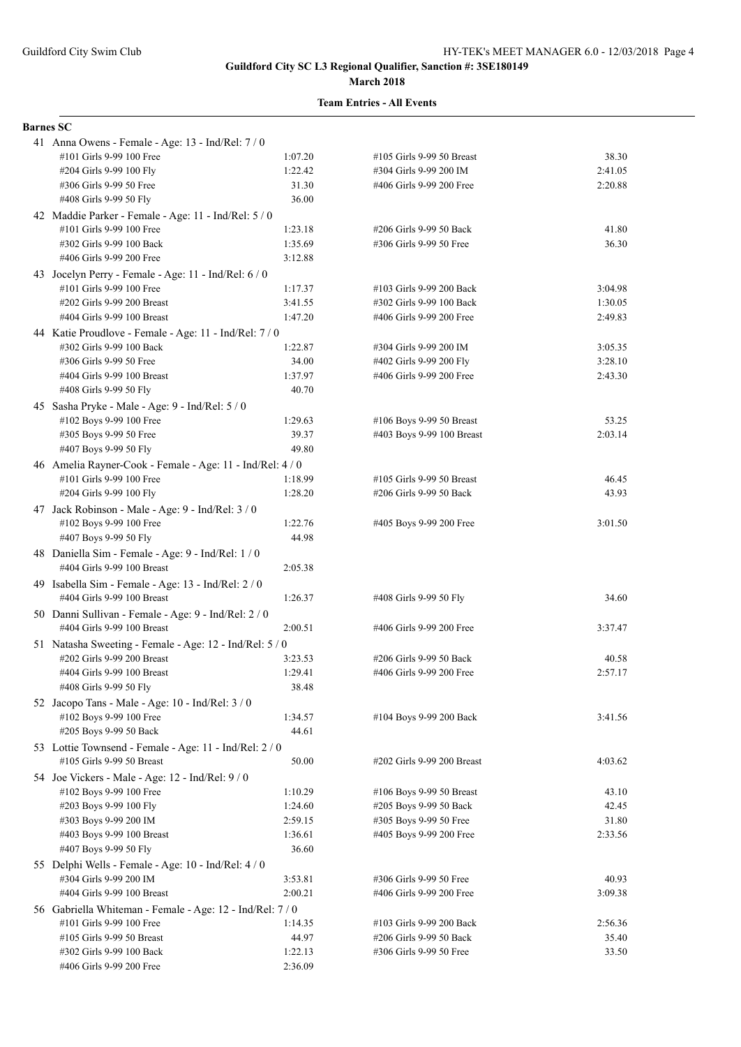| <b>Barnes SC</b>                                                                      |                  |                                                       |                  |
|---------------------------------------------------------------------------------------|------------------|-------------------------------------------------------|------------------|
| 41 Anna Owens - Female - Age: 13 - Ind/Rel: 7/0                                       |                  |                                                       |                  |
| #101 Girls 9-99 100 Free                                                              | 1:07.20          | #105 Girls 9-99 50 Breast                             | 38.30            |
| #204 Girls 9-99 100 Fly                                                               | 1:22.42          | #304 Girls 9-99 200 IM                                | 2:41.05          |
| #306 Girls 9-99 50 Free                                                               | 31.30            | #406 Girls 9-99 200 Free                              | 2:20.88          |
| #408 Girls 9-99 50 Fly                                                                | 36.00            |                                                       |                  |
| 42 Maddie Parker - Female - Age: 11 - Ind/Rel: 5 / 0                                  |                  |                                                       |                  |
| #101 Girls 9-99 100 Free                                                              | 1:23.18          | #206 Girls 9-99 50 Back                               | 41.80            |
| #302 Girls 9-99 100 Back                                                              | 1:35.69          | #306 Girls 9-99 50 Free                               | 36.30            |
| #406 Girls 9-99 200 Free                                                              | 3:12.88          |                                                       |                  |
| 43 Jocelyn Perry - Female - Age: 11 - Ind/Rel: 6 / 0                                  |                  |                                                       |                  |
| #101 Girls 9-99 100 Free                                                              | 1:17.37          | #103 Girls 9-99 200 Back                              | 3:04.98          |
| #202 Girls 9-99 200 Breast                                                            | 3:41.55          | #302 Girls 9-99 100 Back                              | 1:30.05          |
| #404 Girls 9-99 100 Breast                                                            | 1:47.20          | #406 Girls 9-99 200 Free                              | 2:49.83          |
| 44 Katie Proudlove - Female - Age: 11 - Ind/Rel: 7 / 0                                |                  |                                                       |                  |
| #302 Girls 9-99 100 Back                                                              | 1:22.87          | #304 Girls 9-99 200 IM                                | 3:05.35          |
| #306 Girls 9-99 50 Free                                                               | 34.00            | #402 Girls 9-99 200 Fly                               | 3:28.10          |
| #404 Girls 9-99 100 Breast<br>#408 Girls 9-99 50 Fly                                  | 1:37.97<br>40.70 | #406 Girls 9-99 200 Free                              | 2:43.30          |
|                                                                                       |                  |                                                       |                  |
| 45 Sasha Pryke - Male - Age: 9 - Ind/Rel: 5 / 0                                       |                  |                                                       |                  |
| #102 Boys 9-99 100 Free<br>#305 Boys 9-99 50 Free                                     | 1:29.63<br>39.37 | #106 Boys 9-99 50 Breast<br>#403 Boys 9-99 100 Breast | 53.25<br>2:03.14 |
| #407 Boys 9-99 50 Fly                                                                 | 49.80            |                                                       |                  |
|                                                                                       |                  |                                                       |                  |
| 46 Amelia Rayner-Cook - Female - Age: 11 - Ind/Rel: 4 / 0<br>#101 Girls 9-99 100 Free | 1:18.99          | #105 Girls 9-99 50 Breast                             | 46.45            |
| #204 Girls 9-99 100 Fly                                                               | 1:28.20          | #206 Girls 9-99 50 Back                               | 43.93            |
| 47 Jack Robinson - Male - Age: 9 - Ind/Rel: 3 / 0                                     |                  |                                                       |                  |
| #102 Boys 9-99 100 Free                                                               | 1:22.76          | #405 Boys 9-99 200 Free                               | 3:01.50          |
| #407 Boys 9-99 50 Fly                                                                 | 44.98            |                                                       |                  |
| 48 Daniella Sim - Female - Age: 9 - Ind/Rel: 1 / 0                                    |                  |                                                       |                  |
| #404 Girls 9-99 100 Breast                                                            | 2:05.38          |                                                       |                  |
| 49 Isabella Sim - Female - Age: 13 - Ind/Rel: 2 / 0                                   |                  |                                                       |                  |
| #404 Girls 9-99 100 Breast                                                            | 1:26.37          | #408 Girls 9-99 50 Fly                                | 34.60            |
| 50 Danni Sullivan - Female - Age: 9 - Ind/Rel: 2 / 0                                  |                  |                                                       |                  |
| #404 Girls 9-99 100 Breast                                                            | 2:00.51          | #406 Girls 9-99 200 Free                              | 3:37.47          |
| 51 Natasha Sweeting - Female - Age: 12 - Ind/Rel: 5 / 0                               |                  |                                                       |                  |
| #202 Girls 9-99 200 Breast                                                            | 3:23.53          | #206 Girls 9-99 50 Back                               | 40.58            |
| #404 Girls 9-99 100 Breast                                                            | 1:29.41          | #406 Girls 9-99 200 Free                              | 2:57.17          |
| #408 Girls 9-99 50 Fly                                                                | 38.48            |                                                       |                  |
| 52 Jacopo Tans - Male - Age: 10 - Ind/Rel: 3 / 0                                      |                  |                                                       |                  |
| #102 Boys 9-99 100 Free                                                               | 1:34.57          | #104 Boys 9-99 200 Back                               | 3:41.56          |
| #205 Boys 9-99 50 Back                                                                | 44.61            |                                                       |                  |
| 53 Lottie Townsend - Female - Age: 11 - Ind/Rel: 2 / 0                                |                  |                                                       |                  |
| #105 Girls 9-99 50 Breast                                                             | 50.00            | #202 Girls 9-99 200 Breast                            | 4:03.62          |
| 54 Joe Vickers - Male - Age: 12 - Ind/Rel: 9 / 0                                      |                  |                                                       |                  |
| #102 Boys 9-99 100 Free                                                               | 1:10.29          | #106 Boys 9-99 50 Breast                              | 43.10            |
| #203 Boys 9-99 100 Fly                                                                | 1:24.60          | #205 Boys 9-99 50 Back                                | 42.45            |
| #303 Boys 9-99 200 IM                                                                 | 2:59.15          | #305 Boys 9-99 50 Free                                | 31.80            |
| #403 Boys 9-99 100 Breast                                                             | 1:36.61          | #405 Boys 9-99 200 Free                               | 2:33.56          |
| #407 Boys 9-99 50 Fly                                                                 | 36.60            |                                                       |                  |
| 55 Delphi Wells - Female - Age: 10 - Ind/Rel: 4 / 0                                   |                  |                                                       |                  |
| #304 Girls 9-99 200 IM                                                                | 3:53.81          | #306 Girls 9-99 50 Free                               | 40.93            |
| #404 Girls 9-99 100 Breast                                                            | 2:00.21          | #406 Girls 9-99 200 Free                              | 3:09.38          |
| 56 Gabriella Whiteman - Female - Age: 12 - Ind/Rel: 7 / 0                             |                  |                                                       |                  |
| #101 Girls 9-99 100 Free                                                              | 1:14.35          | #103 Girls 9-99 200 Back                              | 2:56.36          |
| #105 Girls 9-99 50 Breast                                                             | 44.97            | #206 Girls 9-99 50 Back                               | 35.40            |
| #302 Girls 9-99 100 Back                                                              | 1:22.13          | #306 Girls 9-99 50 Free                               | 33.50            |
| #406 Girls 9-99 200 Free                                                              | 2:36.09          |                                                       |                  |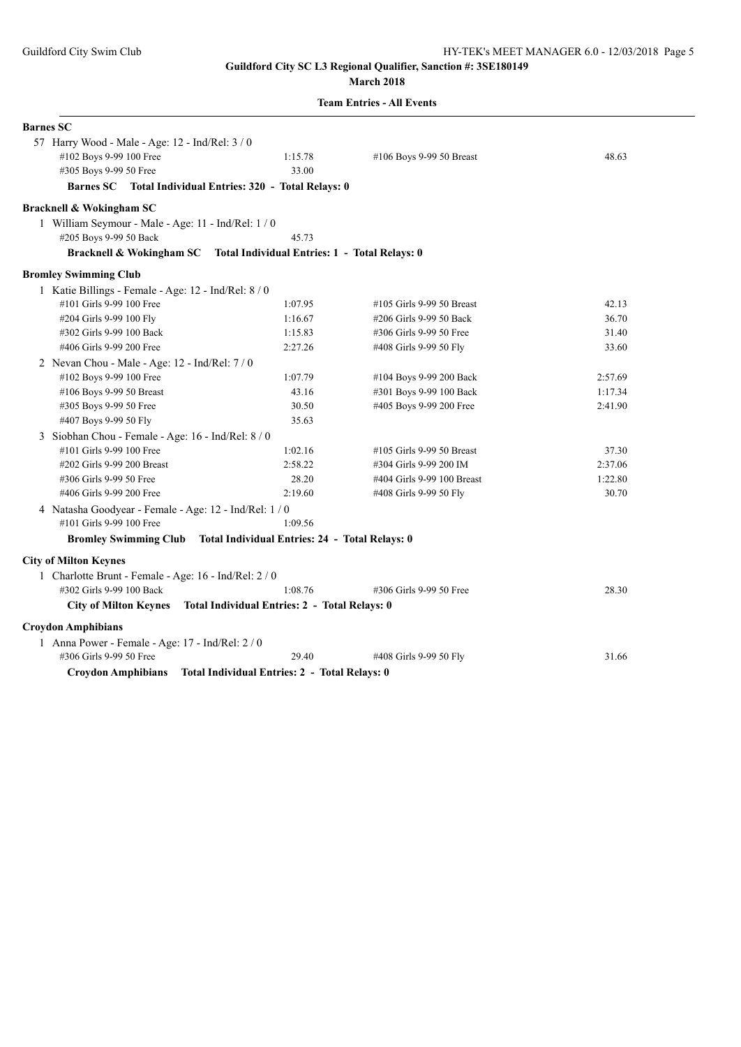## **March 2018**

| <b>Barnes SC</b>                                                       |                                               |                            |         |
|------------------------------------------------------------------------|-----------------------------------------------|----------------------------|---------|
| 57 Harry Wood - Male - Age: 12 - Ind/Rel: 3 / 0                        |                                               |                            |         |
| #102 Boys 9-99 100 Free                                                | 1:15.78                                       | #106 Boys 9-99 50 Breast   | 48.63   |
| #305 Boys 9-99 50 Free                                                 | 33.00                                         |                            |         |
| Barnes SC Total Individual Entries: 320 - Total Relays: 0              |                                               |                            |         |
| <b>Bracknell &amp; Wokingham SC</b>                                    |                                               |                            |         |
| 1 William Seymour - Male - Age: 11 - Ind/Rel: 1 / 0                    |                                               |                            |         |
| #205 Boys 9-99 50 Back                                                 | 45.73                                         |                            |         |
| Bracknell & Wokingham SC Total Individual Entries: 1 - Total Relays: 0 |                                               |                            |         |
| <b>Bromley Swimming Club</b>                                           |                                               |                            |         |
| 1 Katie Billings - Female - Age: 12 - Ind/Rel: 8 / 0                   |                                               |                            |         |
| #101 Girls 9-99 100 Free                                               | 1:07.95                                       | #105 Girls 9-99 50 Breast  | 42.13   |
| #204 Girls 9-99 100 Fly                                                | 1:16.67                                       | #206 Girls 9-99 50 Back    | 36.70   |
| #302 Girls 9-99 100 Back                                               | 1:15.83                                       | #306 Girls 9-99 50 Free    | 31.40   |
| #406 Girls 9-99 200 Free                                               | 2:27.26                                       | #408 Girls 9-99 50 Fly     | 33.60   |
| 2 Nevan Chou - Male - Age: $12$ - Ind/Rel: $7/0$                       |                                               |                            |         |
| #102 Boys 9-99 100 Free                                                | 1:07.79                                       | #104 Boys 9-99 200 Back    | 2:57.69 |
| #106 Boys 9-99 50 Breast                                               | 43.16                                         | #301 Boys 9-99 100 Back    | 1:17.34 |
| #305 Boys 9-99 50 Free                                                 | 30.50                                         | #405 Boys 9-99 200 Free    | 2:41.90 |
| #407 Boys 9-99 50 Fly                                                  | 35.63                                         |                            |         |
| 3 Siobhan Chou - Female - Age: 16 - Ind/Rel: 8 / 0                     |                                               |                            |         |
| #101 Girls 9-99 100 Free                                               | 1:02.16                                       | #105 Girls 9-99 50 Breast  | 37.30   |
| #202 Girls 9-99 200 Breast                                             | 2:58.22                                       | #304 Girls 9-99 200 IM     | 2:37.06 |
| #306 Girls 9-99 50 Free                                                | 28.20                                         | #404 Girls 9-99 100 Breast | 1:22.80 |
| #406 Girls 9-99 200 Free                                               | 2:19.60                                       | #408 Girls 9-99 50 Fly     | 30.70   |
| 4 Natasha Goodyear - Female - Age: 12 - Ind/Rel: 1 / 0                 |                                               |                            |         |
| #101 Girls 9-99 100 Free                                               | 1:09.56                                       |                            |         |
| Bromley Swimming Club Total Individual Entries: 24 - Total Relays: 0   |                                               |                            |         |
| <b>City of Milton Keynes</b>                                           |                                               |                            |         |
| 1 Charlotte Brunt - Female - Age: 16 - Ind/Rel: 2 / 0                  |                                               |                            |         |
| #302 Girls 9-99 100 Back                                               | 1:08.76                                       | #306 Girls 9-99 50 Free    | 28.30   |
| <b>City of Milton Keynes</b>                                           | Total Individual Entries: 2 - Total Relays: 0 |                            |         |
| <b>Croydon Amphibians</b>                                              |                                               |                            |         |
| 1 Anna Power - Female - Age: 17 - Ind/Rel: 2/0                         |                                               |                            |         |
| #306 Girls 9-99 50 Free                                                | 29.40                                         | #408 Girls 9-99 50 Fly     | 31.66   |
| <b>Croydon Amphibians</b>                                              | Total Individual Entries: 2 - Total Relays: 0 |                            |         |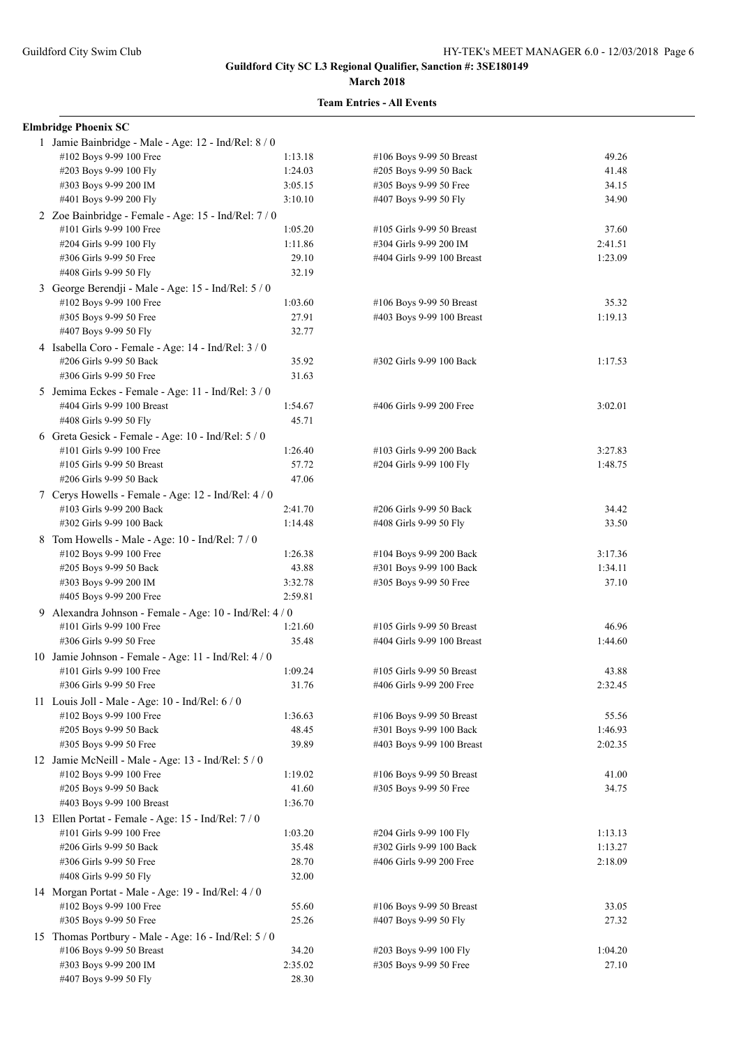#### **March 2018**

| <b>Elmbridge Phoenix SC</b>                                                      |         |                            |         |
|----------------------------------------------------------------------------------|---------|----------------------------|---------|
| 1 Jamie Bainbridge - Male - Age: 12 - Ind/Rel: 8 / 0                             |         |                            |         |
| #102 Boys 9-99 100 Free                                                          | 1:13.18 | #106 Boys 9-99 50 Breast   | 49.26   |
| #203 Boys 9-99 100 Fly                                                           | 1:24.03 | #205 Boys 9-99 50 Back     | 41.48   |
| #303 Boys 9-99 200 IM                                                            | 3:05.15 | #305 Boys 9-99 50 Free     | 34.15   |
| #401 Boys 9-99 200 Fly                                                           | 3:10.10 | #407 Boys 9-99 50 Fly      | 34.90   |
| 2 Zoe Bainbridge - Female - Age: 15 - Ind/Rel: 7 / 0                             |         |                            |         |
| #101 Girls 9-99 100 Free                                                         | 1:05.20 | #105 Girls 9-99 50 Breast  | 37.60   |
| #204 Girls 9-99 100 Fly                                                          | 1:11.86 | #304 Girls 9-99 200 IM     | 2:41.51 |
| #306 Girls 9-99 50 Free                                                          | 29.10   | #404 Girls 9-99 100 Breast | 1:23.09 |
| #408 Girls 9-99 50 Fly                                                           | 32.19   |                            |         |
| 3 George Berendji - Male - Age: 15 - Ind/Rel: 5 / 0                              |         |                            |         |
| #102 Boys 9-99 100 Free                                                          | 1:03.60 | #106 Boys 9-99 50 Breast   | 35.32   |
| #305 Boys 9-99 50 Free                                                           | 27.91   | #403 Boys 9-99 100 Breast  | 1:19.13 |
| #407 Boys 9-99 50 Fly                                                            | 32.77   |                            |         |
| 4 Isabella Coro - Female - Age: 14 - Ind/Rel: $3/0$                              |         |                            |         |
| #206 Girls 9-99 50 Back                                                          | 35.92   | #302 Girls 9-99 100 Back   | 1:17.53 |
| #306 Girls 9-99 50 Free                                                          | 31.63   |                            |         |
| 5 Jemima Eckes - Female - Age: 11 - Ind/Rel: 3 / 0                               |         |                            |         |
| #404 Girls 9-99 100 Breast                                                       | 1:54.67 | #406 Girls 9-99 200 Free   | 3:02.01 |
| #408 Girls 9-99 50 Fly                                                           | 45.71   |                            |         |
| 6 Greta Gesick - Female - Age: 10 - Ind/Rel: 5 / 0                               |         |                            |         |
| #101 Girls 9-99 100 Free                                                         | 1:26.40 | #103 Girls 9-99 200 Back   | 3:27.83 |
| #105 Girls 9-99 50 Breast                                                        | 57.72   | #204 Girls 9-99 100 Fly    | 1:48.75 |
| #206 Girls 9-99 50 Back                                                          | 47.06   |                            |         |
| 7 Cerys Howells - Female - Age: 12 - Ind/Rel: 4 / 0                              |         |                            |         |
| #103 Girls 9-99 200 Back                                                         | 2:41.70 | #206 Girls 9-99 50 Back    | 34.42   |
| #302 Girls 9-99 100 Back                                                         | 1:14.48 | #408 Girls 9-99 50 Fly     | 33.50   |
| 8 Tom Howells - Male - Age: 10 - Ind/Rel: 7 / 0                                  |         |                            |         |
| #102 Boys 9-99 100 Free                                                          | 1:26.38 | #104 Boys 9-99 200 Back    | 3:17.36 |
| #205 Boys 9-99 50 Back                                                           | 43.88   | #301 Boys 9-99 100 Back    | 1:34.11 |
| #303 Boys 9-99 200 IM                                                            | 3:32.78 | #305 Boys 9-99 50 Free     | 37.10   |
| #405 Boys 9-99 200 Free                                                          | 2:59.81 |                            |         |
| 9 Alexandra Johnson - Female - Age: 10 - Ind/Rel: 4 / 0                          |         |                            |         |
| #101 Girls 9-99 100 Free                                                         | 1:21.60 | #105 Girls 9-99 50 Breast  | 46.96   |
| #306 Girls 9-99 50 Free                                                          | 35.48   | #404 Girls 9-99 100 Breast | 1:44.60 |
| 10 Jamie Johnson - Female - Age: 11 - Ind/Rel: 4 / 0                             |         |                            |         |
| #101 Girls 9-99 100 Free                                                         | 1:09.24 | #105 Girls 9-99 50 Breast  | 43.88   |
| #306 Girls 9-99 50 Free                                                          | 31.76   | #406 Girls 9-99 200 Free   | 2:32.45 |
| 11 Louis Joll - Male - Age: $10$ - Ind/Rel: $6/0$                                |         |                            |         |
| #102 Boys 9-99 100 Free                                                          | 1:36.63 | #106 Boys 9-99 50 Breast   | 55.56   |
| #205 Boys 9-99 50 Back                                                           | 48.45   | #301 Boys 9-99 100 Back    | 1:46.93 |
| #305 Boys 9-99 50 Free                                                           | 39.89   | #403 Boys 9-99 100 Breast  | 2:02.35 |
| 12 Jamie McNeill - Male - Age: 13 - Ind/Rel: 5 / 0                               |         |                            |         |
| #102 Boys 9-99 100 Free                                                          | 1:19.02 | #106 Boys 9-99 50 Breast   | 41.00   |
| #205 Boys 9-99 50 Back                                                           | 41.60   | #305 Boys 9-99 50 Free     | 34.75   |
| #403 Boys 9-99 100 Breast                                                        | 1:36.70 |                            |         |
| 13 Ellen Portat - Female - Age: 15 - Ind/Rel: 7/0                                |         |                            |         |
| #101 Girls 9-99 100 Free                                                         | 1:03.20 | #204 Girls 9-99 100 Fly    | 1:13.13 |
| #206 Girls 9-99 50 Back                                                          | 35.48   | #302 Girls 9-99 100 Back   | 1:13.27 |
| #306 Girls 9-99 50 Free                                                          | 28.70   | #406 Girls 9-99 200 Free   | 2:18.09 |
| #408 Girls 9-99 50 Fly                                                           | 32.00   |                            |         |
|                                                                                  |         |                            |         |
| 14 Morgan Portat - Male - Age: 19 - Ind/Rel: 4 / 0<br>#102 Boys 9-99 100 Free    | 55.60   | #106 Boys 9-99 50 Breast   | 33.05   |
| #305 Boys 9-99 50 Free                                                           | 25.26   | #407 Boys 9-99 50 Fly      | 27.32   |
|                                                                                  |         |                            |         |
| 15 Thomas Portbury - Male - Age: 16 - Ind/Rel: 5 / 0<br>#106 Boys 9-99 50 Breast | 34.20   | #203 Boys 9-99 100 Fly     | 1:04.20 |
| #303 Boys 9-99 200 IM                                                            | 2:35.02 | #305 Boys 9-99 50 Free     | 27.10   |
| #407 Boys 9-99 50 Fly                                                            | 28.30   |                            |         |
|                                                                                  |         |                            |         |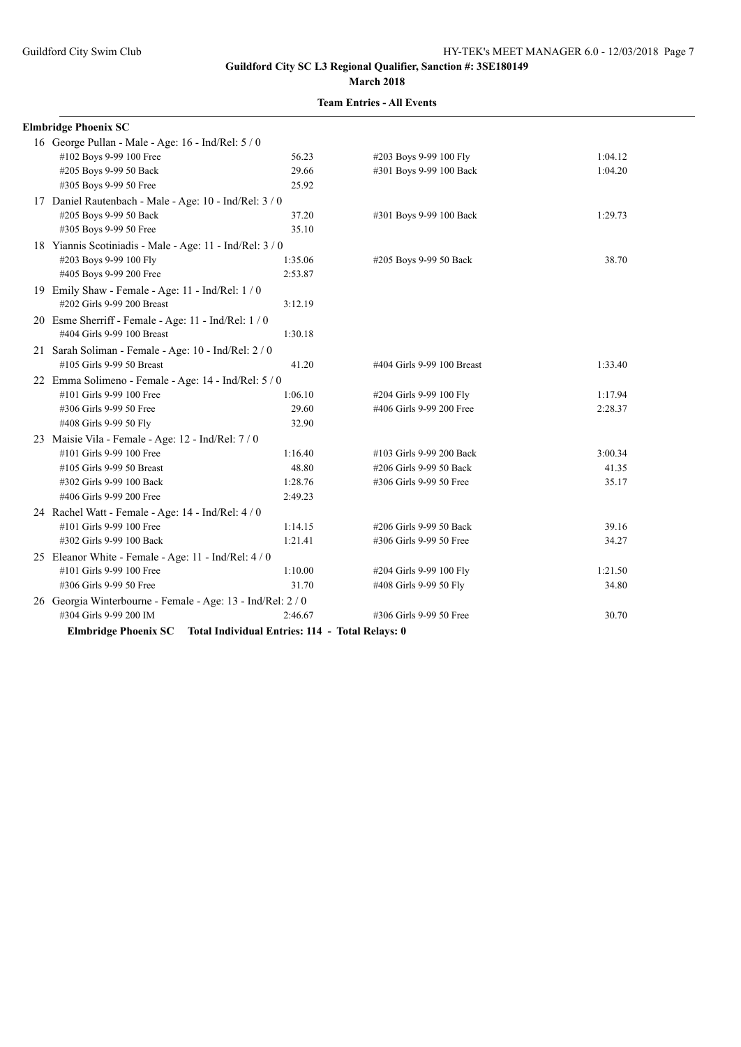**Elmbridge Phoenix SC**

**Guildford City SC L3 Regional Qualifier, Sanction #: 3SE180149 March 2018**

# **Team Entries - All Events**

# 16 George Pullan - Male - Age: 16 - Ind/Rel: 5 / 0 #102 Boys 9-99 100 Free 56.23 #203 Boys 9-99 100 Fly 1:04.12

| #205 Boys 9-99 50 Back                                      | 29.66                                           | #301 Boys 9-99 100 Back    | 1:04.20 |
|-------------------------------------------------------------|-------------------------------------------------|----------------------------|---------|
| #305 Boys 9-99 50 Free                                      | 25.92                                           |                            |         |
| 17 Daniel Rautenbach - Male - Age: 10 - Ind/Rel: 3 / 0      |                                                 |                            |         |
| #205 Boys 9-99 50 Back                                      | 37.20                                           | #301 Boys 9-99 100 Back    | 1:29.73 |
| #305 Boys 9-99 50 Free                                      | 35.10                                           |                            |         |
| 18 Yiannis Scotiniadis - Male - Age: 11 - Ind/Rel: 3 / 0    |                                                 |                            |         |
| #203 Boys 9-99 100 Fly                                      | 1:35.06                                         | #205 Boys 9-99 50 Back     | 38.70   |
| #405 Boys 9-99 200 Free                                     | 2:53.87                                         |                            |         |
| 19 Emily Shaw - Female - Age: $11$ - Ind/Rel: $1/0$         |                                                 |                            |         |
| #202 Girls 9-99 200 Breast                                  | 3:12.19                                         |                            |         |
| 20 Esme Sherriff - Female - Age: 11 - Ind/Rel: 1 / 0        |                                                 |                            |         |
| #404 Girls 9-99 100 Breast                                  | 1:30.18                                         |                            |         |
| 21 Sarah Soliman - Female - Age: 10 - Ind/Rel: 2 / 0        |                                                 |                            |         |
| #105 Girls 9-99 50 Breast                                   | 41.20                                           | #404 Girls 9-99 100 Breast | 1:33.40 |
| 22 Emma Solimeno - Female - Age: 14 - Ind/Rel: 5 / 0        |                                                 |                            |         |
| #101 Girls 9-99 100 Free                                    | 1:06.10                                         | #204 Girls 9-99 100 Fly    | 1:17.94 |
| #306 Girls 9-99 50 Free                                     | 29.60                                           | #406 Girls 9-99 200 Free   | 2:28.37 |
| #408 Girls 9-99 50 Fly                                      | 32.90                                           |                            |         |
| 23 Maisie Vila - Female - Age: 12 - Ind/Rel: 7 / 0          |                                                 |                            |         |
| #101 Girls 9-99 100 Free                                    | 1:16.40                                         | #103 Girls 9-99 200 Back   | 3:00.34 |
| #105 Girls 9-99 50 Breast                                   | 48.80                                           | #206 Girls 9-99 50 Back    | 41.35   |
| #302 Girls 9-99 100 Back                                    | 1:28.76                                         | #306 Girls 9-99 50 Free    | 35.17   |
| #406 Girls 9-99 200 Free                                    | 2:49.23                                         |                            |         |
| 24 Rachel Watt - Female - Age: 14 - Ind/Rel: 4 / 0          |                                                 |                            |         |
| #101 Girls 9-99 100 Free                                    | 1:14.15                                         | #206 Girls 9-99 50 Back    | 39.16   |
| #302 Girls 9-99 100 Back                                    | 1:21.41                                         | #306 Girls 9-99 50 Free    | 34.27   |
| 25 Eleanor White - Female - Age: 11 - Ind/Rel: 4 / 0        |                                                 |                            |         |
| #101 Girls 9-99 100 Free                                    | 1:10.00                                         | #204 Girls 9-99 100 Fly    | 1:21.50 |
| #306 Girls 9-99 50 Free                                     | 31.70                                           | #408 Girls 9-99 50 Fly     | 34.80   |
| 26 Georgia Winterbourne - Female - Age: 13 - Ind/Rel: 2 / 0 |                                                 |                            |         |
| #304 Girls 9-99 200 IM                                      | 2:46.67                                         | #306 Girls 9-99 50 Free    | 30.70   |
| <b>Elmbridge Phoenix SC</b>                                 | Total Individual Entries: 114 - Total Relays: 0 |                            |         |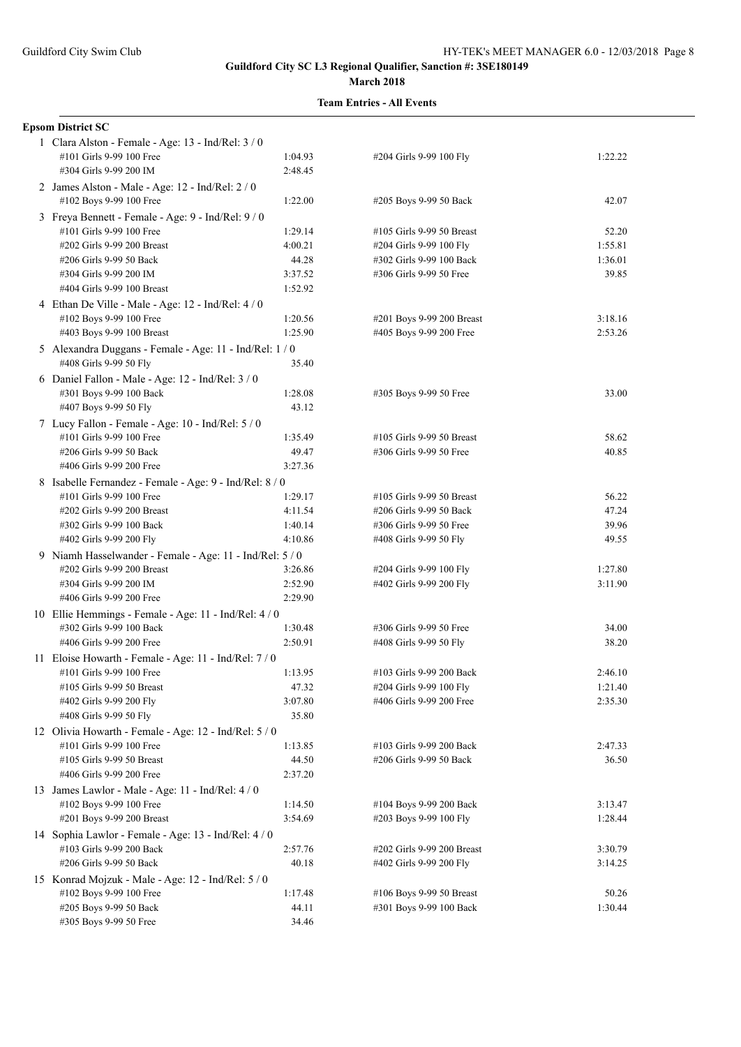|  | <b>Epsom District SC</b>                                 |         |                            |         |  |  |
|--|----------------------------------------------------------|---------|----------------------------|---------|--|--|
|  | 1 Clara Alston - Female - Age: 13 - Ind/Rel: 3 / 0       |         |                            |         |  |  |
|  | #101 Girls 9-99 100 Free                                 | 1:04.93 | #204 Girls 9-99 100 Fly    | 1:22.22 |  |  |
|  | #304 Girls 9-99 200 IM                                   | 2:48.45 |                            |         |  |  |
|  | 2 James Alston - Male - Age: 12 - Ind/Rel: 2 / 0         |         |                            |         |  |  |
|  | #102 Boys 9-99 100 Free                                  | 1:22.00 | #205 Boys 9-99 50 Back     | 42.07   |  |  |
|  | 3 Freya Bennett - Female - Age: 9 - Ind/Rel: 9 / 0       |         |                            |         |  |  |
|  | #101 Girls 9-99 100 Free                                 | 1:29.14 | #105 Girls 9-99 50 Breast  | 52.20   |  |  |
|  | #202 Girls 9-99 200 Breast                               | 4:00.21 | #204 Girls 9-99 100 Fly    | 1:55.81 |  |  |
|  | #206 Girls 9-99 50 Back                                  | 44.28   | #302 Girls 9-99 100 Back   | 1:36.01 |  |  |
|  | #304 Girls 9-99 200 IM                                   | 3:37.52 | #306 Girls 9-99 50 Free    | 39.85   |  |  |
|  | #404 Girls 9-99 100 Breast                               | 1:52.92 |                            |         |  |  |
|  | 4 Ethan De Ville - Male - Age: 12 - Ind/Rel: 4 / 0       |         |                            |         |  |  |
|  | #102 Boys 9-99 100 Free                                  | 1:20.56 | #201 Boys 9-99 200 Breast  | 3:18.16 |  |  |
|  | #403 Boys 9-99 100 Breast                                | 1:25.90 | #405 Boys 9-99 200 Free    | 2:53.26 |  |  |
|  | 5 Alexandra Duggans - Female - Age: 11 - Ind/Rel: 1 / 0  |         |                            |         |  |  |
|  | #408 Girls 9-99 50 Fly                                   | 35.40   |                            |         |  |  |
|  | 6 Daniel Fallon - Male - Age: 12 - Ind/Rel: 3 / 0        |         |                            |         |  |  |
|  | #301 Boys 9-99 100 Back                                  | 1:28.08 | #305 Boys 9-99 50 Free     | 33.00   |  |  |
|  | #407 Boys 9-99 50 Fly                                    | 43.12   |                            |         |  |  |
|  | 7 Lucy Fallon - Female - Age: 10 - Ind/Rel: 5 / 0        |         |                            |         |  |  |
|  | #101 Girls 9-99 100 Free                                 | 1:35.49 | #105 Girls 9-99 50 Breast  | 58.62   |  |  |
|  | #206 Girls 9-99 50 Back                                  | 49.47   | #306 Girls 9-99 50 Free    | 40.85   |  |  |
|  | #406 Girls 9-99 200 Free                                 | 3:27.36 |                            |         |  |  |
|  | 8 Isabelle Fernandez - Female - Age: 9 - Ind/Rel: 8 / 0  |         |                            |         |  |  |
|  | #101 Girls 9-99 100 Free                                 | 1:29.17 | #105 Girls 9-99 50 Breast  | 56.22   |  |  |
|  | #202 Girls 9-99 200 Breast                               | 4:11.54 | #206 Girls 9-99 50 Back    | 47.24   |  |  |
|  | #302 Girls 9-99 100 Back                                 | 1:40.14 | #306 Girls 9-99 50 Free    | 39.96   |  |  |
|  | #402 Girls 9-99 200 Fly                                  | 4:10.86 | #408 Girls 9-99 50 Fly     | 49.55   |  |  |
|  | 9 Niamh Hasselwander - Female - Age: 11 - Ind/Rel: 5 / 0 |         |                            |         |  |  |
|  | #202 Girls 9-99 200 Breast                               | 3:26.86 | #204 Girls 9-99 100 Fly    | 1:27.80 |  |  |
|  | #304 Girls 9-99 200 IM                                   | 2:52.90 | #402 Girls 9-99 200 Fly    | 3:11.90 |  |  |
|  | #406 Girls 9-99 200 Free                                 | 2:29.90 |                            |         |  |  |
|  | 10 Ellie Hemmings - Female - Age: 11 - Ind/Rel: 4 / 0    |         |                            |         |  |  |
|  | #302 Girls 9-99 100 Back                                 | 1:30.48 | #306 Girls 9-99 50 Free    | 34.00   |  |  |
|  | #406 Girls 9-99 200 Free                                 | 2:50.91 | #408 Girls 9-99 50 Fly     | 38.20   |  |  |
|  | 11 Eloise Howarth - Female - Age: 11 - Ind/Rel: 7 / 0    |         |                            |         |  |  |
|  | #101 Girls 9-99 100 Free                                 | 1:13.95 | #103 Girls 9-99 200 Back   | 2:46.10 |  |  |
|  | #105 Girls 9-99 50 Breast                                | 47.32   | #204 Girls 9-99 100 Fly    | 1:21.40 |  |  |
|  | #402 Girls 9-99 200 Fly                                  | 3:07.80 | #406 Girls 9-99 200 Free   | 2:35.30 |  |  |
|  | #408 Girls 9-99 50 Fly                                   | 35.80   |                            |         |  |  |
|  | 12 Olivia Howarth - Female - Age: 12 - Ind/Rel: 5 / 0    |         |                            |         |  |  |
|  | #101 Girls 9-99 100 Free                                 | 1:13.85 | #103 Girls 9-99 200 Back   | 2:47.33 |  |  |
|  | #105 Girls 9-99 50 Breast                                | 44.50   | #206 Girls 9-99 50 Back    | 36.50   |  |  |
|  | #406 Girls 9-99 200 Free                                 | 2:37.20 |                            |         |  |  |
|  | 13 James Lawlor - Male - Age: 11 - Ind/Rel: 4 / 0        |         |                            |         |  |  |
|  | #102 Boys 9-99 100 Free                                  | 1:14.50 | #104 Boys 9-99 200 Back    | 3:13.47 |  |  |
|  | #201 Boys 9-99 200 Breast                                | 3:54.69 | #203 Boys 9-99 100 Fly     | 1:28.44 |  |  |
|  | 14 Sophia Lawlor - Female - Age: 13 - Ind/Rel: 4 / 0     |         |                            |         |  |  |
|  | #103 Girls 9-99 200 Back                                 | 2:57.76 | #202 Girls 9-99 200 Breast | 3:30.79 |  |  |
|  | #206 Girls 9-99 50 Back                                  | 40.18   | #402 Girls 9-99 200 Fly    | 3:14.25 |  |  |
|  | 15 Konrad Mojzuk - Male - Age: 12 - Ind/Rel: 5 / 0       |         |                            |         |  |  |
|  | #102 Boys 9-99 100 Free                                  | 1:17.48 | #106 Boys 9-99 50 Breast   | 50.26   |  |  |
|  | #205 Boys 9-99 50 Back                                   | 44.11   | #301 Boys 9-99 100 Back    | 1:30.44 |  |  |
|  | #305 Boys 9-99 50 Free                                   | 34.46   |                            |         |  |  |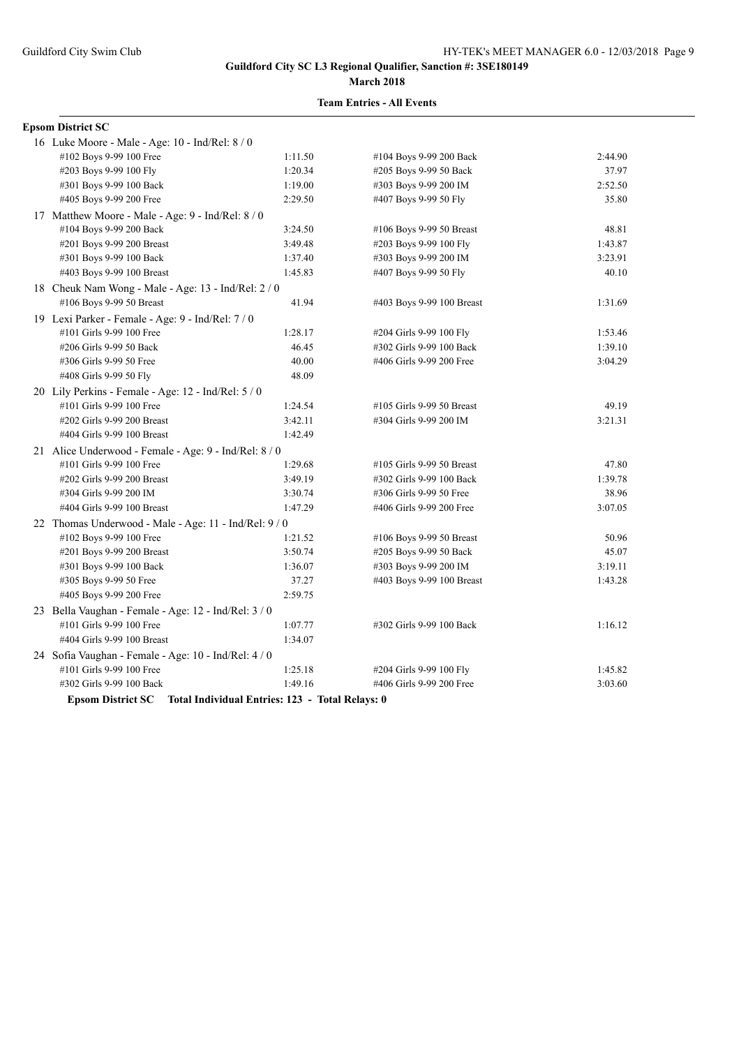#### **March 2018**

#### **Team Entries - All Events**

#### **Epsom District SC**

| 16 Luke Moore - Male - Age: 10 - Ind/Rel: 8 / 0       |                                                                   |                           |         |
|-------------------------------------------------------|-------------------------------------------------------------------|---------------------------|---------|
| #102 Boys 9-99 100 Free                               | 1:11.50                                                           | #104 Boys 9-99 200 Back   | 2:44.90 |
| #203 Boys 9-99 100 Fly                                | 1:20.34                                                           | #205 Boys 9-99 50 Back    | 37.97   |
| #301 Boys 9-99 100 Back                               | 1:19.00                                                           | #303 Boys 9-99 200 IM     | 2:52.50 |
| #405 Boys 9-99 200 Free                               | 2:29.50                                                           | #407 Boys 9-99 50 Fly     | 35.80   |
| 17 Matthew Moore - Male - Age: 9 - Ind/Rel: 8 / 0     |                                                                   |                           |         |
| #104 Boys 9-99 200 Back                               | 3:24.50                                                           | #106 Boys 9-99 50 Breast  | 48.81   |
| #201 Boys 9-99 200 Breast                             | 3:49.48                                                           | #203 Boys 9-99 100 Fly    | 1:43.87 |
| #301 Boys 9-99 100 Back                               | 1:37.40                                                           | #303 Boys 9-99 200 IM     | 3:23.91 |
| #403 Boys 9-99 100 Breast                             | 1:45.83                                                           | #407 Boys 9-99 50 Fly     | 40.10   |
| 18 Cheuk Nam Wong - Male - Age: 13 - Ind/Rel: 2 / 0   |                                                                   |                           |         |
| #106 Boys 9-99 50 Breast                              | 41.94                                                             | #403 Boys 9-99 100 Breast | 1:31.69 |
| 19 Lexi Parker - Female - Age: 9 - Ind/Rel: 7 / 0     |                                                                   |                           |         |
| #101 Girls 9-99 100 Free                              | 1:28.17                                                           | #204 Girls 9-99 100 Fly   | 1:53.46 |
| #206 Girls 9-99 50 Back                               | 46.45                                                             | #302 Girls 9-99 100 Back  | 1:39.10 |
| #306 Girls 9-99 50 Free                               | 40.00                                                             | #406 Girls 9-99 200 Free  | 3:04.29 |
| #408 Girls 9-99 50 Fly                                | 48.09                                                             |                           |         |
| 20 Lily Perkins - Female - Age: 12 - Ind/Rel: 5 / 0   |                                                                   |                           |         |
| #101 Girls 9-99 100 Free                              | 1:24.54                                                           | #105 Girls 9-99 50 Breast | 49.19   |
| #202 Girls 9-99 200 Breast                            | 3:42.11                                                           | #304 Girls 9-99 200 IM    | 3:21.31 |
| #404 Girls 9-99 100 Breast                            | 1:42.49                                                           |                           |         |
| 21 Alice Underwood - Female - Age: 9 - Ind/Rel: 8 / 0 |                                                                   |                           |         |
| #101 Girls 9-99 100 Free                              | 1:29.68                                                           | #105 Girls 9-99 50 Breast | 47.80   |
| #202 Girls 9-99 200 Breast                            | 3:49.19                                                           | #302 Girls 9-99 100 Back  | 1:39.78 |
| #304 Girls 9-99 200 IM                                | 3:30.74                                                           | #306 Girls 9-99 50 Free   | 38.96   |
| #404 Girls 9-99 100 Breast                            | 1:47.29                                                           | #406 Girls 9-99 200 Free  | 3:07.05 |
| 22 Thomas Underwood - Male - Age: 11 - Ind/Rel: 9 / 0 |                                                                   |                           |         |
| #102 Boys 9-99 100 Free                               | 1:21.52                                                           | #106 Boys 9-99 50 Breast  | 50.96   |
| #201 Boys 9-99 200 Breast                             | 3:50.74                                                           | #205 Boys 9-99 50 Back    | 45.07   |
| #301 Boys 9-99 100 Back                               | 1:36.07                                                           | #303 Boys 9-99 200 IM     | 3:19.11 |
| #305 Boys 9-99 50 Free                                | 37.27                                                             | #403 Boys 9-99 100 Breast | 1:43.28 |
| #405 Boys 9-99 200 Free                               | 2:59.75                                                           |                           |         |
| 23 Bella Vaughan - Female - Age: 12 - Ind/Rel: 3 / 0  |                                                                   |                           |         |
| #101 Girls 9-99 100 Free                              | 1:07.77                                                           | #302 Girls 9-99 100 Back  | 1:16.12 |
| #404 Girls 9-99 100 Breast                            | 1:34.07                                                           |                           |         |
| 24 Sofia Vaughan - Female - Age: 10 - Ind/Rel: 4 / 0  |                                                                   |                           |         |
| #101 Girls 9-99 100 Free                              | 1:25.18                                                           | #204 Girls 9-99 100 Fly   | 1:45.82 |
| #302 Girls 9-99 100 Back                              | 1:49.16                                                           | #406 Girls 9-99 200 Free  | 3:03.60 |
|                                                       | Epsom District SC Total Individual Entries: 123 - Total Relays: 0 |                           |         |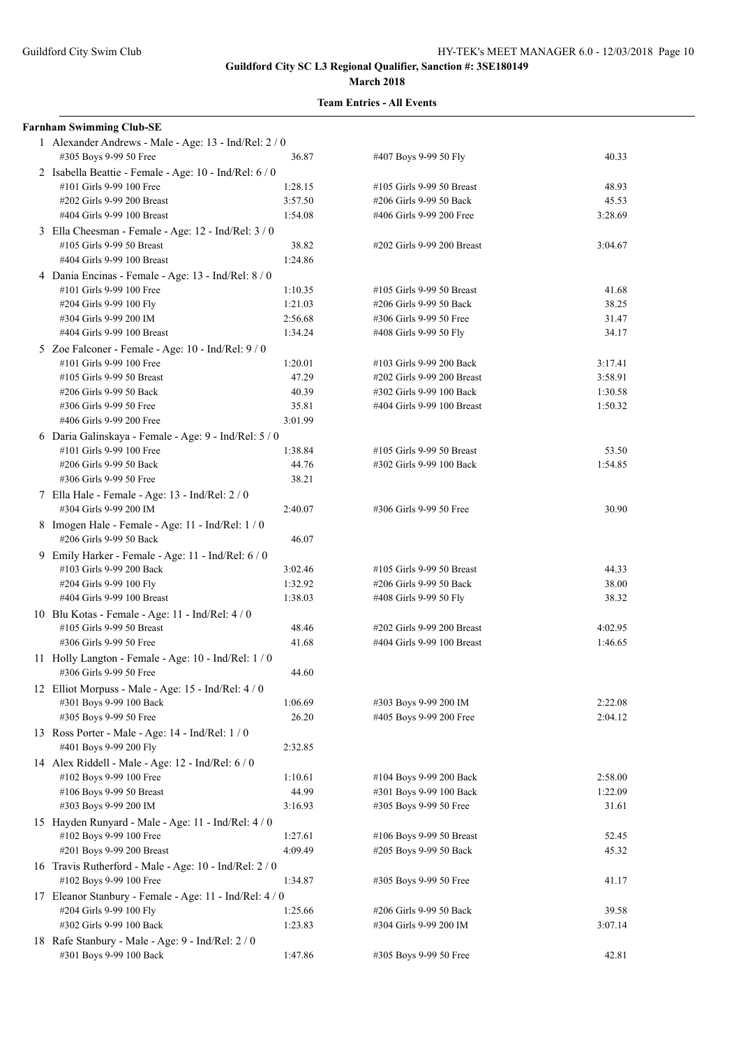| <b>Farnham Swimming Club-SE</b>                                                 |         |                            |         |
|---------------------------------------------------------------------------------|---------|----------------------------|---------|
| 1 Alexander Andrews - Male - Age: 13 - Ind/Rel: 2 / 0<br>#305 Boys 9-99 50 Free | 36.87   | #407 Boys 9-99 50 Fly      | 40.33   |
| 2 Isabella Beattie - Female - Age: 10 - Ind/Rel: 6 / 0                          |         |                            |         |
| #101 Girls 9-99 100 Free                                                        | 1:28.15 | #105 Girls 9-99 50 Breast  | 48.93   |
| #202 Girls 9-99 200 Breast                                                      | 3:57.50 | #206 Girls 9-99 50 Back    | 45.53   |
| #404 Girls 9-99 100 Breast                                                      | 1:54.08 | #406 Girls 9-99 200 Free   | 3:28.69 |
| 3 Ella Cheesman - Female - Age: 12 - Ind/Rel: 3 / 0                             |         |                            |         |
| #105 Girls 9-99 50 Breast                                                       | 38.82   | #202 Girls 9-99 200 Breast | 3:04.67 |
| #404 Girls 9-99 100 Breast                                                      | 1:24.86 |                            |         |
| 4 Dania Encinas - Female - Age: 13 - Ind/Rel: 8 / 0                             |         |                            |         |
| #101 Girls 9-99 100 Free                                                        | 1:10.35 | #105 Girls 9-99 50 Breast  | 41.68   |
| #204 Girls 9-99 100 Fly                                                         | 1:21.03 | #206 Girls 9-99 50 Back    | 38.25   |
| #304 Girls 9-99 200 IM                                                          | 2:56.68 | #306 Girls 9-99 50 Free    | 31.47   |
| #404 Girls 9-99 100 Breast                                                      | 1:34.24 | #408 Girls 9-99 50 Fly     | 34.17   |
| 5 Zoe Falconer - Female - Age: 10 - Ind/Rel: 9 / 0                              |         |                            |         |
| #101 Girls 9-99 100 Free                                                        | 1:20.01 | #103 Girls 9-99 200 Back   | 3:17.41 |
| #105 Girls 9-99 50 Breast                                                       | 47.29   | #202 Girls 9-99 200 Breast | 3:58.91 |
| #206 Girls 9-99 50 Back                                                         | 40.39   | #302 Girls 9-99 100 Back   | 1:30.58 |
| #306 Girls 9-99 50 Free                                                         | 35.81   | #404 Girls 9-99 100 Breast | 1:50.32 |
| #406 Girls 9-99 200 Free                                                        | 3:01.99 |                            |         |
| 6 Daria Galinskaya - Female - Age: 9 - Ind/Rel: 5 / 0                           |         |                            |         |
| #101 Girls 9-99 100 Free                                                        | 1:38.84 | #105 Girls 9-99 50 Breast  | 53.50   |
| #206 Girls 9-99 50 Back                                                         | 44.76   | #302 Girls 9-99 100 Back   | 1:54.85 |
| #306 Girls 9-99 50 Free                                                         | 38.21   |                            |         |
| 7 Ella Hale - Female - Age: 13 - Ind/Rel: 2 / 0<br>#304 Girls 9-99 200 IM       | 2:40.07 | #306 Girls 9-99 50 Free    | 30.90   |
| 8 Imogen Hale - Female - Age: 11 - Ind/Rel: 1 / 0<br>#206 Girls 9-99 50 Back    | 46.07   |                            |         |
| 9 Emily Harker - Female - Age: 11 - Ind/Rel: 6 / 0                              |         |                            |         |
| #103 Girls 9-99 200 Back                                                        | 3:02.46 | #105 Girls 9-99 50 Breast  | 44.33   |
| #204 Girls 9-99 100 Fly                                                         | 1:32.92 | #206 Girls 9-99 50 Back    | 38.00   |
| #404 Girls 9-99 100 Breast                                                      | 1:38.03 | #408 Girls 9-99 50 Fly     | 38.32   |
| 10 Blu Kotas - Female - Age: 11 - Ind/Rel: $4/0$                                |         |                            |         |
| #105 Girls 9-99 50 Breast                                                       | 48.46   | #202 Girls 9-99 200 Breast | 4:02.95 |
| #306 Girls 9-99 50 Free                                                         | 41.68   | #404 Girls 9-99 100 Breast | 1:46.65 |
| 11 Holly Langton - Female - Age: 10 - Ind/Rel: 1 / 0                            |         |                            |         |
| #306 Girls 9-99 50 Free                                                         | 44.60   |                            |         |
| 12 Elliot Morpuss - Male - Age: 15 - Ind/Rel: 4 / 0                             |         |                            |         |
| #301 Boys 9-99 100 Back                                                         | 1:06.69 | #303 Boys 9-99 200 IM      | 2:22.08 |
| #305 Boys 9-99 50 Free                                                          | 26.20   | #405 Boys 9-99 200 Free    | 2:04.12 |
| 13 Ross Porter - Male - Age: 14 - Ind/Rel: 1 / 0<br>#401 Boys 9-99 200 Fly      | 2:32.85 |                            |         |
| 14 Alex Riddell - Male - Age: 12 - Ind/Rel: 6 / 0                               |         |                            |         |
| #102 Boys 9-99 100 Free                                                         | 1:10.61 | #104 Boys 9-99 200 Back    | 2:58.00 |
| #106 Boys 9-99 50 Breast                                                        | 44.99   | #301 Boys 9-99 100 Back    | 1:22.09 |
| #303 Boys 9-99 200 IM                                                           | 3:16.93 | #305 Boys 9-99 50 Free     | 31.61   |
| 15 Hayden Runyard - Male - Age: 11 - Ind/Rel: 4 / 0                             |         |                            |         |
| #102 Boys 9-99 100 Free                                                         | 1:27.61 | #106 Boys 9-99 50 Breast   | 52.45   |
| #201 Boys 9-99 200 Breast                                                       | 4:09.49 | #205 Boys 9-99 50 Back     | 45.32   |
| 16 Travis Rutherford - Male - Age: 10 - Ind/Rel: 2/0<br>#102 Boys 9-99 100 Free | 1:34.87 | #305 Boys 9-99 50 Free     | 41.17   |
| 17 Eleanor Stanbury - Female - Age: 11 - Ind/Rel: 4 / 0                         |         |                            |         |
| #204 Girls 9-99 100 Fly                                                         | 1:25.66 | #206 Girls 9-99 50 Back    | 39.58   |
| #302 Girls 9-99 100 Back                                                        | 1:23.83 | #304 Girls 9-99 200 IM     | 3:07.14 |
| 18 Rafe Stanbury - Male - Age: 9 - Ind/Rel: 2 / 0                               |         |                            |         |
| #301 Boys 9-99 100 Back                                                         | 1:47.86 | #305 Boys 9-99 50 Free     | 42.81   |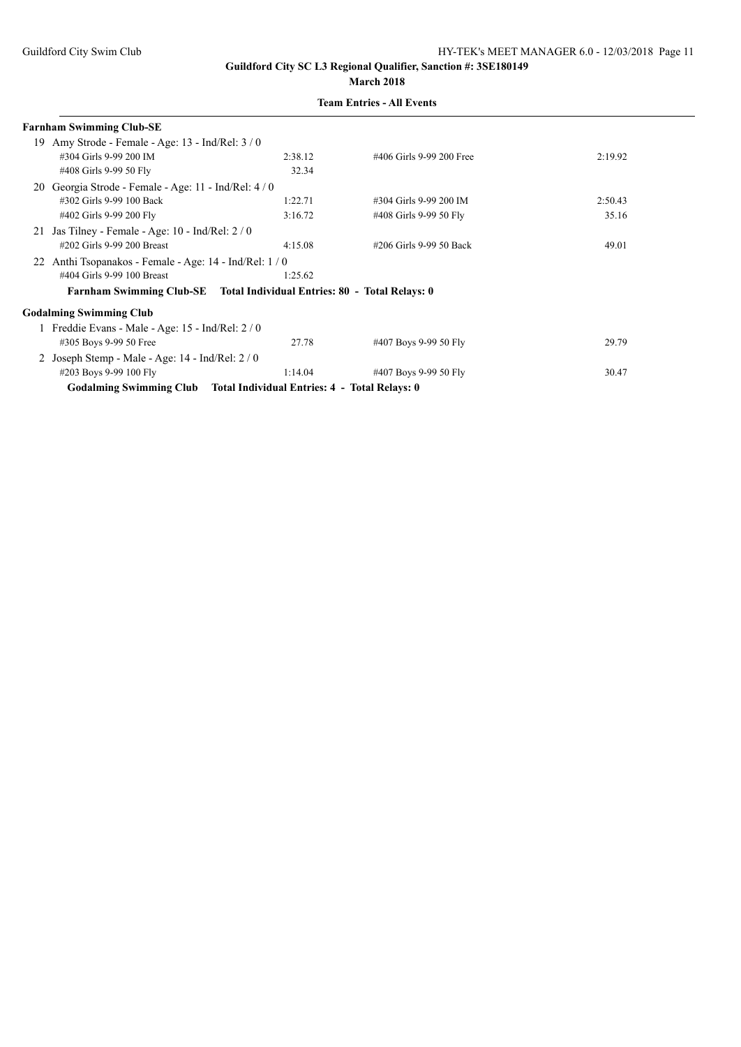|    | <b>Farnham Swimming Club-SE</b>                                         |         |                          |         |
|----|-------------------------------------------------------------------------|---------|--------------------------|---------|
|    | 19 Amy Strode - Female - Age: 13 - Ind/Rel: $3/0$                       |         |                          |         |
|    | #304 Girls 9-99 200 IM                                                  | 2:38.12 | #406 Girls 9-99 200 Free | 2:19.92 |
|    | #408 Girls 9-99 50 Fly                                                  | 32.34   |                          |         |
| 20 | Georgia Strode - Female - Age: 11 - Ind/Rel: 4/0                        |         |                          |         |
|    | #302 Girls 9-99 100 Back                                                | 1:22.71 | #304 Girls 9-99 200 IM   | 2:50.43 |
|    | #402 Girls 9-99 200 Fly                                                 | 3:16.72 | #408 Girls 9-99 50 Fly   | 35.16   |
|    | 21 Jas Tilney - Female - Age: $10$ - Ind/Rel: $2/0$                     |         |                          |         |
|    | #202 Girls 9-99 200 Breast                                              | 4:15.08 | #206 Girls 9-99 50 Back  | 49.01   |
| 22 | Anthi Tsopanakos - Female - Age: 14 - Ind/Rel: 1/0                      |         |                          |         |
|    | #404 Girls 9-99 100 Breast                                              | 1:25.62 |                          |         |
|    | Farnham Swimming Club-SE Total Individual Entries: 80 - Total Relays: 0 |         |                          |         |
|    | <b>Godalming Swimming Club</b>                                          |         |                          |         |
|    | 1 Freddie Evans - Male - Age: $15$ - Ind/Rel: $2/0$                     |         |                          |         |
|    | #305 Boys 9-99 50 Free                                                  | 27.78   | #407 Boys 9-99 50 Fly    | 29.79   |
| 2  | Joseph Stemp - Male - Age: 14 - Ind/Rel: 2 / 0                          |         |                          |         |
|    | #203 Boys 9-99 100 Fly                                                  | 1:14.04 | #407 Boys 9-99 50 Fly    | 30.47   |
|    | Godalming Swimming Club Total Individual Entries: 4 - Total Relays: 0   |         |                          |         |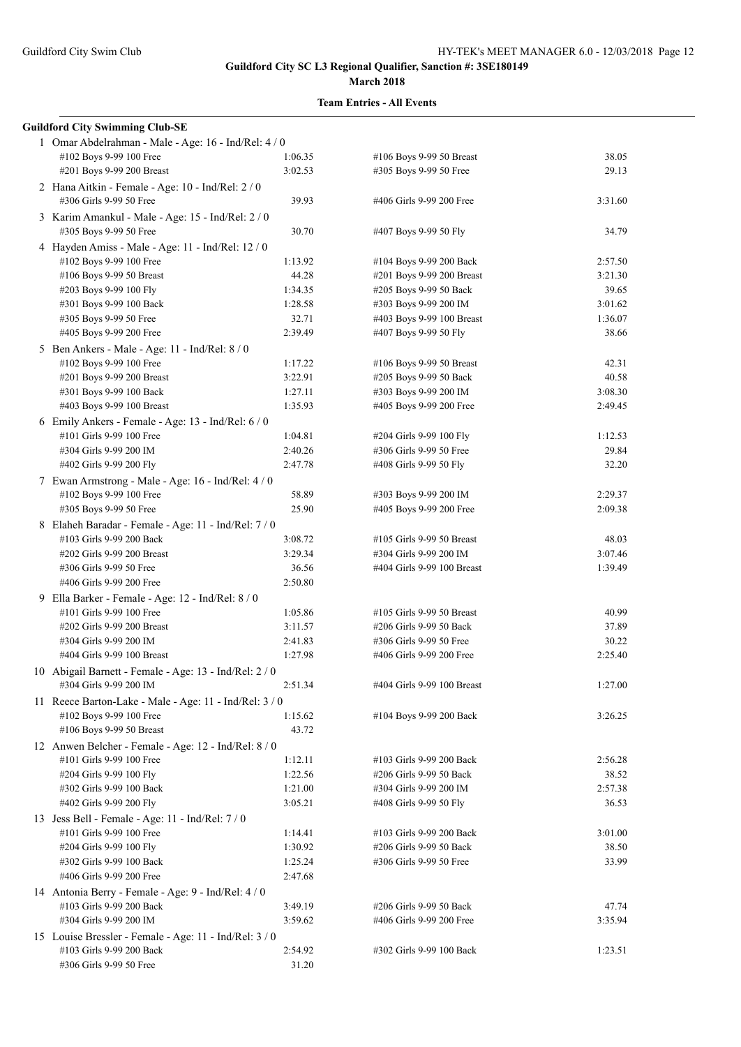| <b>Guildford City Swimming Club-SE</b>                                           |         |                                                    |                |
|----------------------------------------------------------------------------------|---------|----------------------------------------------------|----------------|
| 1 Omar Abdelrahman - Male - Age: 16 - Ind/Rel: 4 / 0                             |         |                                                    |                |
| #102 Boys 9-99 100 Free                                                          | 1:06.35 | #106 Boys 9-99 50 Breast                           | 38.05          |
| #201 Boys 9-99 200 Breast                                                        | 3:02.53 | #305 Boys 9-99 50 Free                             | 29.13          |
| 2 Hana Aitkin - Female - Age: 10 - Ind/Rel: 2 / 0                                |         |                                                    |                |
| #306 Girls 9-99 50 Free                                                          | 39.93   | #406 Girls 9-99 200 Free                           | 3:31.60        |
| 3 Karim Amankul - Male - Age: 15 - Ind/Rel: 2 / 0                                |         |                                                    |                |
| #305 Boys 9-99 50 Free                                                           | 30.70   | #407 Boys 9-99 50 Fly                              | 34.79          |
| 4 Hayden Amiss - Male - Age: 11 - Ind/Rel: 12 / 0                                |         |                                                    |                |
| #102 Boys 9-99 100 Free                                                          | 1:13.92 | #104 Boys 9-99 200 Back                            | 2:57.50        |
| #106 Boys 9-99 50 Breast                                                         | 44.28   | #201 Boys 9-99 200 Breast                          | 3:21.30        |
| #203 Boys 9-99 100 Fly                                                           | 1:34.35 | #205 Boys 9-99 50 Back                             | 39.65          |
| #301 Boys 9-99 100 Back                                                          | 1:28.58 | #303 Boys 9-99 200 IM                              | 3:01.62        |
| #305 Boys 9-99 50 Free                                                           | 32.71   | #403 Boys 9-99 100 Breast                          | 1:36.07        |
| #405 Boys 9-99 200 Free                                                          | 2:39.49 | #407 Boys 9-99 50 Fly                              | 38.66          |
| 5 Ben Ankers - Male - Age: 11 - Ind/Rel: 8 / 0                                   |         |                                                    |                |
| #102 Boys 9-99 100 Free                                                          | 1:17.22 | #106 Boys 9-99 50 Breast                           | 42.31          |
| #201 Boys 9-99 200 Breast                                                        | 3:22.91 | #205 Boys 9-99 50 Back                             | 40.58          |
| #301 Boys 9-99 100 Back                                                          | 1:27.11 | #303 Boys 9-99 200 IM                              | 3:08.30        |
| #403 Boys 9-99 100 Breast                                                        | 1:35.93 | #405 Boys 9-99 200 Free                            | 2:49.45        |
| 6 Emily Ankers - Female - Age: 13 - Ind/Rel: 6 / 0                               |         |                                                    |                |
| #101 Girls 9-99 100 Free                                                         | 1:04.81 | #204 Girls 9-99 100 Fly                            | 1:12.53        |
| #304 Girls 9-99 200 IM                                                           | 2:40.26 | #306 Girls 9-99 50 Free                            | 29.84          |
| #402 Girls 9-99 200 Fly                                                          | 2:47.78 | #408 Girls 9-99 50 Fly                             | 32.20          |
| 7 Ewan Armstrong - Male - Age: 16 - Ind/Rel: 4 / 0                               |         |                                                    |                |
| #102 Boys 9-99 100 Free                                                          | 58.89   | #303 Boys 9-99 200 IM                              | 2:29.37        |
| #305 Boys 9-99 50 Free                                                           | 25.90   | #405 Boys 9-99 200 Free                            | 2:09.38        |
| 8 Elaheh Baradar - Female - Age: 11 - Ind/Rel: 7 / 0                             |         |                                                    |                |
| #103 Girls 9-99 200 Back                                                         | 3:08.72 | #105 Girls 9-99 50 Breast                          | 48.03          |
| #202 Girls 9-99 200 Breast                                                       | 3:29.34 | #304 Girls 9-99 200 IM                             | 3:07.46        |
| #306 Girls 9-99 50 Free                                                          | 36.56   | #404 Girls 9-99 100 Breast                         | 1:39.49        |
| #406 Girls 9-99 200 Free                                                         | 2:50.80 |                                                    |                |
| 9 Ella Barker - Female - Age: 12 - Ind/Rel: 8 / 0                                |         |                                                    |                |
| #101 Girls 9-99 100 Free                                                         | 1:05.86 | #105 Girls 9-99 50 Breast                          | 40.99          |
| #202 Girls 9-99 200 Breast                                                       | 3:11.57 | #206 Girls 9-99 50 Back                            | 37.89          |
| #304 Girls 9-99 200 IM                                                           | 2:41.83 | #306 Girls 9-99 50 Free                            | 30.22          |
| #404 Girls 9-99 100 Breast                                                       | 1:27.98 | #406 Girls 9-99 200 Free                           | 2:25.40        |
| 10 Abigail Barnett - Female - Age: 13 - Ind/Rel: 2 / 0                           |         |                                                    |                |
| #304 Girls 9-99 200 IM                                                           | 2:51.34 | #404 Girls 9-99 100 Breast                         | 1:27.00        |
| 11 Reece Barton-Lake - Male - Age: 11 - Ind/Rel: 3 / 0                           |         |                                                    |                |
| #102 Boys 9-99 100 Free                                                          | 1:15.62 | #104 Boys 9-99 200 Back                            | 3:26.25        |
| #106 Boys 9-99 50 Breast                                                         | 43.72   |                                                    |                |
|                                                                                  |         |                                                    |                |
| 12 Anwen Belcher - Female - Age: 12 - Ind/Rel: 8 / 0<br>#101 Girls 9-99 100 Free | 1:12.11 | #103 Girls 9-99 200 Back                           | 2:56.28        |
| #204 Girls 9-99 100 Fly                                                          | 1:22.56 | #206 Girls 9-99 50 Back                            | 38.52          |
| #302 Girls 9-99 100 Back                                                         | 1:21.00 | #304 Girls 9-99 200 IM                             | 2:57.38        |
| #402 Girls 9-99 200 Fly                                                          | 3:05.21 | #408 Girls 9-99 50 Fly                             | 36.53          |
|                                                                                  |         |                                                    |                |
| 13 Jess Bell - Female - Age: 11 - Ind/Rel: $7/0$                                 |         |                                                    | 3:01.00        |
| #101 Girls 9-99 100 Free                                                         | 1:14.41 | #103 Girls 9-99 200 Back                           |                |
| #204 Girls 9-99 100 Fly<br>#302 Girls 9-99 100 Back                              | 1:30.92 | #206 Girls 9-99 50 Back<br>#306 Girls 9-99 50 Free | 38.50<br>33.99 |
| #406 Girls 9-99 200 Free                                                         | 1:25.24 |                                                    |                |
|                                                                                  | 2:47.68 |                                                    |                |
| 14 Antonia Berry - Female - Age: 9 - Ind/Rel: 4 / 0                              |         |                                                    |                |
| #103 Girls 9-99 200 Back                                                         | 3:49.19 | #206 Girls 9-99 50 Back                            | 47.74          |
| #304 Girls 9-99 200 IM                                                           | 3:59.62 | #406 Girls 9-99 200 Free                           | 3:35.94        |
| 15 Louise Bressler - Female - Age: 11 - Ind/Rel: 3 / 0                           |         |                                                    |                |
| #103 Girls 9-99 200 Back                                                         | 2:54.92 | #302 Girls 9-99 100 Back                           | 1:23.51        |
| #306 Girls 9-99 50 Free                                                          | 31.20   |                                                    |                |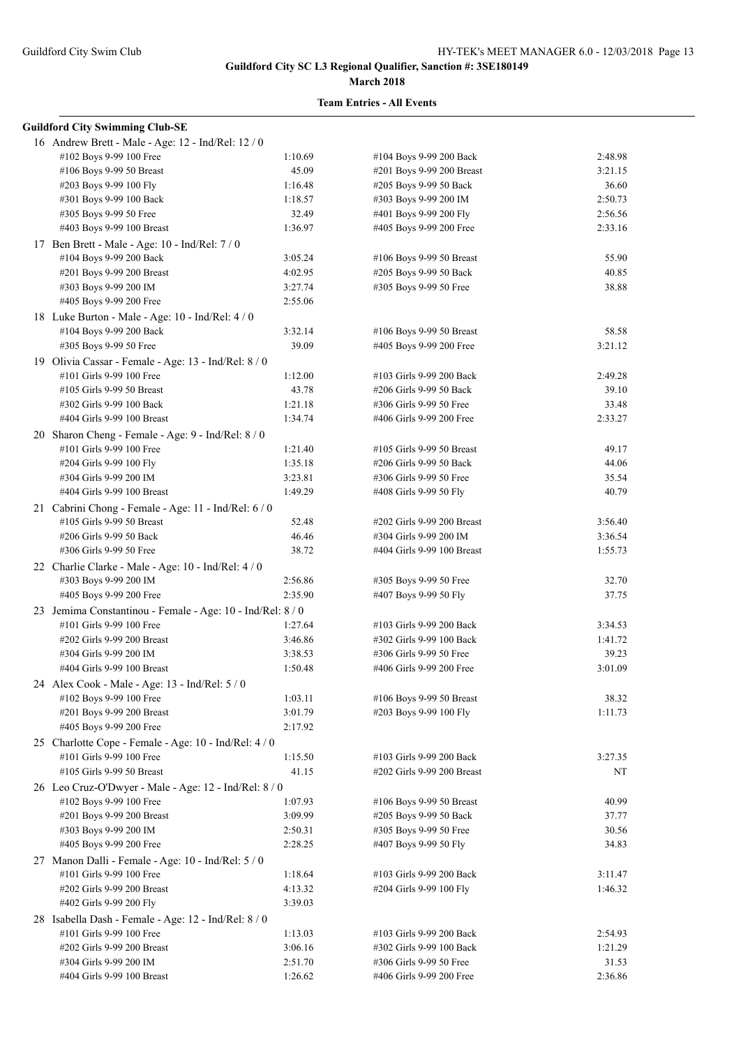#### **March 2018**

| <b>Guildford City Swimming Club-SE</b>                     |         |                            |         |
|------------------------------------------------------------|---------|----------------------------|---------|
| 16 Andrew Brett - Male - Age: 12 - Ind/Rel: 12 / 0         |         |                            |         |
| #102 Boys 9-99 100 Free                                    | 1:10.69 | #104 Boys 9-99 200 Back    | 2:48.98 |
| #106 Boys 9-99 50 Breast                                   | 45.09   | #201 Boys 9-99 200 Breast  | 3:21.15 |
| #203 Boys 9-99 100 Fly                                     | 1:16.48 | #205 Boys 9-99 50 Back     | 36.60   |
| #301 Boys 9-99 100 Back                                    | 1:18.57 | #303 Boys 9-99 200 IM      | 2:50.73 |
| #305 Boys 9-99 50 Free                                     | 32.49   | #401 Boys 9-99 200 Fly     | 2:56.56 |
| #403 Boys 9-99 100 Breast                                  | 1:36.97 | #405 Boys 9-99 200 Free    | 2:33.16 |
| 17 Ben Brett - Male - Age: 10 - Ind/Rel: 7 / 0             |         |                            |         |
| #104 Boys 9-99 200 Back                                    | 3:05.24 | #106 Boys 9-99 50 Breast   | 55.90   |
| #201 Boys 9-99 200 Breast                                  | 4:02.95 | #205 Boys 9-99 50 Back     | 40.85   |
| #303 Boys 9-99 200 IM                                      | 3:27.74 | #305 Boys 9-99 50 Free     | 38.88   |
| #405 Boys 9-99 200 Free                                    | 2:55.06 |                            |         |
| 18 Luke Burton - Male - Age: 10 - Ind/Rel: 4 / 0           |         |                            |         |
| #104 Boys 9-99 200 Back                                    | 3:32.14 | #106 Boys 9-99 50 Breast   | 58.58   |
| #305 Boys 9-99 50 Free                                     | 39.09   | #405 Boys 9-99 200 Free    | 3:21.12 |
| 19 Olivia Cassar - Female - Age: 13 - Ind/Rel: 8 / 0       |         |                            |         |
| #101 Girls 9-99 100 Free                                   | 1:12.00 | #103 Girls 9-99 200 Back   | 2:49.28 |
| #105 Girls 9-99 50 Breast                                  | 43.78   | #206 Girls 9-99 50 Back    | 39.10   |
| #302 Girls 9-99 100 Back                                   | 1:21.18 | #306 Girls 9-99 50 Free    | 33.48   |
| #404 Girls 9-99 100 Breast                                 | 1:34.74 | #406 Girls 9-99 200 Free   | 2:33.27 |
|                                                            |         |                            |         |
| 20 Sharon Cheng - Female - Age: 9 - Ind/Rel: 8 / 0         |         |                            |         |
| #101 Girls 9-99 100 Free                                   | 1:21.40 | #105 Girls 9-99 50 Breast  | 49.17   |
| #204 Girls 9-99 100 Fly                                    | 1:35.18 | #206 Girls 9-99 50 Back    | 44.06   |
| #304 Girls 9-99 200 IM                                     | 3:23.81 | #306 Girls 9-99 50 Free    | 35.54   |
| #404 Girls 9-99 100 Breast                                 | 1:49.29 | #408 Girls 9-99 50 Fly     | 40.79   |
| 21 Cabrini Chong - Female - Age: 11 - Ind/Rel: 6 / 0       |         |                            |         |
| #105 Girls 9-99 50 Breast                                  | 52.48   | #202 Girls 9-99 200 Breast | 3:56.40 |
| #206 Girls 9-99 50 Back                                    | 46.46   | #304 Girls 9-99 200 IM     | 3:36.54 |
| #306 Girls 9-99 50 Free                                    | 38.72   | #404 Girls 9-99 100 Breast | 1:55.73 |
| 22 Charlie Clarke - Male - Age: 10 - Ind/Rel: 4 / 0        |         |                            |         |
| #303 Boys 9-99 200 IM                                      | 2:56.86 | #305 Boys 9-99 50 Free     | 32.70   |
| #405 Boys 9-99 200 Free                                    | 2:35.90 | #407 Boys 9-99 50 Fly      | 37.75   |
| 23 Jemima Constantinou - Female - Age: 10 - Ind/Rel: 8 / 0 |         |                            |         |
| #101 Girls 9-99 100 Free                                   | 1:27.64 | #103 Girls 9-99 200 Back   | 3:34.53 |
| #202 Girls 9-99 200 Breast                                 | 3:46.86 | #302 Girls 9-99 100 Back   | 1:41.72 |
| #304 Girls 9-99 200 IM                                     | 3:38.53 | #306 Girls 9-99 50 Free    | 39.23   |
| #404 Girls 9-99 100 Breast                                 | 1:50.48 | #406 Girls 9-99 200 Free   | 3:01.09 |
| 24 Alex Cook - Male - Age: 13 - Ind/Rel: 5 / 0             |         |                            |         |
| #102 Boys 9-99 100 Free                                    | 1:03.11 | #106 Boys 9-99 50 Breast   | 38.32   |
| #201 Boys 9-99 200 Breast                                  | 3:01.79 | #203 Boys 9-99 100 Fly     | 1:11.73 |
| #405 Boys 9-99 200 Free                                    | 2:17.92 |                            |         |
| 25 Charlotte Cope - Female - Age: 10 - Ind/Rel: 4 / 0      |         |                            |         |
| #101 Girls 9-99 100 Free                                   | 1:15.50 | #103 Girls 9-99 200 Back   | 3:27.35 |
| #105 Girls 9-99 50 Breast                                  | 41.15   | #202 Girls 9-99 200 Breast | NT      |
| 26 Leo Cruz-O'Dwyer - Male - Age: 12 - Ind/Rel: 8 / 0      |         |                            |         |
| #102 Boys 9-99 100 Free                                    | 1:07.93 | #106 Boys 9-99 50 Breast   | 40.99   |
| #201 Boys 9-99 200 Breast                                  | 3:09.99 | #205 Boys 9-99 50 Back     | 37.77   |
| #303 Boys 9-99 200 IM                                      | 2:50.31 | #305 Boys 9-99 50 Free     | 30.56   |
| #405 Boys 9-99 200 Free                                    | 2:28.25 | #407 Boys 9-99 50 Fly      | 34.83   |
| 27 Manon Dalli - Female - Age: 10 - Ind/Rel: 5 / 0         |         |                            |         |
| #101 Girls 9-99 100 Free                                   | 1:18.64 | #103 Girls 9-99 200 Back   | 3:11.47 |
| #202 Girls 9-99 200 Breast                                 | 4:13.32 | #204 Girls 9-99 100 Fly    | 1:46.32 |
| #402 Girls 9-99 200 Fly                                    | 3:39.03 |                            |         |
| 28 Isabella Dash - Female - Age: 12 - Ind/Rel: 8 / 0       |         |                            |         |
| #101 Girls 9-99 100 Free                                   | 1:13.03 | #103 Girls 9-99 200 Back   | 2:54.93 |
| #202 Girls 9-99 200 Breast                                 | 3:06.16 | #302 Girls 9-99 100 Back   | 1:21.29 |
| #304 Girls 9-99 200 IM                                     | 2:51.70 | #306 Girls 9-99 50 Free    | 31.53   |
| #404 Girls 9-99 100 Breast                                 | 1:26.62 | #406 Girls 9-99 200 Free   | 2:36.86 |
|                                                            |         |                            |         |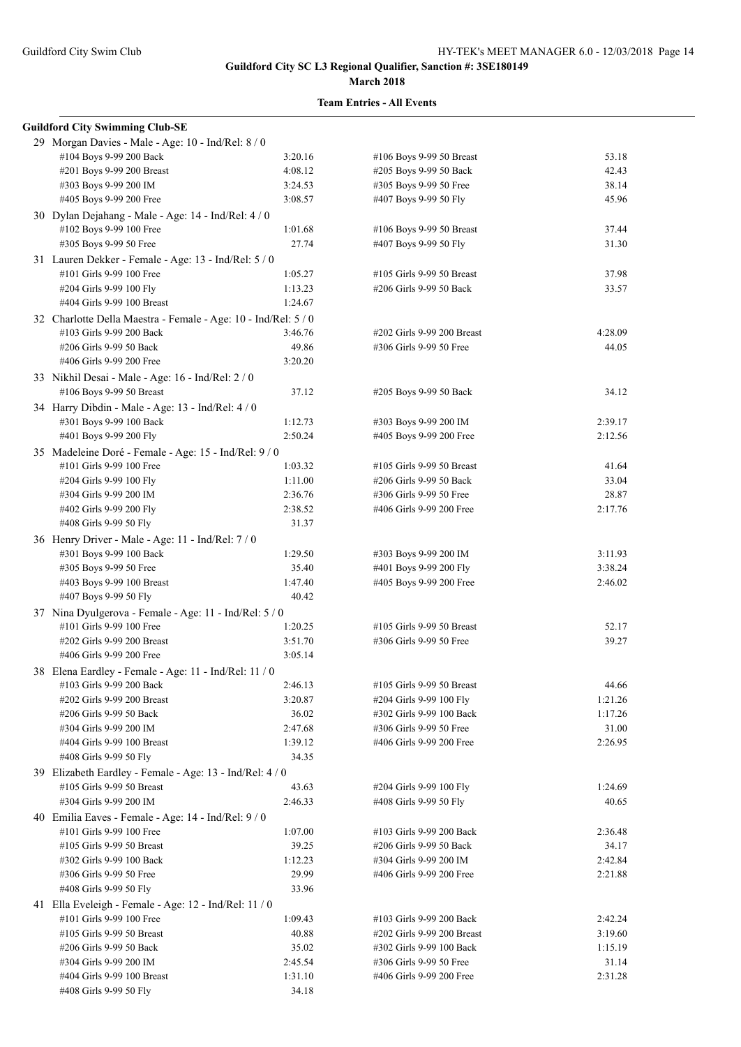#### **March 2018**

| <b>Guildford City Swimming Club-SE</b>                         |         |                            |         |
|----------------------------------------------------------------|---------|----------------------------|---------|
| 29 Morgan Davies - Male - Age: 10 - Ind/Rel: 8 / 0             |         |                            |         |
| #104 Boys 9-99 200 Back                                        | 3:20.16 | #106 Boys 9-99 50 Breast   | 53.18   |
| #201 Boys 9-99 200 Breast                                      | 4:08.12 | #205 Boys 9-99 50 Back     | 42.43   |
| #303 Boys 9-99 200 IM                                          | 3:24.53 | #305 Boys 9-99 50 Free     | 38.14   |
| #405 Boys 9-99 200 Free                                        | 3:08.57 | #407 Boys 9-99 50 Fly      | 45.96   |
| 30 Dylan Dejahang - Male - Age: 14 - Ind/Rel: 4 / 0            |         |                            |         |
| #102 Boys 9-99 100 Free                                        | 1:01.68 | #106 Boys 9-99 50 Breast   | 37.44   |
| #305 Boys 9-99 50 Free                                         | 27.74   | #407 Boys 9-99 50 Fly      | 31.30   |
| 31 Lauren Dekker - Female - Age: 13 - Ind/Rel: 5 / 0           |         |                            |         |
| #101 Girls 9-99 100 Free                                       | 1:05.27 | #105 Girls 9-99 50 Breast  | 37.98   |
| #204 Girls 9-99 100 Fly                                        | 1:13.23 | #206 Girls 9-99 50 Back    | 33.57   |
| #404 Girls 9-99 100 Breast                                     | 1:24.67 |                            |         |
| 32 Charlotte Della Maestra - Female - Age: 10 - Ind/Rel: 5 / 0 |         |                            |         |
| #103 Girls 9-99 200 Back                                       | 3:46.76 | #202 Girls 9-99 200 Breast | 4:28.09 |
| #206 Girls 9-99 50 Back                                        | 49.86   | #306 Girls 9-99 50 Free    | 44.05   |
| #406 Girls 9-99 200 Free                                       | 3:20.20 |                            |         |
| 33 Nikhil Desai - Male - Age: 16 - Ind/Rel: 2 / 0              |         |                            |         |
| #106 Boys 9-99 50 Breast                                       | 37.12   | #205 Boys 9-99 50 Back     | 34.12   |
| 34 Harry Dibdin - Male - Age: 13 - Ind/Rel: 4 / 0              |         |                            |         |
| #301 Boys 9-99 100 Back                                        | 1:12.73 | #303 Boys 9-99 200 IM      | 2:39.17 |
| #401 Boys 9-99 200 Fly                                         | 2:50.24 | #405 Boys 9-99 200 Free    | 2:12.56 |
| 35 Madeleine Doré - Female - Age: 15 - Ind/Rel: 9 / 0          |         |                            |         |
| #101 Girls 9-99 100 Free                                       | 1:03.32 | #105 Girls 9-99 50 Breast  | 41.64   |
| #204 Girls 9-99 100 Fly                                        | 1:11.00 | #206 Girls 9-99 50 Back    | 33.04   |
| #304 Girls 9-99 200 IM                                         | 2:36.76 | #306 Girls 9-99 50 Free    | 28.87   |
| #402 Girls 9-99 200 Fly                                        | 2:38.52 | #406 Girls 9-99 200 Free   | 2:17.76 |
| #408 Girls 9-99 50 Fly                                         | 31.37   |                            |         |
| 36 Henry Driver - Male - Age: 11 - Ind/Rel: 7 / 0              |         |                            |         |
| #301 Boys 9-99 100 Back                                        | 1:29.50 | #303 Boys 9-99 200 IM      | 3:11.93 |
| #305 Boys 9-99 50 Free                                         | 35.40   | #401 Boys 9-99 200 Fly     | 3:38.24 |
| #403 Boys 9-99 100 Breast                                      | 1:47.40 | #405 Boys 9-99 200 Free    | 2:46.02 |
| #407 Boys 9-99 50 Fly                                          | 40.42   |                            |         |
| 37 Nina Dyulgerova - Female - Age: 11 - Ind/Rel: 5 / 0         |         |                            |         |
| #101 Girls 9-99 100 Free                                       | 1:20.25 | #105 Girls 9-99 50 Breast  | 52.17   |
| #202 Girls 9-99 200 Breast                                     | 3:51.70 | #306 Girls 9-99 50 Free    | 39.27   |
| #406 Girls 9-99 200 Free                                       | 3:05.14 |                            |         |
| 38 Elena Eardley - Female - Age: 11 - Ind/Rel: 11 / 0          |         |                            |         |
| #103 Girls 9-99 200 Back                                       | 2:46.13 | #105 Girls 9-99 50 Breast  | 44.66   |
| #202 Girls 9-99 200 Breast                                     | 3:20.87 | #204 Girls 9-99 100 Fly    | 1:21.26 |
| #206 Girls 9-99 50 Back                                        | 36.02   | #302 Girls 9-99 100 Back   | 1:17.26 |
| #304 Girls 9-99 200 IM                                         | 2:47.68 | #306 Girls 9-99 50 Free    | 31.00   |
| #404 Girls 9-99 100 Breast                                     | 1:39.12 | #406 Girls 9-99 200 Free   | 2:26.95 |
| #408 Girls 9-99 50 Fly                                         | 34.35   |                            |         |
| 39 Elizabeth Eardley - Female - Age: 13 - Ind/Rel: 4 / 0       |         |                            |         |
| #105 Girls 9-99 50 Breast                                      | 43.63   | #204 Girls 9-99 100 Fly    | 1:24.69 |
| #304 Girls 9-99 200 IM                                         | 2:46.33 | #408 Girls 9-99 50 Fly     | 40.65   |
| 40 Emilia Eaves - Female - Age: 14 - Ind/Rel: 9 / 0            |         |                            |         |
| #101 Girls 9-99 100 Free                                       | 1:07.00 | #103 Girls 9-99 200 Back   | 2:36.48 |
| #105 Girls 9-99 50 Breast                                      | 39.25   | #206 Girls 9-99 50 Back    | 34.17   |
| #302 Girls 9-99 100 Back                                       | 1:12.23 | #304 Girls 9-99 200 IM     | 2:42.84 |
| #306 Girls 9-99 50 Free                                        | 29.99   | #406 Girls 9-99 200 Free   | 2:21.88 |
| #408 Girls 9-99 50 Fly                                         | 33.96   |                            |         |
| 41 Ella Eveleigh - Female - Age: 12 - Ind/Rel: 11 / 0          |         |                            |         |
| #101 Girls 9-99 100 Free                                       | 1:09.43 | #103 Girls 9-99 200 Back   | 2:42.24 |
| #105 Girls 9-99 50 Breast                                      | 40.88   | #202 Girls 9-99 200 Breast | 3:19.60 |
| #206 Girls 9-99 50 Back                                        | 35.02   | #302 Girls 9-99 100 Back   | 1:15.19 |
| #304 Girls 9-99 200 IM                                         | 2:45.54 | #306 Girls 9-99 50 Free    | 31.14   |
| #404 Girls 9-99 100 Breast                                     | 1:31.10 | #406 Girls 9-99 200 Free   | 2:31.28 |
| #408 Girls 9-99 50 Fly                                         | 34.18   |                            |         |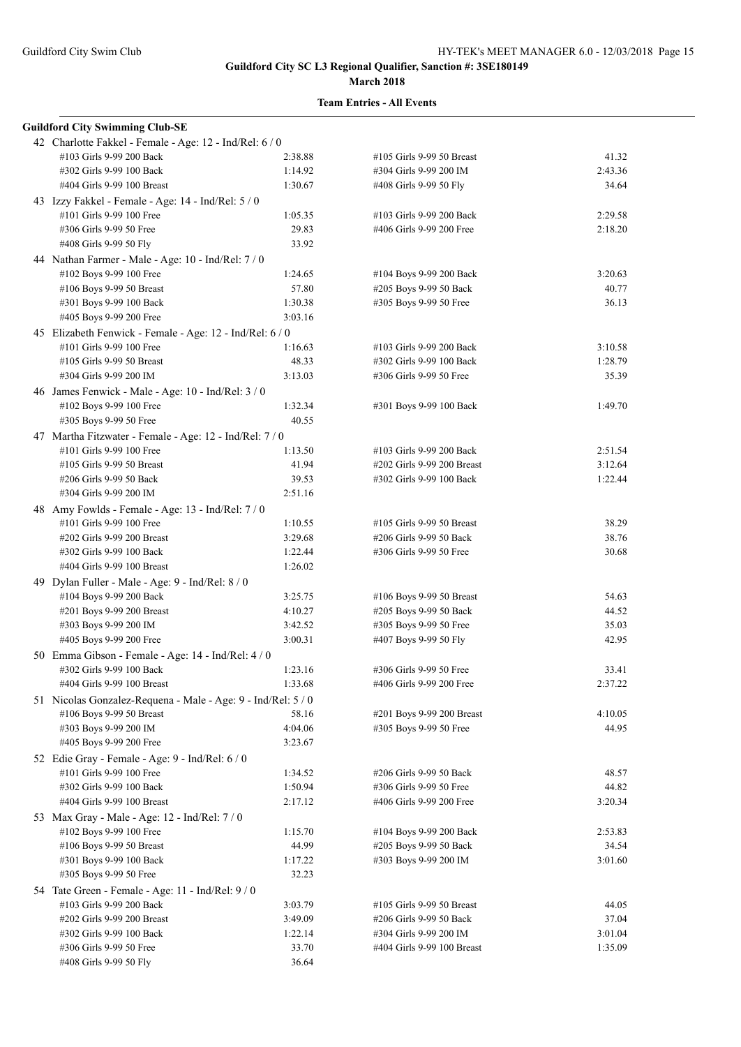| <b>Guildford City Swimming Club-SE</b>                       |         |                            |         |
|--------------------------------------------------------------|---------|----------------------------|---------|
| 42 Charlotte Fakkel - Female - Age: 12 - Ind/Rel: 6 / 0      |         |                            |         |
| #103 Girls 9-99 200 Back                                     | 2:38.88 | #105 Girls 9-99 50 Breast  | 41.32   |
| #302 Girls 9-99 100 Back                                     | 1:14.92 | #304 Girls 9-99 200 IM     | 2:43.36 |
| #404 Girls 9-99 100 Breast                                   | 1:30.67 | #408 Girls 9-99 50 Fly     | 34.64   |
| 43 Izzy Fakkel - Female - Age: 14 - Ind/Rel: 5 / 0           |         |                            |         |
| #101 Girls 9-99 100 Free                                     | 1:05.35 | #103 Girls 9-99 200 Back   | 2:29.58 |
|                                                              |         |                            |         |
| #306 Girls 9-99 50 Free                                      | 29.83   | #406 Girls 9-99 200 Free   | 2:18.20 |
| #408 Girls 9-99 50 Fly                                       | 33.92   |                            |         |
| 44 Nathan Farmer - Male - Age: 10 - Ind/Rel: 7 / 0           |         |                            |         |
| #102 Boys 9-99 100 Free                                      | 1:24.65 | #104 Boys 9-99 200 Back    | 3:20.63 |
| #106 Boys 9-99 50 Breast                                     | 57.80   | #205 Boys 9-99 50 Back     | 40.77   |
| #301 Boys 9-99 100 Back                                      | 1:30.38 | #305 Boys 9-99 50 Free     | 36.13   |
| #405 Boys 9-99 200 Free                                      | 3:03.16 |                            |         |
| 45 Elizabeth Fenwick - Female - Age: 12 - Ind/Rel: 6 / 0     |         |                            |         |
| #101 Girls 9-99 100 Free                                     | 1:16.63 | #103 Girls 9-99 200 Back   | 3:10.58 |
| #105 Girls 9-99 50 Breast                                    | 48.33   | #302 Girls 9-99 100 Back   | 1:28.79 |
| #304 Girls 9-99 200 IM                                       | 3:13.03 | #306 Girls 9-99 50 Free    | 35.39   |
|                                                              |         |                            |         |
| 46 James Fenwick - Male - Age: 10 - Ind/Rel: 3 / 0           |         |                            | 1:49.70 |
| #102 Boys 9-99 100 Free                                      | 1:32.34 | #301 Boys 9-99 100 Back    |         |
| #305 Boys 9-99 50 Free                                       | 40.55   |                            |         |
| 47 Martha Fitzwater - Female - Age: 12 - Ind/Rel: 7 / 0      |         |                            |         |
| #101 Girls 9-99 100 Free                                     | 1:13.50 | #103 Girls 9-99 200 Back   | 2:51.54 |
| #105 Girls 9-99 50 Breast                                    | 41.94   | #202 Girls 9-99 200 Breast | 3:12.64 |
| #206 Girls 9-99 50 Back                                      | 39.53   | #302 Girls 9-99 100 Back   | 1:22.44 |
| #304 Girls 9-99 200 IM                                       | 2:51.16 |                            |         |
| 48 Amy Fowlds - Female - Age: 13 - Ind/Rel: 7/0              |         |                            |         |
| #101 Girls 9-99 100 Free                                     | 1:10.55 | #105 Girls 9-99 50 Breast  | 38.29   |
| #202 Girls 9-99 200 Breast                                   | 3:29.68 | #206 Girls 9-99 50 Back    | 38.76   |
| #302 Girls 9-99 100 Back                                     | 1:22.44 | #306 Girls 9-99 50 Free    | 30.68   |
| #404 Girls 9-99 100 Breast                                   | 1:26.02 |                            |         |
| 49 Dylan Fuller - Male - Age: 9 - Ind/Rel: 8 / 0             |         |                            |         |
|                                                              | 3:25.75 |                            | 54.63   |
| #104 Boys 9-99 200 Back                                      |         | #106 Boys 9-99 50 Breast   |         |
| #201 Boys 9-99 200 Breast                                    | 4:10.27 | #205 Boys 9-99 50 Back     | 44.52   |
| #303 Boys 9-99 200 IM                                        | 3:42.52 | #305 Boys 9-99 50 Free     | 35.03   |
| #405 Boys 9-99 200 Free                                      | 3:00.31 | #407 Boys 9-99 50 Fly      | 42.95   |
| 50 Emma Gibson - Female - Age: 14 - Ind/Rel: 4 / 0           |         |                            |         |
| #302 Girls 9-99 100 Back                                     | 1:23.16 | #306 Girls 9-99 50 Free    | 33.41   |
| #404 Girls 9-99 100 Breast                                   | 1:33.68 | #406 Girls 9-99 200 Free   | 2:37.22 |
| 51 Nicolas Gonzalez-Requena - Male - Age: 9 - Ind/Rel: 5 / 0 |         |                            |         |
| #106 Boys 9-99 50 Breast                                     | 58.16   | #201 Boys 9-99 200 Breast  | 4:10.05 |
| #303 Boys 9-99 200 IM                                        | 4:04.06 | #305 Boys 9-99 50 Free     | 44.95   |
| #405 Boys 9-99 200 Free                                      | 3:23.67 |                            |         |
| 52 Edie Gray - Female - Age: 9 - Ind/Rel: 6 / 0              |         |                            |         |
| #101 Girls 9-99 100 Free                                     | 1:34.52 | #206 Girls 9-99 50 Back    | 48.57   |
| #302 Girls 9-99 100 Back                                     | 1:50.94 | #306 Girls 9-99 50 Free    | 44.82   |
| #404 Girls 9-99 100 Breast                                   | 2:17.12 | #406 Girls 9-99 200 Free   | 3:20.34 |
|                                                              |         |                            |         |
| 53 Max Gray - Male - Age: 12 - Ind/Rel: 7 / 0                |         |                            |         |
| #102 Boys 9-99 100 Free                                      | 1:15.70 | #104 Boys 9-99 200 Back    | 2:53.83 |
| #106 Boys 9-99 50 Breast                                     | 44.99   | #205 Boys 9-99 50 Back     | 34.54   |
| #301 Boys 9-99 100 Back                                      | 1:17.22 | #303 Boys 9-99 200 IM      | 3:01.60 |
| #305 Boys 9-99 50 Free                                       | 32.23   |                            |         |
| 54 Tate Green - Female - Age: 11 - Ind/Rel: 9 / 0            |         |                            |         |
| #103 Girls 9-99 200 Back                                     | 3:03.79 | #105 Girls 9-99 50 Breast  | 44.05   |
| #202 Girls 9-99 200 Breast                                   | 3:49.09 | #206 Girls 9-99 50 Back    | 37.04   |
| #302 Girls 9-99 100 Back                                     | 1:22.14 | #304 Girls 9-99 200 IM     | 3:01.04 |
| #306 Girls 9-99 50 Free                                      | 33.70   | #404 Girls 9-99 100 Breast | 1:35.09 |
| #408 Girls 9-99 50 Fly                                       | 36.64   |                            |         |
|                                                              |         |                            |         |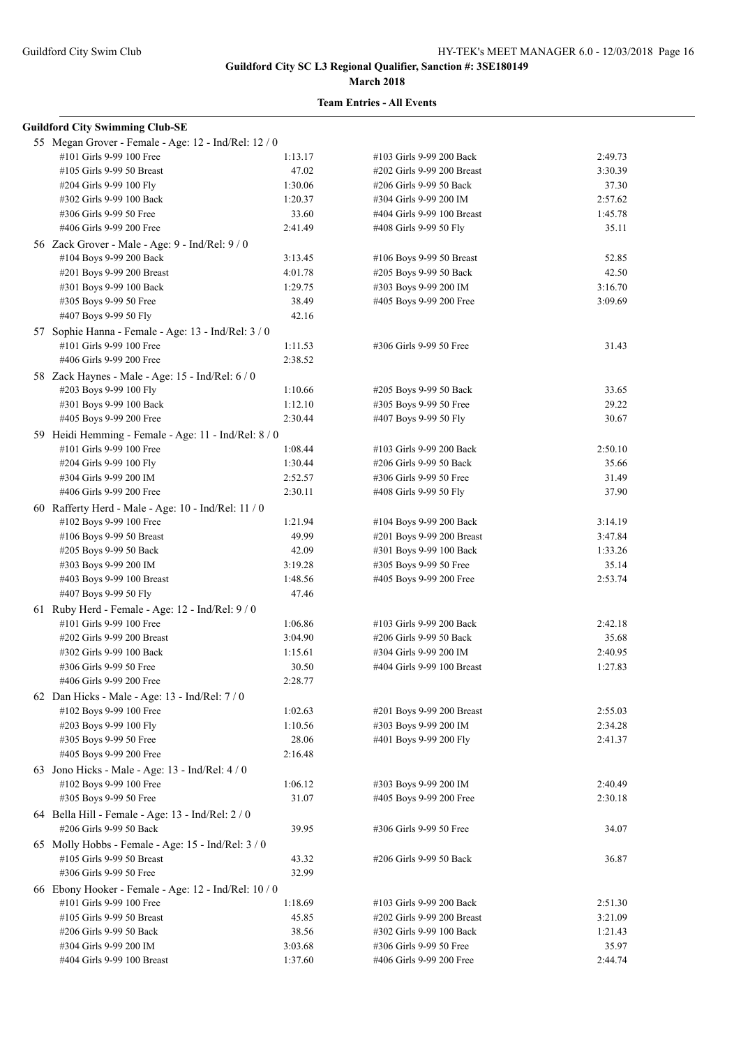#### **March 2018**

| <b>Guildford City Swimming Club-SE</b>                                           |         |                            |         |
|----------------------------------------------------------------------------------|---------|----------------------------|---------|
| 55 Megan Grover - Female - Age: 12 - Ind/Rel: 12 / 0                             |         |                            |         |
| #101 Girls 9-99 100 Free                                                         | 1:13.17 | #103 Girls 9-99 200 Back   | 2:49.73 |
| #105 Girls 9-99 50 Breast                                                        | 47.02   | #202 Girls 9-99 200 Breast | 3:30.39 |
| #204 Girls 9-99 100 Fly                                                          | 1:30.06 | #206 Girls 9-99 50 Back    | 37.30   |
| #302 Girls 9-99 100 Back                                                         | 1:20.37 | #304 Girls 9-99 200 IM     | 2:57.62 |
| #306 Girls 9-99 50 Free                                                          | 33.60   | #404 Girls 9-99 100 Breast | 1:45.78 |
| #406 Girls 9-99 200 Free                                                         | 2:41.49 | #408 Girls 9-99 50 Fly     | 35.11   |
| 56 Zack Grover - Male - Age: 9 - Ind/Rel: 9 / 0                                  |         |                            |         |
| #104 Boys 9-99 200 Back                                                          | 3:13.45 | #106 Boys 9-99 50 Breast   | 52.85   |
| #201 Boys 9-99 200 Breast                                                        | 4:01.78 | #205 Boys 9-99 50 Back     | 42.50   |
| #301 Boys 9-99 100 Back                                                          | 1:29.75 | #303 Boys 9-99 200 IM      | 3:16.70 |
| #305 Boys 9-99 50 Free                                                           | 38.49   | #405 Boys 9-99 200 Free    | 3:09.69 |
| #407 Boys 9-99 50 Fly                                                            | 42.16   |                            |         |
| 57 Sophie Hanna - Female - Age: 13 - Ind/Rel: 3 / 0                              |         |                            |         |
| #101 Girls 9-99 100 Free                                                         | 1:11.53 | #306 Girls 9-99 50 Free    | 31.43   |
| #406 Girls 9-99 200 Free                                                         | 2:38.52 |                            |         |
| 58 Zack Haynes - Male - Age: 15 - Ind/Rel: 6 / 0                                 |         |                            |         |
| #203 Boys 9-99 100 Fly                                                           | 1:10.66 | #205 Boys 9-99 50 Back     | 33.65   |
| #301 Boys 9-99 100 Back                                                          | 1:12.10 | #305 Boys 9-99 50 Free     | 29.22   |
| #405 Boys 9-99 200 Free                                                          | 2:30.44 | #407 Boys 9-99 50 Fly      | 30.67   |
|                                                                                  |         |                            |         |
| 59 Heidi Hemming - Female - Age: 11 - Ind/Rel: 8 / 0<br>#101 Girls 9-99 100 Free | 1:08.44 | #103 Girls 9-99 200 Back   | 2:50.10 |
| #204 Girls 9-99 100 Fly                                                          | 1:30.44 | #206 Girls 9-99 50 Back    | 35.66   |
| #304 Girls 9-99 200 IM                                                           | 2:52.57 | #306 Girls 9-99 50 Free    | 31.49   |
| #406 Girls 9-99 200 Free                                                         | 2:30.11 | #408 Girls 9-99 50 Fly     | 37.90   |
|                                                                                  |         |                            |         |
| 60 Rafferty Herd - Male - Age: 10 - Ind/Rel: 11 / 0                              |         |                            |         |
| #102 Boys 9-99 100 Free                                                          | 1:21.94 | #104 Boys 9-99 200 Back    | 3:14.19 |
| #106 Boys 9-99 50 Breast                                                         | 49.99   | #201 Boys 9-99 200 Breast  | 3:47.84 |
| #205 Boys 9-99 50 Back                                                           | 42.09   | #301 Boys 9-99 100 Back    | 1:33.26 |
| #303 Boys 9-99 200 IM                                                            | 3:19.28 | #305 Boys 9-99 50 Free     | 35.14   |
| #403 Boys 9-99 100 Breast                                                        | 1:48.56 | #405 Boys 9-99 200 Free    | 2:53.74 |
| #407 Boys 9-99 50 Fly                                                            | 47.46   |                            |         |
| 61 Ruby Herd - Female - Age: $12$ - Ind/Rel: $9/0$                               |         |                            |         |
| #101 Girls 9-99 100 Free                                                         | 1:06.86 | #103 Girls 9-99 200 Back   | 2:42.18 |
| #202 Girls 9-99 200 Breast                                                       | 3:04.90 | #206 Girls 9-99 50 Back    | 35.68   |
| #302 Girls 9-99 100 Back                                                         | 1:15.61 | #304 Girls 9-99 200 IM     | 2:40.95 |
| #306 Girls 9-99 50 Free                                                          | 30.50   | #404 Girls 9-99 100 Breast | 1:27.83 |
| #406 Girls 9-99 200 Free                                                         | 2:28.77 |                            |         |
| 62 Dan Hicks - Male - Age: 13 - Ind/Rel: $7/0$                                   |         |                            |         |
| #102 Boys 9-99 100 Free                                                          | 1:02.63 | #201 Boys 9-99 200 Breast  | 2:55.03 |
| #203 Boys 9-99 100 Fly                                                           | 1:10.56 | #303 Boys 9-99 200 IM      | 2:34.28 |
| #305 Boys 9-99 50 Free                                                           | 28.06   | #401 Boys 9-99 200 Fly     | 2:41.37 |
| #405 Boys 9-99 200 Free                                                          | 2:16.48 |                            |         |
| 63 Jono Hicks - Male - Age: 13 - Ind/Rel: $4/0$                                  |         |                            |         |
| #102 Boys 9-99 100 Free                                                          | 1:06.12 | #303 Boys 9-99 200 IM      | 2:40.49 |
| #305 Boys 9-99 50 Free                                                           | 31.07   | #405 Boys 9-99 200 Free    | 2:30.18 |
| 64 Bella Hill - Female - Age: 13 - Ind/Rel: 2 / 0                                |         |                            |         |
| #206 Girls 9-99 50 Back                                                          | 39.95   | #306 Girls 9-99 50 Free    | 34.07   |
| 65 Molly Hobbs - Female - Age: 15 - Ind/Rel: 3 / 0                               |         |                            |         |
| #105 Girls 9-99 50 Breast                                                        | 43.32   | #206 Girls 9-99 50 Back    | 36.87   |
| #306 Girls 9-99 50 Free                                                          | 32.99   |                            |         |
| 66 Ebony Hooker - Female - Age: 12 - Ind/Rel: 10 / 0                             |         |                            |         |
| #101 Girls 9-99 100 Free                                                         | 1:18.69 | #103 Girls 9-99 200 Back   | 2:51.30 |
| #105 Girls 9-99 50 Breast                                                        | 45.85   | #202 Girls 9-99 200 Breast | 3:21.09 |
| #206 Girls 9-99 50 Back                                                          | 38.56   | #302 Girls 9-99 100 Back   | 1:21.43 |
| #304 Girls 9-99 200 IM                                                           | 3:03.68 | #306 Girls 9-99 50 Free    | 35.97   |
| #404 Girls 9-99 100 Breast                                                       | 1:37.60 | #406 Girls 9-99 200 Free   | 2:44.74 |
|                                                                                  |         |                            |         |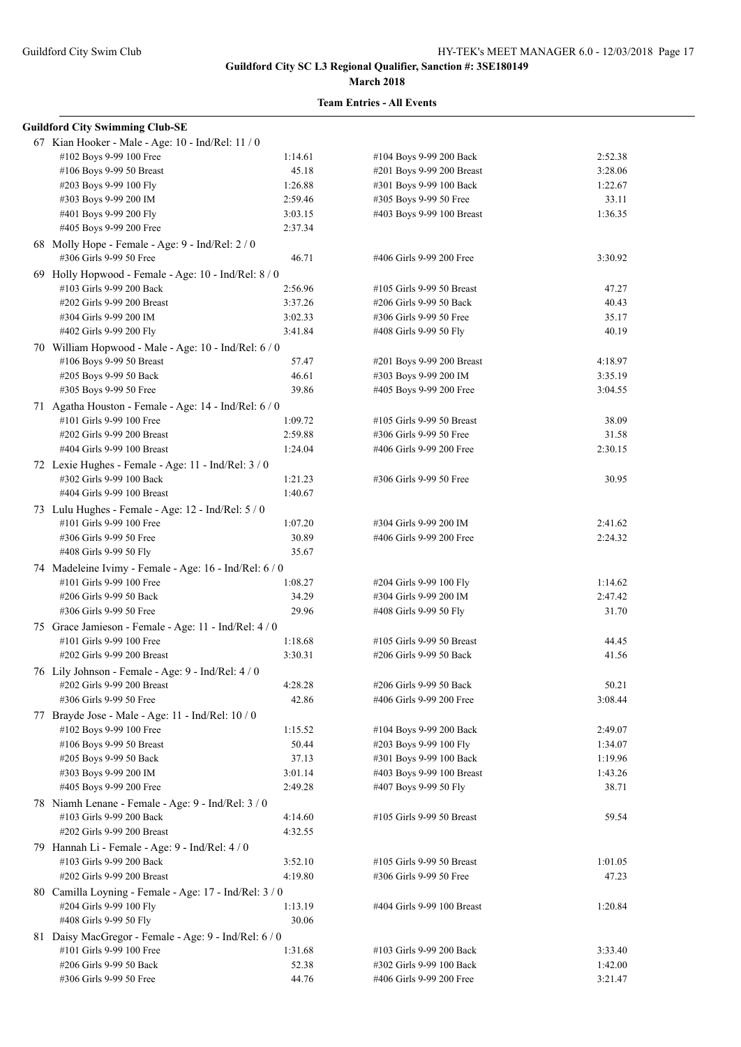#### **March 2018**

| <b>Guildford City Swimming Club-SE</b>                 |         |                            |         |
|--------------------------------------------------------|---------|----------------------------|---------|
| 67 Kian Hooker - Male - Age: 10 - Ind/Rel: 11 / 0      |         |                            |         |
| #102 Boys 9-99 100 Free                                | 1:14.61 | #104 Boys 9-99 200 Back    | 2:52.38 |
| #106 Boys 9-99 50 Breast                               | 45.18   | #201 Boys 9-99 200 Breast  | 3:28.06 |
| #203 Boys 9-99 100 Fly                                 | 1:26.88 | #301 Boys 9-99 100 Back    | 1:22.67 |
| #303 Boys 9-99 200 IM                                  | 2:59.46 | #305 Boys 9-99 50 Free     | 33.11   |
| #401 Boys 9-99 200 Fly                                 | 3:03.15 | #403 Boys 9-99 100 Breast  | 1:36.35 |
|                                                        | 2:37.34 |                            |         |
| #405 Boys 9-99 200 Free                                |         |                            |         |
| 68 Molly Hope - Female - Age: 9 - Ind/Rel: 2 / 0       |         |                            |         |
| #306 Girls 9-99 50 Free                                | 46.71   | #406 Girls 9-99 200 Free   | 3:30.92 |
| 69 Holly Hopwood - Female - Age: 10 - Ind/Rel: 8 / 0   |         |                            |         |
| #103 Girls 9-99 200 Back                               | 2:56.96 | #105 Girls 9-99 50 Breast  | 47.27   |
| #202 Girls 9-99 200 Breast                             | 3:37.26 | #206 Girls 9-99 50 Back    | 40.43   |
| #304 Girls 9-99 200 IM                                 | 3:02.33 | #306 Girls 9-99 50 Free    | 35.17   |
| #402 Girls 9-99 200 Fly                                | 3:41.84 | #408 Girls 9-99 50 Fly     | 40.19   |
| 70 William Hopwood - Male - Age: 10 - Ind/Rel: 6 / 0   |         |                            |         |
| #106 Boys 9-99 50 Breast                               | 57.47   | #201 Boys 9-99 200 Breast  | 4:18.97 |
| #205 Boys 9-99 50 Back                                 | 46.61   | #303 Boys 9-99 200 IM      | 3:35.19 |
| #305 Boys 9-99 50 Free                                 | 39.86   | #405 Boys 9-99 200 Free    | 3:04.55 |
|                                                        |         |                            |         |
| 71 Agatha Houston - Female - Age: 14 - Ind/Rel: 6 / 0  |         |                            |         |
| #101 Girls 9-99 100 Free                               | 1:09.72 | #105 Girls 9-99 50 Breast  | 38.09   |
| #202 Girls 9-99 200 Breast                             | 2:59.88 | #306 Girls 9-99 50 Free    | 31.58   |
| #404 Girls 9-99 100 Breast                             | 1:24.04 | #406 Girls 9-99 200 Free   | 2:30.15 |
| 72 Lexie Hughes - Female - Age: 11 - Ind/Rel: 3 / 0    |         |                            |         |
| #302 Girls 9-99 100 Back                               | 1:21.23 | #306 Girls 9-99 50 Free    | 30.95   |
| #404 Girls 9-99 100 Breast                             | 1:40.67 |                            |         |
| 73 Lulu Hughes - Female - Age: 12 - Ind/Rel: 5 / 0     |         |                            |         |
| #101 Girls 9-99 100 Free                               | 1:07.20 | #304 Girls 9-99 200 IM     | 2:41.62 |
| #306 Girls 9-99 50 Free                                | 30.89   | #406 Girls 9-99 200 Free   | 2:24.32 |
| #408 Girls 9-99 50 Fly                                 | 35.67   |                            |         |
|                                                        |         |                            |         |
| 74 Madeleine Ivimy - Female - Age: 16 - Ind/Rel: 6 / 0 |         |                            |         |
| #101 Girls 9-99 100 Free                               | 1:08.27 | #204 Girls 9-99 100 Fly    | 1:14.62 |
| #206 Girls 9-99 50 Back                                | 34.29   | #304 Girls 9-99 200 IM     | 2:47.42 |
| #306 Girls 9-99 50 Free                                | 29.96   | #408 Girls 9-99 50 Fly     | 31.70   |
| 75 Grace Jamieson - Female - Age: 11 - Ind/Rel: 4 / 0  |         |                            |         |
| #101 Girls 9-99 100 Free                               | 1:18.68 | #105 Girls 9-99 50 Breast  | 44.45   |
| #202 Girls 9-99 200 Breast                             | 3:30.31 | #206 Girls 9-99 50 Back    | 41.56   |
| 76 Lily Johnson - Female - Age: 9 - Ind/Rel: 4 / 0     |         |                            |         |
| #202 Girls 9-99 200 Breast                             | 4:28.28 | #206 Girls 9-99 50 Back    | 50.21   |
| #306 Girls 9-99 50 Free                                | 42.86   | #406 Girls 9-99 200 Free   | 3:08.44 |
|                                                        |         |                            |         |
| 77 Brayde Jose - Male - Age: 11 - Ind/Rel: 10 / 0      |         |                            |         |
| #102 Boys 9-99 100 Free                                | 1:15.52 | #104 Boys 9-99 200 Back    | 2:49.07 |
| #106 Boys 9-99 50 Breast                               | 50.44   | #203 Boys 9-99 100 Fly     | 1:34.07 |
| #205 Boys 9-99 50 Back                                 | 37.13   | #301 Boys 9-99 100 Back    | 1:19.96 |
| #303 Boys 9-99 200 IM                                  | 3:01.14 | #403 Boys 9-99 100 Breast  | 1:43.26 |
| #405 Boys 9-99 200 Free                                | 2:49.28 | #407 Boys 9-99 50 Fly      | 38.71   |
| 78 Niamh Lenane - Female - Age: 9 - Ind/Rel: 3 / 0     |         |                            |         |
| #103 Girls 9-99 200 Back                               | 4:14.60 | #105 Girls 9-99 50 Breast  | 59.54   |
| #202 Girls 9-99 200 Breast                             | 4:32.55 |                            |         |
| 79 Hannah Li - Female - Age: 9 - Ind/Rel: 4 / 0        |         |                            |         |
| #103 Girls 9-99 200 Back                               | 3:52.10 | #105 Girls 9-99 50 Breast  | 1:01.05 |
| #202 Girls 9-99 200 Breast                             | 4:19.80 | #306 Girls 9-99 50 Free    | 47.23   |
|                                                        |         |                            |         |
| 80 Camilla Loyning - Female - Age: 17 - Ind/Rel: 3 / 0 |         |                            |         |
| #204 Girls 9-99 100 Fly                                | 1:13.19 | #404 Girls 9-99 100 Breast | 1:20.84 |
| #408 Girls 9-99 50 Fly                                 | 30.06   |                            |         |
| 81 Daisy MacGregor - Female - Age: 9 - Ind/Rel: 6 / 0  |         |                            |         |
| #101 Girls 9-99 100 Free                               | 1:31.68 | #103 Girls 9-99 200 Back   | 3:33.40 |
| #206 Girls 9-99 50 Back                                | 52.38   | #302 Girls 9-99 100 Back   | 1:42.00 |
| #306 Girls 9-99 50 Free                                | 44.76   | #406 Girls 9-99 200 Free   | 3:21.47 |
|                                                        |         |                            |         |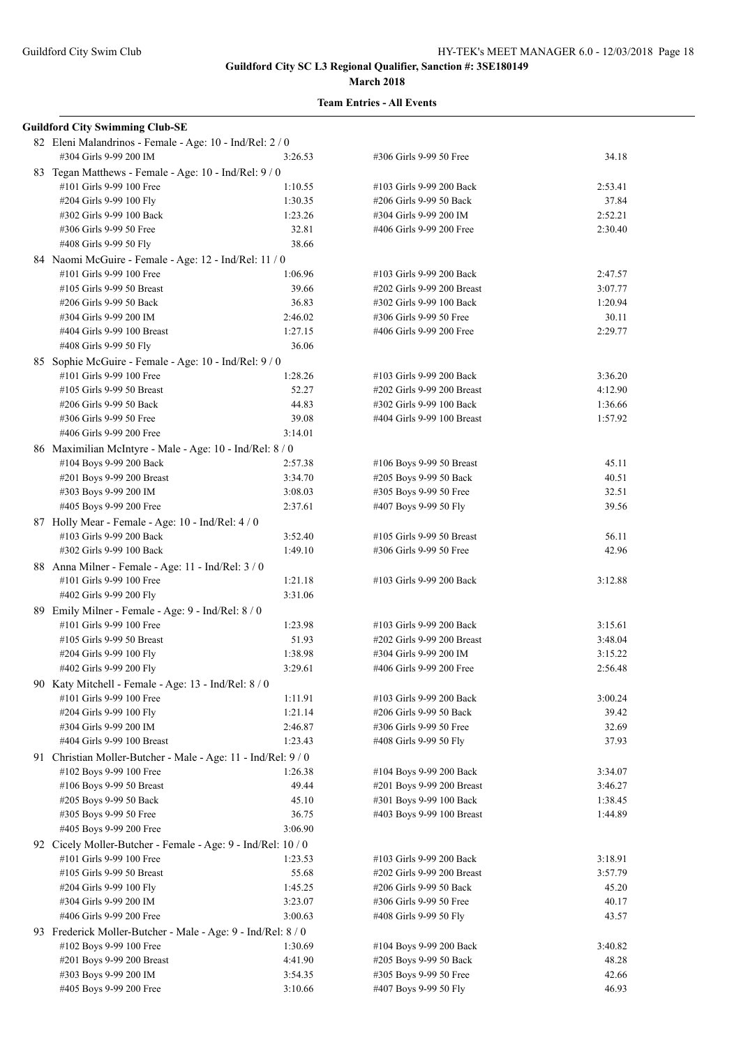| <b>Guildford City Swimming Club-SE</b>                                                   |         |                            |         |
|------------------------------------------------------------------------------------------|---------|----------------------------|---------|
| 82 Eleni Malandrinos - Female - Age: 10 - Ind/Rel: 2 / 0<br>#304 Girls 9-99 200 IM       | 3:26.53 | #306 Girls 9-99 50 Free    | 34.18   |
| 83 Tegan Matthews - Female - Age: 10 - Ind/Rel: 9 / 0                                    |         |                            |         |
| #101 Girls 9-99 100 Free                                                                 | 1:10.55 | #103 Girls 9-99 200 Back   | 2:53.41 |
| #204 Girls 9-99 100 Fly                                                                  | 1:30.35 | #206 Girls 9-99 50 Back    | 37.84   |
| #302 Girls 9-99 100 Back                                                                 | 1:23.26 | #304 Girls 9-99 200 IM     | 2:52.21 |
| #306 Girls 9-99 50 Free                                                                  | 32.81   | #406 Girls 9-99 200 Free   | 2:30.40 |
| #408 Girls 9-99 50 Fly                                                                   | 38.66   |                            |         |
| 84 Naomi McGuire - Female - Age: 12 - Ind/Rel: 11 / 0                                    |         |                            |         |
| #101 Girls 9-99 100 Free                                                                 | 1:06.96 | #103 Girls 9-99 200 Back   | 2:47.57 |
| #105 Girls 9-99 50 Breast                                                                | 39.66   | #202 Girls 9-99 200 Breast | 3:07.77 |
| #206 Girls 9-99 50 Back                                                                  | 36.83   | #302 Girls 9-99 100 Back   | 1:20.94 |
| #304 Girls 9-99 200 IM                                                                   | 2:46.02 | #306 Girls 9-99 50 Free    | 30.11   |
| #404 Girls 9-99 100 Breast                                                               | 1:27.15 | #406 Girls 9-99 200 Free   | 2:29.77 |
| #408 Girls 9-99 50 Fly                                                                   | 36.06   |                            |         |
| 85 Sophie McGuire - Female - Age: 10 - Ind/Rel: 9 / 0                                    |         |                            |         |
| #101 Girls 9-99 100 Free                                                                 | 1:28.26 | #103 Girls 9-99 200 Back   | 3:36.20 |
| #105 Girls 9-99 50 Breast                                                                | 52.27   | #202 Girls 9-99 200 Breast | 4:12.90 |
| #206 Girls 9-99 50 Back                                                                  | 44.83   | #302 Girls 9-99 100 Back   | 1:36.66 |
| #306 Girls 9-99 50 Free                                                                  | 39.08   | #404 Girls 9-99 100 Breast | 1:57.92 |
| #406 Girls 9-99 200 Free                                                                 | 3:14.01 |                            |         |
| 86 Maximilian McIntyre - Male - Age: 10 - Ind/Rel: 8 / 0                                 |         |                            |         |
| #104 Boys 9-99 200 Back                                                                  | 2:57.38 | #106 Boys 9-99 50 Breast   | 45.11   |
| #201 Boys 9-99 200 Breast                                                                | 3:34.70 | #205 Boys 9-99 50 Back     | 40.51   |
| #303 Boys 9-99 200 IM                                                                    | 3:08.03 | #305 Boys 9-99 50 Free     | 32.51   |
| #405 Boys 9-99 200 Free                                                                  | 2:37.61 | #407 Boys 9-99 50 Fly      | 39.56   |
| 87 Holly Mear - Female - Age: 10 - Ind/Rel: 4 / 0                                        |         |                            |         |
| #103 Girls 9-99 200 Back                                                                 | 3:52.40 | #105 Girls 9-99 50 Breast  | 56.11   |
| #302 Girls 9-99 100 Back                                                                 | 1:49.10 | #306 Girls 9-99 50 Free    | 42.96   |
| 88 Anna Milner - Female - Age: 11 - Ind/Rel: 3 / 0                                       |         |                            |         |
| #101 Girls 9-99 100 Free                                                                 | 1:21.18 | #103 Girls 9-99 200 Back   | 3:12.88 |
| #402 Girls 9-99 200 Fly                                                                  | 3:31.06 |                            |         |
| 89 Emily Milner - Female - Age: 9 - Ind/Rel: 8 / 0                                       |         |                            |         |
| #101 Girls 9-99 100 Free                                                                 | 1:23.98 | #103 Girls 9-99 200 Back   | 3:15.61 |
| #105 Girls 9-99 50 Breast                                                                | 51.93   | #202 Girls 9-99 200 Breast | 3:48.04 |
| #204 Girls 9-99 100 Fly                                                                  | 1:38.98 | #304 Girls 9-99 200 IM     | 3:15.22 |
| #402 Girls 9-99 200 Fly                                                                  | 3:29.61 | #406 Girls 9-99 200 Free   | 2:56.48 |
| 90 Katy Mitchell - Female - Age: 13 - Ind/Rel: 8 / 0                                     |         |                            |         |
| #101 Girls 9-99 100 Free                                                                 | 1:11.91 | #103 Girls 9-99 200 Back   | 3:00.24 |
| #204 Girls 9-99 100 Fly                                                                  | 1:21.14 | #206 Girls 9-99 50 Back    | 39.42   |
| #304 Girls 9-99 200 IM                                                                   | 2:46.87 | #306 Girls 9-99 50 Free    | 32.69   |
| #404 Girls 9-99 100 Breast                                                               | 1:23.43 | #408 Girls 9-99 50 Fly     | 37.93   |
|                                                                                          |         |                            |         |
| 91 Christian Moller-Butcher - Male - Age: 11 - Ind/Rel: 9/0<br>#102 Boys 9-99 100 Free   | 1:26.38 | #104 Boys 9-99 200 Back    | 3:34.07 |
| #106 Boys 9-99 50 Breast                                                                 | 49.44   | #201 Boys 9-99 200 Breast  | 3:46.27 |
| #205 Boys 9-99 50 Back                                                                   | 45.10   | #301 Boys 9-99 100 Back    | 1:38.45 |
| #305 Boys 9-99 50 Free                                                                   | 36.75   | #403 Boys 9-99 100 Breast  | 1:44.89 |
| #405 Boys 9-99 200 Free                                                                  | 3:06.90 |                            |         |
|                                                                                          |         |                            |         |
| 92 Cicely Moller-Butcher - Female - Age: 9 - Ind/Rel: 10 / 0<br>#101 Girls 9-99 100 Free | 1:23.53 | #103 Girls 9-99 200 Back   | 3:18.91 |
|                                                                                          |         | #202 Girls 9-99 200 Breast |         |
| #105 Girls 9-99 50 Breast                                                                | 55.68   |                            | 3:57.79 |
| #204 Girls 9-99 100 Fly                                                                  | 1:45.25 | #206 Girls 9-99 50 Back    | 45.20   |
| #304 Girls 9-99 200 IM                                                                   | 3:23.07 | #306 Girls 9-99 50 Free    | 40.17   |
| #406 Girls 9-99 200 Free                                                                 | 3:00.63 | #408 Girls 9-99 50 Fly     | 43.57   |
| 93 Frederick Moller-Butcher - Male - Age: 9 - Ind/Rel: 8 / 0                             |         |                            |         |
| #102 Boys 9-99 100 Free                                                                  | 1:30.69 | #104 Boys 9-99 200 Back    | 3:40.82 |
| #201 Boys 9-99 200 Breast                                                                | 4:41.90 | #205 Boys 9-99 50 Back     | 48.28   |
| #303 Boys 9-99 200 IM                                                                    | 3:54.35 | #305 Boys 9-99 50 Free     | 42.66   |
| #405 Boys 9-99 200 Free                                                                  | 3:10.66 | #407 Boys 9-99 50 Fly      | 46.93   |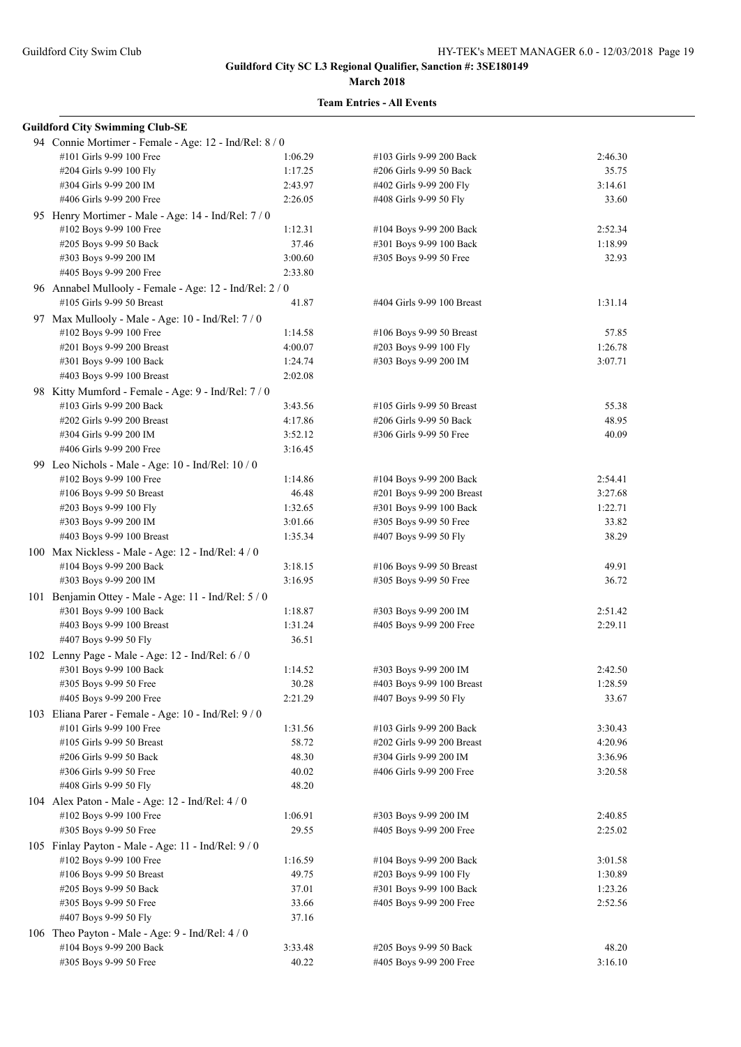#### **March 2018**

| <b>Guildford City Swimming Club-SE</b>                                               |         |                            |         |
|--------------------------------------------------------------------------------------|---------|----------------------------|---------|
| 94 Connie Mortimer - Female - Age: 12 - Ind/Rel: 8 / 0                               |         |                            |         |
| #101 Girls 9-99 100 Free                                                             | 1:06.29 | #103 Girls 9-99 200 Back   | 2:46.30 |
| #204 Girls 9-99 100 Fly                                                              | 1:17.25 | #206 Girls 9-99 50 Back    | 35.75   |
| #304 Girls 9-99 200 IM                                                               | 2:43.97 | #402 Girls 9-99 200 Fly    | 3:14.61 |
| #406 Girls 9-99 200 Free                                                             | 2:26.05 | #408 Girls 9-99 50 Fly     | 33.60   |
| 95 Henry Mortimer - Male - Age: 14 - Ind/Rel: 7 / 0                                  |         |                            |         |
| #102 Boys 9-99 100 Free                                                              | 1:12.31 | #104 Boys 9-99 200 Back    | 2:52.34 |
| #205 Boys 9-99 50 Back                                                               | 37.46   | #301 Boys 9-99 100 Back    | 1:18.99 |
| #303 Boys 9-99 200 IM                                                                | 3:00.60 | #305 Boys 9-99 50 Free     | 32.93   |
| #405 Boys 9-99 200 Free                                                              | 2:33.80 |                            |         |
|                                                                                      |         |                            |         |
| 96 Annabel Mullooly - Female - Age: 12 - Ind/Rel: 2 / 0<br>#105 Girls 9-99 50 Breast | 41.87   |                            | 1:31.14 |
|                                                                                      |         | #404 Girls 9-99 100 Breast |         |
| 97 Max Mullooly - Male - Age: 10 - Ind/Rel: 7/0                                      |         |                            |         |
| #102 Boys 9-99 100 Free                                                              | 1:14.58 | #106 Boys 9-99 50 Breast   | 57.85   |
| #201 Boys 9-99 200 Breast                                                            | 4:00.07 | #203 Boys 9-99 100 Fly     | 1:26.78 |
| #301 Boys 9-99 100 Back                                                              | 1:24.74 | #303 Boys 9-99 200 IM      | 3:07.71 |
| #403 Boys 9-99 100 Breast                                                            | 2:02.08 |                            |         |
| 98 Kitty Mumford - Female - Age: 9 - Ind/Rel: 7 / 0                                  |         |                            |         |
| #103 Girls 9-99 200 Back                                                             | 3:43.56 | #105 Girls 9-99 50 Breast  | 55.38   |
| #202 Girls 9-99 200 Breast                                                           | 4:17.86 | #206 Girls 9-99 50 Back    | 48.95   |
| #304 Girls 9-99 200 IM                                                               | 3:52.12 | #306 Girls 9-99 50 Free    | 40.09   |
| #406 Girls 9-99 200 Free                                                             | 3:16.45 |                            |         |
| 99 Leo Nichols - Male - Age: $10$ - Ind/Rel: $10/0$                                  |         |                            |         |
| #102 Boys 9-99 100 Free                                                              | 1:14.86 | #104 Boys 9-99 200 Back    | 2:54.41 |
| #106 Boys 9-99 50 Breast                                                             | 46.48   | #201 Boys 9-99 200 Breast  | 3:27.68 |
| #203 Boys 9-99 100 Fly                                                               | 1:32.65 | #301 Boys 9-99 100 Back    | 1:22.71 |
| #303 Boys 9-99 200 IM                                                                | 3:01.66 | #305 Boys 9-99 50 Free     | 33.82   |
| #403 Boys 9-99 100 Breast                                                            | 1:35.34 | #407 Boys 9-99 50 Fly      | 38.29   |
| 100 Max Nickless - Male - Age: 12 - Ind/Rel: 4 / 0                                   |         |                            |         |
| #104 Boys 9-99 200 Back                                                              | 3:18.15 | #106 Boys 9-99 50 Breast   | 49.91   |
| #303 Boys 9-99 200 IM                                                                | 3:16.95 | #305 Boys 9-99 50 Free     | 36.72   |
|                                                                                      |         |                            |         |
| 101 Benjamin Ottey - Male - Age: 11 - Ind/Rel: 5 / 0<br>#301 Boys 9-99 100 Back      | 1:18.87 | #303 Boys 9-99 200 IM      | 2:51.42 |
| #403 Boys 9-99 100 Breast                                                            | 1:31.24 | #405 Boys 9-99 200 Free    | 2:29.11 |
| #407 Boys 9-99 50 Fly                                                                |         |                            |         |
|                                                                                      | 36.51   |                            |         |
| 102 Lenny Page - Male - Age: 12 - Ind/Rel: 6 / 0                                     |         |                            |         |
| #301 Boys 9-99 100 Back                                                              | 1:14.52 | #303 Boys 9-99 200 IM      | 2:42.50 |
| #305 Boys 9-99 50 Free                                                               | 30.28   | #403 Boys 9-99 100 Breast  | 1:28.59 |
| #405 Boys 9-99 200 Free                                                              | 2:21.29 | #407 Boys 9-99 50 Fly      | 33.67   |
| 103 Eliana Parer - Female - Age: 10 - Ind/Rel: 9 / 0                                 |         |                            |         |
| #101 Girls 9-99 100 Free                                                             | 1:31.56 | #103 Girls 9-99 200 Back   | 3:30.43 |
| #105 Girls 9-99 50 Breast                                                            | 58.72   | #202 Girls 9-99 200 Breast | 4:20.96 |
| #206 Girls 9-99 50 Back                                                              | 48.30   | #304 Girls 9-99 200 IM     | 3:36.96 |
| #306 Girls 9-99 50 Free                                                              | 40.02   | #406 Girls 9-99 200 Free   | 3:20.58 |
| #408 Girls 9-99 50 Fly                                                               | 48.20   |                            |         |
| 104 Alex Paton - Male - Age: 12 - Ind/Rel: 4 / 0                                     |         |                            |         |
| #102 Boys 9-99 100 Free                                                              | 1:06.91 | #303 Boys 9-99 200 IM      | 2:40.85 |
| #305 Boys 9-99 50 Free                                                               | 29.55   | #405 Boys 9-99 200 Free    | 2:25.02 |
| 105 Finlay Payton - Male - Age: 11 - Ind/Rel: 9 / 0                                  |         |                            |         |
| #102 Boys 9-99 100 Free                                                              | 1:16.59 | #104 Boys 9-99 200 Back    | 3:01.58 |
| #106 Boys 9-99 50 Breast                                                             | 49.75   | #203 Boys 9-99 100 Fly     | 1:30.89 |
| #205 Boys 9-99 50 Back                                                               | 37.01   | #301 Boys 9-99 100 Back    | 1:23.26 |
| #305 Boys 9-99 50 Free                                                               | 33.66   | #405 Boys 9-99 200 Free    | 2:52.56 |
| #407 Boys 9-99 50 Fly                                                                | 37.16   |                            |         |
| 106 Theo Payton - Male - Age: $9$ - Ind/Rel: $4/0$                                   |         |                            |         |
| #104 Boys 9-99 200 Back                                                              | 3:33.48 | #205 Boys 9-99 50 Back     | 48.20   |
| #305 Boys 9-99 50 Free                                                               | 40.22   | #405 Boys 9-99 200 Free    | 3:16.10 |
|                                                                                      |         |                            |         |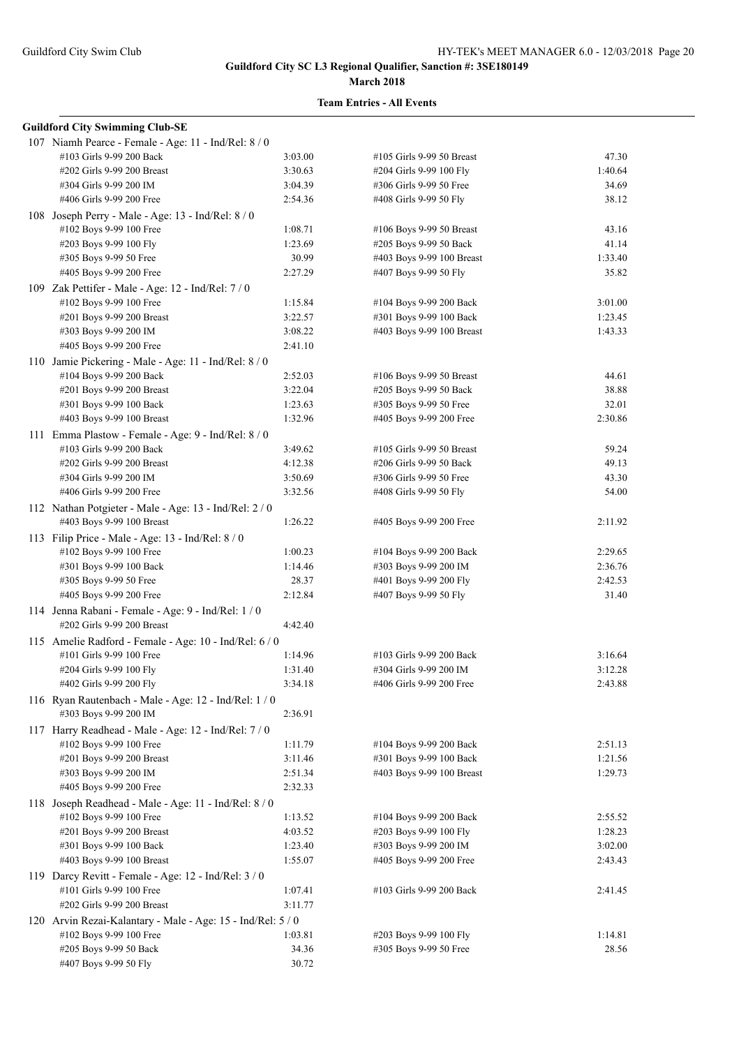#### **March 2018**

| <b>Guildford City Swimming Club-SE</b>                                              |         |                           |         |
|-------------------------------------------------------------------------------------|---------|---------------------------|---------|
| 107 Niamh Pearce - Female - Age: 11 - Ind/Rel: 8 / 0                                |         |                           |         |
| #103 Girls 9-99 200 Back                                                            | 3:03.00 | #105 Girls 9-99 50 Breast | 47.30   |
| #202 Girls 9-99 200 Breast                                                          | 3:30.63 | #204 Girls 9-99 100 Fly   | 1:40.64 |
| #304 Girls 9-99 200 IM                                                              | 3:04.39 | #306 Girls 9-99 50 Free   | 34.69   |
| #406 Girls 9-99 200 Free                                                            | 2:54.36 | #408 Girls 9-99 50 Fly    | 38.12   |
| 108 Joseph Perry - Male - Age: 13 - Ind/Rel: 8 / 0                                  |         |                           |         |
| #102 Boys 9-99 100 Free                                                             | 1:08.71 | #106 Boys 9-99 50 Breast  | 43.16   |
| #203 Boys 9-99 100 Fly                                                              | 1:23.69 | #205 Boys 9-99 50 Back    | 41.14   |
| #305 Boys 9-99 50 Free                                                              | 30.99   | #403 Boys 9-99 100 Breast | 1:33.40 |
| #405 Boys 9-99 200 Free                                                             | 2:27.29 | #407 Boys 9-99 50 Fly     | 35.82   |
| 109 Zak Pettifer - Male - Age: 12 - Ind/Rel: 7 / 0                                  |         |                           |         |
| #102 Boys 9-99 100 Free                                                             | 1:15.84 | #104 Boys 9-99 200 Back   | 3:01.00 |
| #201 Boys 9-99 200 Breast                                                           | 3:22.57 | #301 Boys 9-99 100 Back   | 1:23.45 |
| #303 Boys 9-99 200 IM                                                               | 3:08.22 | #403 Boys 9-99 100 Breast | 1:43.33 |
| #405 Boys 9-99 200 Free                                                             | 2:41.10 |                           |         |
| 110 Jamie Pickering - Male - Age: 11 - Ind/Rel: 8 / 0                               |         |                           |         |
| #104 Boys 9-99 200 Back                                                             | 2:52.03 | #106 Boys 9-99 50 Breast  | 44.61   |
| #201 Boys 9-99 200 Breast                                                           | 3:22.04 | #205 Boys 9-99 50 Back    | 38.88   |
| #301 Boys 9-99 100 Back                                                             | 1:23.63 | #305 Boys 9-99 50 Free    | 32.01   |
| #403 Boys 9-99 100 Breast                                                           | 1:32.96 | #405 Boys 9-99 200 Free   | 2:30.86 |
| 111 Emma Plastow - Female - Age: 9 - Ind/Rel: 8 / 0                                 |         |                           |         |
| #103 Girls 9-99 200 Back                                                            | 3:49.62 | #105 Girls 9-99 50 Breast | 59.24   |
| #202 Girls 9-99 200 Breast                                                          | 4:12.38 | #206 Girls 9-99 50 Back   | 49.13   |
| #304 Girls 9-99 200 IM                                                              | 3:50.69 | #306 Girls 9-99 50 Free   | 43.30   |
| #406 Girls 9-99 200 Free                                                            | 3:32.56 | #408 Girls 9-99 50 Fly    | 54.00   |
|                                                                                     |         |                           |         |
| 112 Nathan Potgieter - Male - Age: 13 - Ind/Rel: 2 / 0<br>#403 Boys 9-99 100 Breast | 1:26.22 | #405 Boys 9-99 200 Free   | 2:11.92 |
|                                                                                     |         |                           |         |
| 113 Filip Price - Male - Age: 13 - Ind/Rel: $8/0$                                   |         |                           |         |
| #102 Boys 9-99 100 Free                                                             | 1:00.23 | #104 Boys 9-99 200 Back   | 2:29.65 |
| #301 Boys 9-99 100 Back                                                             | 1:14.46 | #303 Boys 9-99 200 IM     | 2:36.76 |
| #305 Boys 9-99 50 Free                                                              | 28.37   | #401 Boys 9-99 200 Fly    | 2:42.53 |
| #405 Boys 9-99 200 Free                                                             | 2:12.84 | #407 Boys 9-99 50 Fly     | 31.40   |
| 114 Jenna Rabani - Female - Age: 9 - Ind/Rel: 1 / 0                                 |         |                           |         |
| #202 Girls 9-99 200 Breast                                                          | 4:42.40 |                           |         |
| 115 Amelie Radford - Female - Age: 10 - Ind/Rel: 6 / 0                              |         |                           |         |
| #101 Girls 9-99 100 Free                                                            | 1:14.96 | #103 Girls 9-99 200 Back  | 3:16.64 |
| #204 Girls 9-99 100 Fly                                                             | 1:31.40 | #304 Girls 9-99 200 IM    | 3:12.28 |
| #402 Girls 9-99 200 Fly                                                             | 3:34.18 | #406 Girls 9-99 200 Free  | 2:43.88 |
| 116 Ryan Rautenbach - Male - Age: 12 - Ind/Rel: 1 / 0                               |         |                           |         |
| #303 Boys 9-99 200 IM                                                               | 2:36.91 |                           |         |
| 117 Harry Readhead - Male - Age: 12 - Ind/Rel: 7 / 0                                |         |                           |         |
| #102 Boys 9-99 100 Free                                                             | 1:11.79 | #104 Boys 9-99 200 Back   | 2:51.13 |
| #201 Boys 9-99 200 Breast                                                           | 3:11.46 | #301 Boys 9-99 100 Back   | 1:21.56 |
| #303 Boys 9-99 200 IM                                                               | 2:51.34 | #403 Boys 9-99 100 Breast | 1:29.73 |
| #405 Boys 9-99 200 Free                                                             | 2:32.33 |                           |         |
| 118 Joseph Readhead - Male - Age: 11 - Ind/Rel: 8/0                                 |         |                           |         |
| #102 Boys 9-99 100 Free                                                             | 1:13.52 | #104 Boys 9-99 200 Back   | 2:55.52 |
| #201 Boys 9-99 200 Breast                                                           | 4:03.52 | #203 Boys 9-99 100 Fly    | 1:28.23 |
| #301 Boys 9-99 100 Back                                                             | 1:23.40 | #303 Boys 9-99 200 IM     | 3:02.00 |
| #403 Boys 9-99 100 Breast                                                           | 1:55.07 | #405 Boys 9-99 200 Free   | 2:43.43 |
| 119 Darcy Revitt - Female - Age: 12 - Ind/Rel: $3/0$                                |         |                           |         |
| #101 Girls 9-99 100 Free                                                            | 1:07.41 | #103 Girls 9-99 200 Back  | 2:41.45 |
| #202 Girls 9-99 200 Breast                                                          | 3:11.77 |                           |         |
| 120 Arvin Rezai-Kalantary - Male - Age: 15 - Ind/Rel: 5 / 0                         |         |                           |         |
| #102 Boys 9-99 100 Free                                                             | 1:03.81 | #203 Boys 9-99 100 Fly    | 1:14.81 |
| #205 Boys 9-99 50 Back                                                              | 34.36   | #305 Boys 9-99 50 Free    | 28.56   |
| #407 Boys 9-99 50 Fly                                                               | 30.72   |                           |         |
|                                                                                     |         |                           |         |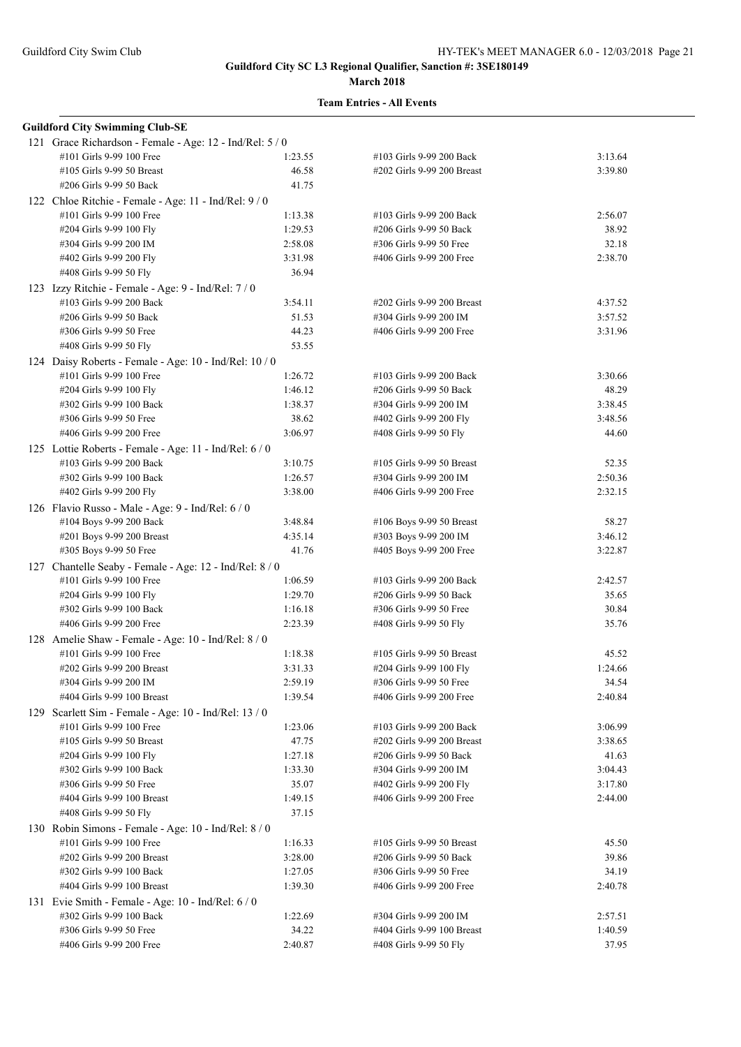#### **March 2018**

| <b>Guildford City Swimming Club-SE</b>                   |         |                            |         |
|----------------------------------------------------------|---------|----------------------------|---------|
| 121 Grace Richardson - Female - Age: 12 - Ind/Rel: 5 / 0 |         |                            |         |
| #101 Girls 9-99 100 Free                                 | 1:23.55 | #103 Girls 9-99 200 Back   | 3:13.64 |
| #105 Girls 9-99 50 Breast                                | 46.58   | #202 Girls 9-99 200 Breast | 3:39.80 |
| #206 Girls 9-99 50 Back                                  | 41.75   |                            |         |
| 122 Chloe Ritchie - Female - Age: 11 - Ind/Rel: 9/0      |         |                            |         |
| #101 Girls 9-99 100 Free                                 | 1:13.38 | #103 Girls 9-99 200 Back   | 2:56.07 |
| #204 Girls 9-99 100 Fly                                  | 1:29.53 | #206 Girls 9-99 50 Back    | 38.92   |
| #304 Girls 9-99 200 IM                                   | 2:58.08 | #306 Girls 9-99 50 Free    | 32.18   |
| #402 Girls 9-99 200 Fly                                  | 3:31.98 | #406 Girls 9-99 200 Free   | 2:38.70 |
| #408 Girls 9-99 50 Fly                                   | 36.94   |                            |         |
| 123 Izzy Ritchie - Female - Age: 9 - Ind/Rel: 7 / 0      |         |                            |         |
| #103 Girls 9-99 200 Back                                 | 3:54.11 | #202 Girls 9-99 200 Breast | 4:37.52 |
| #206 Girls 9-99 50 Back                                  | 51.53   | #304 Girls 9-99 200 IM     | 3:57.52 |
| #306 Girls 9-99 50 Free                                  | 44.23   | #406 Girls 9-99 200 Free   | 3:31.96 |
| #408 Girls 9-99 50 Fly                                   | 53.55   |                            |         |
| 124 Daisy Roberts - Female - Age: 10 - Ind/Rel: 10 / 0   |         |                            |         |
| #101 Girls 9-99 100 Free                                 | 1:26.72 | #103 Girls 9-99 200 Back   | 3:30.66 |
| #204 Girls 9-99 100 Fly                                  | 1:46.12 | #206 Girls 9-99 50 Back    | 48.29   |
| #302 Girls 9-99 100 Back                                 | 1:38.37 | #304 Girls 9-99 200 IM     | 3:38.45 |
| #306 Girls 9-99 50 Free                                  | 38.62   | #402 Girls 9-99 200 Fly    | 3:48.56 |
| #406 Girls 9-99 200 Free                                 | 3:06.97 | #408 Girls 9-99 50 Fly     | 44.60   |
| 125 Lottie Roberts - Female - Age: 11 - Ind/Rel: 6 / 0   |         |                            |         |
| #103 Girls 9-99 200 Back                                 | 3:10.75 | #105 Girls 9-99 50 Breast  | 52.35   |
| #302 Girls 9-99 100 Back                                 | 1:26.57 | #304 Girls 9-99 200 IM     | 2:50.36 |
| #402 Girls 9-99 200 Fly                                  | 3:38.00 | #406 Girls 9-99 200 Free   | 2:32.15 |
| 126 Flavio Russo - Male - Age: 9 - Ind/Rel: 6 / 0        |         |                            |         |
| #104 Boys 9-99 200 Back                                  | 3:48.84 | #106 Boys 9-99 50 Breast   | 58.27   |
| #201 Boys 9-99 200 Breast                                | 4:35.14 | #303 Boys 9-99 200 IM      | 3:46.12 |
| #305 Boys 9-99 50 Free                                   | 41.76   | #405 Boys 9-99 200 Free    | 3:22.87 |
| 127 Chantelle Seaby - Female - Age: 12 - Ind/Rel: 8 / 0  |         |                            |         |
| #101 Girls 9-99 100 Free                                 | 1:06.59 | #103 Girls 9-99 200 Back   | 2:42.57 |
| #204 Girls 9-99 100 Fly                                  | 1:29.70 | #206 Girls 9-99 50 Back    | 35.65   |
| #302 Girls 9-99 100 Back                                 | 1:16.18 | #306 Girls 9-99 50 Free    | 30.84   |
| #406 Girls 9-99 200 Free                                 | 2:23.39 | #408 Girls 9-99 50 Fly     | 35.76   |
| 128 Amelie Shaw - Female - Age: 10 - Ind/Rel: 8 / 0      |         |                            |         |
| #101 Girls 9-99 100 Free                                 | 1:18.38 | #105 Girls 9-99 50 Breast  | 45.52   |
| #202 Girls 9-99 200 Breast                               | 3:31.33 | #204 Girls 9-99 100 Fly    | 1:24.66 |
| #304 Girls 9-99 200 IM                                   | 2:59.19 | #306 Girls 9-99 50 Free    | 34.54   |
| #404 Girls 9-99 100 Breast                               | 1:39.54 | #406 Girls 9-99 200 Free   | 2:40.84 |
| 129 Scarlett Sim - Female - Age: 10 - Ind/Rel: 13 / 0    |         |                            |         |
| #101 Girls 9-99 100 Free                                 | 1:23.06 | #103 Girls 9-99 200 Back   | 3:06.99 |
| #105 Girls 9-99 50 Breast                                | 47.75   | #202 Girls 9-99 200 Breast | 3:38.65 |
| #204 Girls 9-99 100 Fly                                  | 1:27.18 | #206 Girls 9-99 50 Back    | 41.63   |
| #302 Girls 9-99 100 Back                                 | 1:33.30 | #304 Girls 9-99 200 IM     | 3:04.43 |
| #306 Girls 9-99 50 Free                                  | 35.07   | #402 Girls 9-99 200 Fly    | 3:17.80 |
| #404 Girls 9-99 100 Breast                               | 1:49.15 | #406 Girls 9-99 200 Free   | 2:44.00 |
| #408 Girls 9-99 50 Fly                                   | 37.15   |                            |         |
| 130 Robin Simons - Female - Age: 10 - Ind/Rel: 8 / 0     |         |                            |         |
| #101 Girls 9-99 100 Free                                 | 1:16.33 | #105 Girls 9-99 50 Breast  | 45.50   |
| #202 Girls 9-99 200 Breast                               | 3:28.00 | #206 Girls 9-99 50 Back    | 39.86   |
| #302 Girls 9-99 100 Back                                 | 1:27.05 | #306 Girls 9-99 50 Free    | 34.19   |
| #404 Girls 9-99 100 Breast                               | 1:39.30 | #406 Girls 9-99 200 Free   | 2:40.78 |
| 131 Evie Smith - Female - Age: 10 - Ind/Rel: 6 / 0       |         |                            |         |
| #302 Girls 9-99 100 Back                                 | 1:22.69 | #304 Girls 9-99 200 IM     | 2:57.51 |
| #306 Girls 9-99 50 Free                                  | 34.22   | #404 Girls 9-99 100 Breast | 1:40.59 |
| #406 Girls 9-99 200 Free                                 | 2:40.87 | #408 Girls 9-99 50 Fly     | 37.95   |
|                                                          |         |                            |         |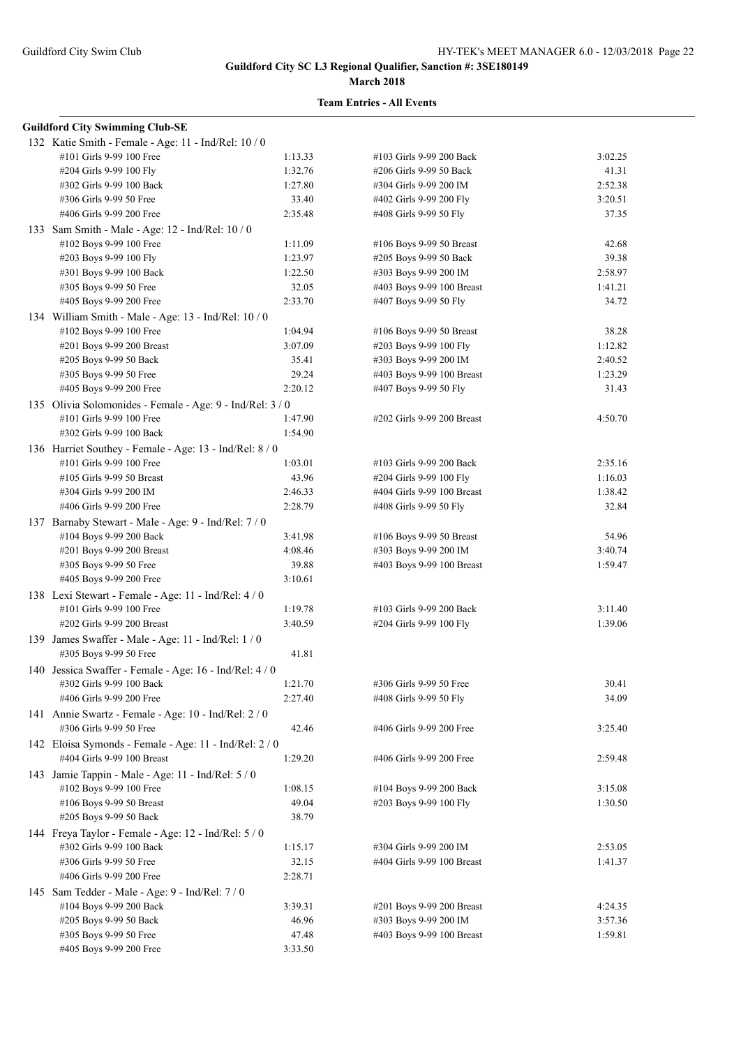#### **March 2018**

| <b>Guildford City Swimming Club-SE</b>                    |         |                            |         |
|-----------------------------------------------------------|---------|----------------------------|---------|
| 132 Katie Smith - Female - Age: 11 - Ind/Rel: 10 / 0      |         |                            |         |
| #101 Girls 9-99 100 Free                                  | 1:13.33 | #103 Girls 9-99 200 Back   | 3:02.25 |
| #204 Girls 9-99 100 Fly                                   | 1:32.76 | #206 Girls 9-99 50 Back    | 41.31   |
| #302 Girls 9-99 100 Back                                  | 1:27.80 | #304 Girls 9-99 200 IM     | 2:52.38 |
| #306 Girls 9-99 50 Free                                   | 33.40   | #402 Girls 9-99 200 Fly    | 3:20.51 |
| #406 Girls 9-99 200 Free                                  | 2:35.48 | #408 Girls 9-99 50 Fly     | 37.35   |
| 133 Sam Smith - Male - Age: 12 - Ind/Rel: 10 / 0          |         |                            |         |
| #102 Boys 9-99 100 Free                                   | 1:11.09 | #106 Boys 9-99 50 Breast   | 42.68   |
| #203 Boys 9-99 100 Fly                                    | 1:23.97 | #205 Boys 9-99 50 Back     | 39.38   |
| #301 Boys 9-99 100 Back                                   | 1:22.50 | #303 Boys 9-99 200 IM      | 2:58.97 |
| #305 Boys 9-99 50 Free                                    | 32.05   | #403 Boys 9-99 100 Breast  | 1:41.21 |
| #405 Boys 9-99 200 Free                                   | 2:33.70 | #407 Boys 9-99 50 Fly      | 34.72   |
| 134 William Smith - Male - Age: 13 - Ind/Rel: 10 / 0      |         |                            |         |
| #102 Boys 9-99 100 Free                                   | 1:04.94 | #106 Boys 9-99 50 Breast   | 38.28   |
| #201 Boys 9-99 200 Breast                                 | 3:07.09 | #203 Boys 9-99 100 Fly     | 1:12.82 |
| #205 Boys 9-99 50 Back                                    | 35.41   | #303 Boys 9-99 200 IM      | 2:40.52 |
| #305 Boys 9-99 50 Free                                    | 29.24   | #403 Boys 9-99 100 Breast  | 1:23.29 |
| #405 Boys 9-99 200 Free                                   | 2:20.12 | #407 Boys 9-99 50 Fly      | 31.43   |
|                                                           |         |                            |         |
| 135 Olivia Solomonides - Female - Age: 9 - Ind/Rel: 3 / 0 |         |                            |         |
| #101 Girls 9-99 100 Free                                  | 1:47.90 | #202 Girls 9-99 200 Breast | 4:50.70 |
| #302 Girls 9-99 100 Back                                  | 1:54.90 |                            |         |
| 136 Harriet Southey - Female - Age: 13 - Ind/Rel: 8 / 0   |         |                            |         |
| #101 Girls 9-99 100 Free                                  | 1:03.01 | #103 Girls 9-99 200 Back   | 2:35.16 |
| #105 Girls 9-99 50 Breast                                 | 43.96   | #204 Girls 9-99 100 Fly    | 1:16.03 |
| #304 Girls 9-99 200 IM                                    | 2:46.33 | #404 Girls 9-99 100 Breast | 1:38.42 |
| #406 Girls 9-99 200 Free                                  | 2:28.79 | #408 Girls 9-99 50 Fly     | 32.84   |
| 137 Barnaby Stewart - Male - Age: 9 - Ind/Rel: 7 / 0      |         |                            |         |
| #104 Boys 9-99 200 Back                                   | 3:41.98 | #106 Boys 9-99 50 Breast   | 54.96   |
| #201 Boys 9-99 200 Breast                                 | 4:08.46 | #303 Boys 9-99 200 IM      | 3:40.74 |
| #305 Boys 9-99 50 Free                                    | 39.88   | #403 Boys 9-99 100 Breast  | 1:59.47 |
| #405 Boys 9-99 200 Free                                   | 3:10.61 |                            |         |
| 138 Lexi Stewart - Female - Age: 11 - Ind/Rel: 4/0        |         |                            |         |
| #101 Girls 9-99 100 Free                                  | 1:19.78 | #103 Girls 9-99 200 Back   | 3:11.40 |
| #202 Girls 9-99 200 Breast                                | 3:40.59 | #204 Girls 9-99 100 Fly    | 1:39.06 |
| 139 James Swaffer - Male - Age: 11 - Ind/Rel: 1 / 0       |         |                            |         |
| #305 Boys 9-99 50 Free                                    | 41.81   |                            |         |
| 140 Jessica Swaffer - Female - Age: 16 - Ind/Rel: 4/0     |         |                            |         |
| #302 Girls 9-99 100 Back                                  | 1:21.70 | #306 Girls 9-99 50 Free    | 30.41   |
| #406 Girls 9-99 200 Free                                  | 2:27.40 | #408 Girls 9-99 50 Fly     | 34.09   |
| 141 Annie Swartz - Female - Age: 10 - Ind/Rel: 2 / 0      |         |                            |         |
| #306 Girls 9-99 50 Free                                   | 42.46   | #406 Girls 9-99 200 Free   | 3:25.40 |
| 142 Eloisa Symonds - Female - Age: 11 - Ind/Rel: 2 / 0    |         |                            |         |
| #404 Girls 9-99 100 Breast                                | 1:29.20 | #406 Girls 9-99 200 Free   | 2:59.48 |
| 143 Jamie Tappin - Male - Age: 11 - Ind/Rel: 5 / 0        |         |                            |         |
| #102 Boys 9-99 100 Free                                   | 1:08.15 | #104 Boys 9-99 200 Back    | 3:15.08 |
| #106 Boys 9-99 50 Breast                                  | 49.04   | #203 Boys 9-99 100 Fly     | 1:30.50 |
| #205 Boys 9-99 50 Back                                    | 38.79   |                            |         |
| 144 Freya Taylor - Female - Age: 12 - Ind/Rel: 5 / 0      |         |                            |         |
| #302 Girls 9-99 100 Back                                  | 1:15.17 | #304 Girls 9-99 200 IM     | 2:53.05 |
| #306 Girls 9-99 50 Free                                   | 32.15   | #404 Girls 9-99 100 Breast | 1:41.37 |
| #406 Girls 9-99 200 Free                                  | 2:28.71 |                            |         |
|                                                           |         |                            |         |
| 145 Sam Tedder - Male - Age: 9 - Ind/Rel: 7 / 0           |         |                            |         |
| #104 Boys 9-99 200 Back                                   | 3:39.31 | #201 Boys 9-99 200 Breast  | 4:24.35 |
| #205 Boys 9-99 50 Back                                    | 46.96   | #303 Boys 9-99 200 IM      | 3:57.36 |
| #305 Boys 9-99 50 Free                                    | 47.48   | #403 Boys 9-99 100 Breast  | 1:59.81 |
| #405 Boys 9-99 200 Free                                   | 3:33.50 |                            |         |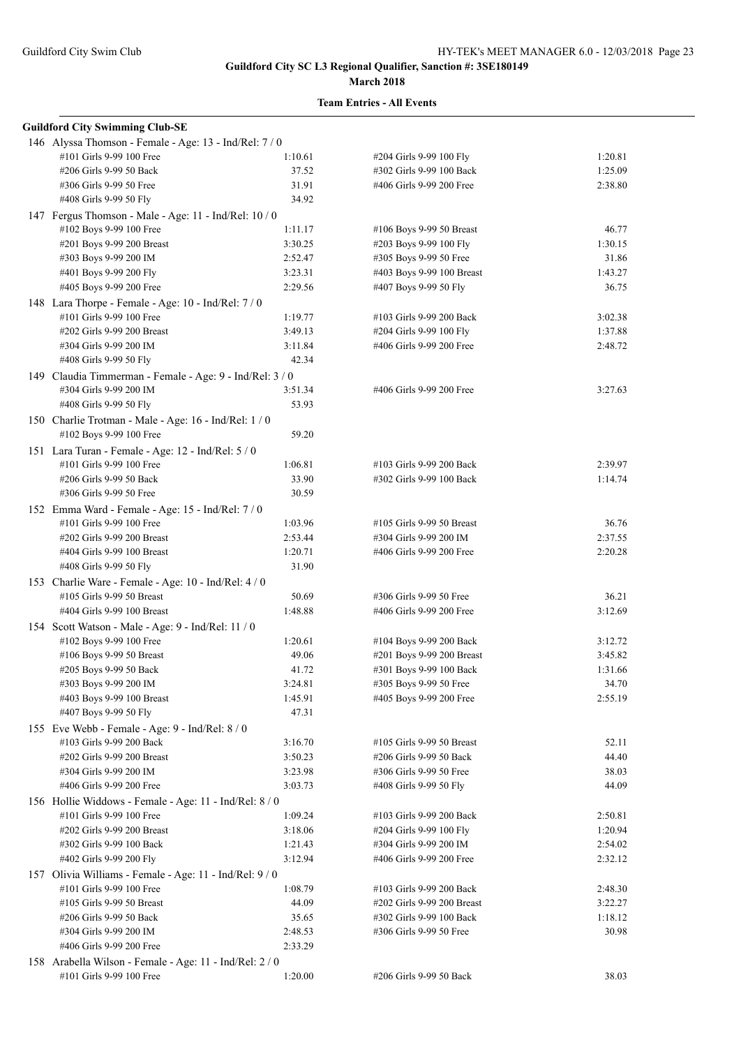#### **March 2018**

| <b>Guildford City Swimming Club-SE</b>                                         |                |                            |         |
|--------------------------------------------------------------------------------|----------------|----------------------------|---------|
| 146 Alyssa Thomson - Female - Age: 13 - Ind/Rel: 7/0                           |                |                            |         |
| #101 Girls 9-99 100 Free                                                       | 1:10.61        | #204 Girls 9-99 100 Fly    | 1:20.81 |
| #206 Girls 9-99 50 Back                                                        | 37.52          | #302 Girls 9-99 100 Back   | 1:25.09 |
| #306 Girls 9-99 50 Free                                                        | 31.91          | #406 Girls 9-99 200 Free   | 2:38.80 |
| #408 Girls 9-99 50 Fly                                                         | 34.92          |                            |         |
| 147 Fergus Thomson - Male - Age: 11 - Ind/Rel: 10 / 0                          |                |                            |         |
| #102 Boys 9-99 100 Free                                                        | 1:11.17        | #106 Boys 9-99 50 Breast   | 46.77   |
| #201 Boys 9-99 200 Breast                                                      | 3:30.25        | #203 Boys 9-99 100 Fly     | 1:30.15 |
| #303 Boys 9-99 200 IM                                                          | 2:52.47        | #305 Boys 9-99 50 Free     | 31.86   |
| #401 Boys 9-99 200 Fly                                                         | 3:23.31        | #403 Boys 9-99 100 Breast  | 1:43.27 |
| #405 Boys 9-99 200 Free                                                        | 2:29.56        | #407 Boys 9-99 50 Fly      | 36.75   |
| 148 Lara Thorpe - Female - Age: 10 - Ind/Rel: 7 / 0                            |                |                            |         |
| #101 Girls 9-99 100 Free                                                       | 1:19.77        | #103 Girls 9-99 200 Back   | 3:02.38 |
| #202 Girls 9-99 200 Breast                                                     | 3:49.13        | #204 Girls 9-99 100 Fly    | 1:37.88 |
| #304 Girls 9-99 200 IM                                                         | 3:11.84        | #406 Girls 9-99 200 Free   | 2:48.72 |
| #408 Girls 9-99 50 Fly                                                         | 42.34          |                            |         |
| 149 Claudia Timmerman - Female - Age: 9 - Ind/Rel: 3 / 0                       |                |                            |         |
| #304 Girls 9-99 200 IM                                                         | 3:51.34        | #406 Girls 9-99 200 Free   | 3:27.63 |
| #408 Girls 9-99 50 Fly                                                         | 53.93          |                            |         |
| 150 Charlie Trotman - Male - Age: 16 - Ind/Rel: 1 / 0                          |                |                            |         |
| #102 Boys 9-99 100 Free                                                        | 59.20          |                            |         |
|                                                                                |                |                            |         |
| 151 Lara Turan - Female - Age: 12 - Ind/Rel: 5 / 0<br>#101 Girls 9-99 100 Free | 1:06.81        |                            |         |
| #206 Girls 9-99 50 Back                                                        |                | #103 Girls 9-99 200 Back   | 2:39.97 |
| #306 Girls 9-99 50 Free                                                        | 33.90<br>30.59 | #302 Girls 9-99 100 Back   | 1:14.74 |
|                                                                                |                |                            |         |
| 152 Emma Ward - Female - Age: 15 - Ind/Rel: 7 / 0                              |                |                            |         |
| #101 Girls 9-99 100 Free                                                       | 1:03.96        | #105 Girls 9-99 50 Breast  | 36.76   |
| #202 Girls 9-99 200 Breast                                                     | 2:53.44        | #304 Girls 9-99 200 IM     | 2:37.55 |
| #404 Girls 9-99 100 Breast                                                     | 1:20.71        | #406 Girls 9-99 200 Free   | 2:20.28 |
| #408 Girls 9-99 50 Fly                                                         | 31.90          |                            |         |
| 153 Charlie Ware - Female - Age: 10 - Ind/Rel: 4 / 0                           |                |                            |         |
| #105 Girls 9-99 50 Breast                                                      | 50.69          | #306 Girls 9-99 50 Free    | 36.21   |
| #404 Girls 9-99 100 Breast                                                     | 1:48.88        | #406 Girls 9-99 200 Free   | 3:12.69 |
| 154 Scott Watson - Male - Age: 9 - Ind/Rel: 11 / 0                             |                |                            |         |
| #102 Boys 9-99 100 Free                                                        | 1:20.61        | #104 Boys 9-99 200 Back    | 3:12.72 |
| #106 Boys 9-99 50 Breast                                                       | 49.06          | #201 Boys 9-99 200 Breast  | 3:45.82 |
| #205 Boys 9-99 50 Back                                                         | 41.72          | #301 Boys 9-99 100 Back    | 1:31.66 |
| #303 Boys 9-99 200 IM                                                          | 3:24.81        | #305 Boys 9-99 50 Free     | 34.70   |
| #403 Boys 9-99 100 Breast                                                      | 1:45.91        | #405 Boys 9-99 200 Free    | 2:55.19 |
| #407 Boys 9-99 50 Fly                                                          | 47.31          |                            |         |
| 155 Eve Webb - Female - Age: 9 - Ind/Rel: 8 / 0                                |                |                            |         |
| #103 Girls 9-99 200 Back                                                       | 3:16.70        | #105 Girls 9-99 50 Breast  | 52.11   |
| #202 Girls 9-99 200 Breast                                                     | 3:50.23        | #206 Girls 9-99 50 Back    | 44.40   |
| #304 Girls 9-99 200 IM                                                         | 3:23.98        | #306 Girls 9-99 50 Free    | 38.03   |
| #406 Girls 9-99 200 Free                                                       | 3:03.73        | #408 Girls 9-99 50 Fly     | 44.09   |
| 156 Hollie Widdows - Female - Age: 11 - Ind/Rel: 8 / 0                         |                |                            |         |
| #101 Girls 9-99 100 Free                                                       | 1:09.24        | #103 Girls 9-99 200 Back   | 2:50.81 |
| #202 Girls 9-99 200 Breast                                                     | 3:18.06        | #204 Girls 9-99 100 Fly    | 1:20.94 |
| #302 Girls 9-99 100 Back                                                       | 1:21.43        | #304 Girls 9-99 200 IM     | 2:54.02 |
| #402 Girls 9-99 200 Fly                                                        | 3:12.94        | #406 Girls 9-99 200 Free   | 2:32.12 |
| 157 Olivia Williams - Female - Age: 11 - Ind/Rel: 9/0                          |                |                            |         |
| #101 Girls 9-99 100 Free                                                       | 1:08.79        | #103 Girls 9-99 200 Back   | 2:48.30 |
| #105 Girls 9-99 50 Breast                                                      | 44.09          | #202 Girls 9-99 200 Breast | 3:22.27 |
| #206 Girls 9-99 50 Back                                                        | 35.65          | #302 Girls 9-99 100 Back   | 1:18.12 |
| #304 Girls 9-99 200 IM                                                         | 2:48.53        | #306 Girls 9-99 50 Free    | 30.98   |
| #406 Girls 9-99 200 Free                                                       | 2:33.29        |                            |         |
| 158 Arabella Wilson - Female - Age: 11 - Ind/Rel: 2 / 0                        |                |                            |         |
| #101 Girls 9-99 100 Free                                                       | 1:20.00        | #206 Girls 9-99 50 Back    | 38.03   |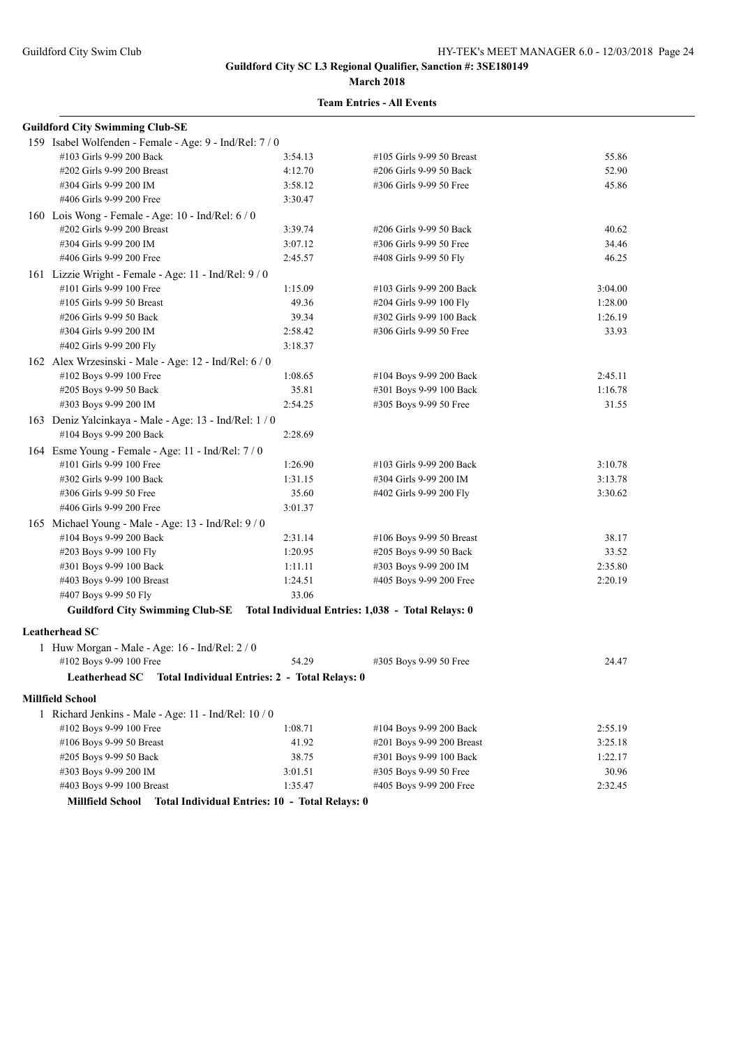#### **March 2018**

| <b>Guildford City Swimming Club-SE</b>                                            |                                                |                           |         |
|-----------------------------------------------------------------------------------|------------------------------------------------|---------------------------|---------|
| 159 Isabel Wolfenden - Female - Age: 9 - Ind/Rel: 7 / 0                           |                                                |                           |         |
| #103 Girls 9-99 200 Back                                                          | 3:54.13                                        | #105 Girls 9-99 50 Breast | 55.86   |
| #202 Girls 9-99 200 Breast                                                        | 4:12.70                                        | #206 Girls 9-99 50 Back   | 52.90   |
| #304 Girls 9-99 200 IM                                                            | 3:58.12                                        | #306 Girls 9-99 50 Free   | 45.86   |
| #406 Girls 9-99 200 Free                                                          | 3:30.47                                        |                           |         |
| 160 Lois Wong - Female - Age: 10 - Ind/Rel: 6 / 0                                 |                                                |                           |         |
| #202 Girls 9-99 200 Breast                                                        | 3:39.74                                        | #206 Girls 9-99 50 Back   | 40.62   |
| #304 Girls 9-99 200 IM                                                            | 3:07.12                                        | #306 Girls 9-99 50 Free   | 34.46   |
| #406 Girls 9-99 200 Free                                                          | 2:45.57                                        | #408 Girls 9-99 50 Fly    | 46.25   |
| 161 Lizzie Wright - Female - Age: 11 - Ind/Rel: 9/0                               |                                                |                           |         |
| #101 Girls 9-99 100 Free                                                          | 1:15.09                                        | #103 Girls 9-99 200 Back  | 3:04.00 |
| #105 Girls 9-99 50 Breast                                                         | 49.36                                          | #204 Girls 9-99 100 Fly   | 1:28.00 |
| #206 Girls 9-99 50 Back                                                           | 39.34                                          | #302 Girls 9-99 100 Back  | 1:26.19 |
| #304 Girls 9-99 200 IM                                                            | 2:58.42                                        | #306 Girls 9-99 50 Free   | 33.93   |
| #402 Girls 9-99 200 Fly                                                           | 3:18.37                                        |                           |         |
| 162 Alex Wrzesinski - Male - Age: 12 - Ind/Rel: 6 / 0                             |                                                |                           |         |
| #102 Boys 9-99 100 Free                                                           | 1:08.65                                        | #104 Boys 9-99 200 Back   | 2:45.11 |
| #205 Boys 9-99 50 Back                                                            | 35.81                                          | #301 Boys 9-99 100 Back   | 1:16.78 |
| #303 Boys 9-99 200 IM                                                             | 2:54.25                                        | #305 Boys 9-99 50 Free    | 31.55   |
| 163 Deniz Yalcinkaya - Male - Age: 13 - Ind/Rel: 1 / 0                            |                                                |                           |         |
| #104 Boys 9-99 200 Back                                                           | 2:28.69                                        |                           |         |
| 164 Esme Young - Female - Age: 11 - Ind/Rel: 7/0                                  |                                                |                           |         |
| #101 Girls 9-99 100 Free                                                          | 1:26.90                                        | #103 Girls 9-99 200 Back  | 3:10.78 |
| #302 Girls 9-99 100 Back                                                          | 1:31.15                                        | #304 Girls 9-99 200 IM    | 3:13.78 |
| #306 Girls 9-99 50 Free                                                           | 35.60                                          | #402 Girls 9-99 200 Fly   | 3:30.62 |
| #406 Girls 9-99 200 Free                                                          | 3:01.37                                        |                           |         |
| 165 Michael Young - Male - Age: 13 - Ind/Rel: 9/0                                 |                                                |                           |         |
| #104 Boys 9-99 200 Back                                                           | 2:31.14                                        | #106 Boys 9-99 50 Breast  | 38.17   |
| #203 Boys 9-99 100 Fly                                                            | 1:20.95                                        | #205 Boys 9-99 50 Back    | 33.52   |
| #301 Boys 9-99 100 Back                                                           | 1:11.11                                        | #303 Boys 9-99 200 IM     | 2:35.80 |
| #403 Boys 9-99 100 Breast                                                         | 1:24.51                                        | #405 Boys 9-99 200 Free   | 2:20.19 |
| #407 Boys 9-99 50 Fly                                                             | 33.06                                          |                           |         |
| Guildford City Swimming Club-SE Total Individual Entries: 1,038 - Total Relays: 0 |                                                |                           |         |
| <b>Leatherhead SC</b>                                                             |                                                |                           |         |
| 1 Huw Morgan - Male - Age: 16 - Ind/Rel: 2 / 0                                    |                                                |                           |         |
| #102 Boys 9-99 100 Free                                                           | 54.29                                          | #305 Boys 9-99 50 Free    | 24.47   |
| Leatherhead SC  Total Individual Entries: 2 - Total Relays: 0                     |                                                |                           |         |
| <b>Millfield School</b>                                                           |                                                |                           |         |
| 1 Richard Jenkins - Male - Age: 11 - Ind/Rel: 10 / 0                              |                                                |                           |         |
| #102 Boys 9-99 100 Free                                                           | 1:08.71                                        | #104 Boys 9-99 200 Back   | 2:55.19 |
| #106 Boys 9-99 50 Breast                                                          | 41.92                                          | #201 Boys 9-99 200 Breast | 3:25.18 |
| #205 Boys 9-99 50 Back                                                            | 38.75                                          | #301 Boys 9-99 100 Back   | 1:22.17 |
| #303 Boys 9-99 200 IM                                                             | 3:01.51                                        | #305 Boys 9-99 50 Free    | 30.96   |
| #403 Boys 9-99 100 Breast                                                         | 1:35.47                                        | #405 Boys 9-99 200 Free   | 2:32.45 |
| <b>Millfield School</b>                                                           | Total Individual Entries: 10 - Total Relays: 0 |                           |         |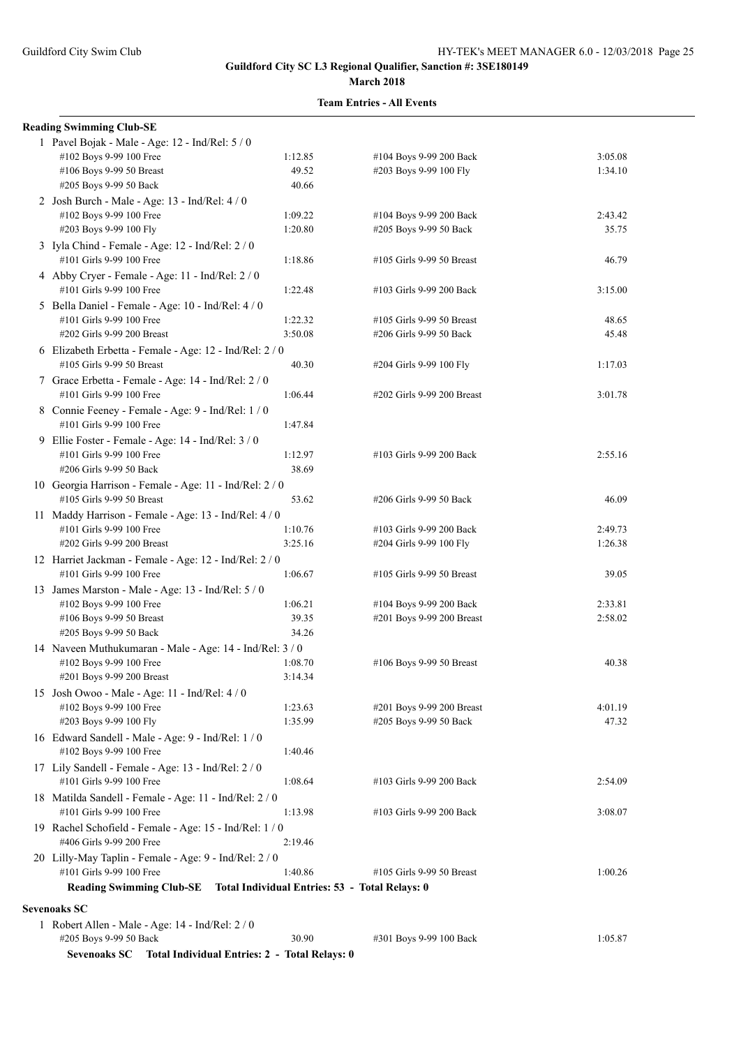#### **March 2018**

| <b>Reading Swimming Club-SE</b>                                                      |                    |                                                   |                  |
|--------------------------------------------------------------------------------------|--------------------|---------------------------------------------------|------------------|
| 1 Pavel Bojak - Male - Age: 12 - Ind/Rel: 5 / 0                                      |                    |                                                   |                  |
| #102 Boys 9-99 100 Free                                                              | 1:12.85            | #104 Boys 9-99 200 Back                           | 3:05.08          |
| #106 Boys 9-99 50 Breast                                                             | 49.52              | #203 Boys 9-99 100 Fly                            | 1:34.10          |
| #205 Boys 9-99 50 Back                                                               | 40.66              |                                                   |                  |
| 2 Josh Burch - Male - Age: 13 - Ind/Rel: 4 / 0                                       |                    |                                                   |                  |
| #102 Boys 9-99 100 Free<br>#203 Boys 9-99 100 Fly                                    | 1:09.22<br>1:20.80 | #104 Boys 9-99 200 Back<br>#205 Boys 9-99 50 Back | 2:43.42<br>35.75 |
|                                                                                      |                    |                                                   |                  |
| 3 Iyla Chind - Female - Age: 12 - Ind/Rel: 2 / 0<br>#101 Girls 9-99 100 Free         | 1:18.86            | #105 Girls 9-99 50 Breast                         | 46.79            |
| 4 Abby Cryer - Female - Age: 11 - Ind/Rel: 2 / 0                                     |                    |                                                   |                  |
| #101 Girls 9-99 100 Free                                                             | 1:22.48            | #103 Girls 9-99 200 Back                          | 3:15.00          |
| 5 Bella Daniel - Female - Age: 10 - Ind/Rel: 4 / 0                                   |                    |                                                   |                  |
| #101 Girls 9-99 100 Free                                                             | 1:22.32            | #105 Girls 9-99 50 Breast                         | 48.65            |
| #202 Girls 9-99 200 Breast                                                           | 3:50.08            | #206 Girls 9-99 50 Back                           | 45.48            |
| 6 Elizabeth Erbetta - Female - Age: 12 - Ind/Rel: 2 / 0                              |                    |                                                   |                  |
| #105 Girls 9-99 50 Breast                                                            | 40.30              | #204 Girls 9-99 100 Fly                           | 1:17.03          |
| 7 Grace Erbetta - Female - Age: 14 - Ind/Rel: 2 / 0                                  |                    |                                                   |                  |
| #101 Girls 9-99 100 Free                                                             | 1:06.44            | #202 Girls 9-99 200 Breast                        | 3:01.78          |
| 8 Connie Feeney - Female - Age: 9 - Ind/Rel: 1 / 0                                   |                    |                                                   |                  |
| #101 Girls 9-99 100 Free                                                             | 1:47.84            |                                                   |                  |
| 9 Ellie Foster - Female - Age: 14 - Ind/Rel: 3 / 0                                   |                    |                                                   |                  |
| #101 Girls 9-99 100 Free                                                             | 1:12.97            | #103 Girls 9-99 200 Back                          | 2:55.16          |
| #206 Girls 9-99 50 Back                                                              | 38.69              |                                                   |                  |
| 10 Georgia Harrison - Female - Age: 11 - Ind/Rel: 2 / 0<br>#105 Girls 9-99 50 Breast | 53.62              | #206 Girls 9-99 50 Back                           | 46.09            |
| 11 Maddy Harrison - Female - Age: 13 - Ind/Rel: 4 / 0                                |                    |                                                   |                  |
| #101 Girls 9-99 100 Free                                                             | 1:10.76            | #103 Girls 9-99 200 Back                          | 2:49.73          |
| #202 Girls 9-99 200 Breast                                                           | 3:25.16            | #204 Girls 9-99 100 Fly                           | 1:26.38          |
| 12 Harriet Jackman - Female - Age: 12 - Ind/Rel: 2 / 0                               |                    |                                                   |                  |
| #101 Girls 9-99 100 Free                                                             | 1:06.67            | #105 Girls 9-99 50 Breast                         | 39.05            |
| 13 James Marston - Male - Age: 13 - Ind/Rel: 5 / 0                                   |                    |                                                   |                  |
| #102 Boys 9-99 100 Free                                                              | 1:06.21            | #104 Boys 9-99 200 Back                           | 2:33.81          |
| #106 Boys 9-99 50 Breast                                                             | 39.35              | #201 Boys 9-99 200 Breast                         | 2:58.02          |
| #205 Boys 9-99 50 Back                                                               | 34.26              |                                                   |                  |
| 14 Naveen Muthukumaran - Male - Age: 14 - Ind/Rel: 3 / 0                             |                    |                                                   |                  |
| #102 Boys 9-99 100 Free                                                              | 1:08.70            | #106 Boys 9-99 50 Breast                          | 40.38            |
| #201 Boys 9-99 200 Breast                                                            | 3:14.34            |                                                   |                  |
| 15 Josh Owoo - Male - Age: 11 - Ind/Rel: 4 / 0<br>#102 Boys 9-99 100 Free            | 1:23.63            | #201 Boys 9-99 200 Breast                         | 4:01.19          |
| #203 Boys 9-99 100 Fly                                                               | 1:35.99            | #205 Boys 9-99 50 Back                            | 47.32            |
| 16 Edward Sandell - Male - Age: 9 - Ind/Rel: 1 / 0                                   |                    |                                                   |                  |
| #102 Boys 9-99 100 Free                                                              | 1:40.46            |                                                   |                  |
| 17 Lily Sandell - Female - Age: 13 - Ind/Rel: 2 / 0                                  |                    |                                                   |                  |
| #101 Girls 9-99 100 Free                                                             | 1:08.64            | #103 Girls 9-99 200 Back                          | 2:54.09          |
| 18 Matilda Sandell - Female - Age: 11 - Ind/Rel: 2 / 0                               |                    |                                                   |                  |
| #101 Girls 9-99 100 Free                                                             | 1:13.98            | #103 Girls 9-99 200 Back                          | 3:08.07          |
| 19 Rachel Schofield - Female - Age: 15 - Ind/Rel: 1 / 0                              |                    |                                                   |                  |
| #406 Girls 9-99 200 Free                                                             | 2:19.46            |                                                   |                  |
| 20 Lilly-May Taplin - Female - Age: 9 - Ind/Rel: 2 / 0                               |                    |                                                   |                  |
| #101 Girls 9-99 100 Free                                                             | 1:40.86            | #105 Girls 9-99 50 Breast                         | 1:00.26          |
| Reading Swimming Club-SE Total Individual Entries: 53 - Total Relays: 0              |                    |                                                   |                  |
| <b>Sevenoaks SC</b>                                                                  |                    |                                                   |                  |
| 1 Robert Allen - Male - Age: 14 - Ind/Rel: 2 / 0                                     |                    |                                                   |                  |
| #205 Boys 9-99 50 Back                                                               | 30.90              | #301 Boys 9-99 100 Back                           | 1:05.87          |
| Sevenoaks SC Total Individual Entries: 2 - Total Relays: 0                           |                    |                                                   |                  |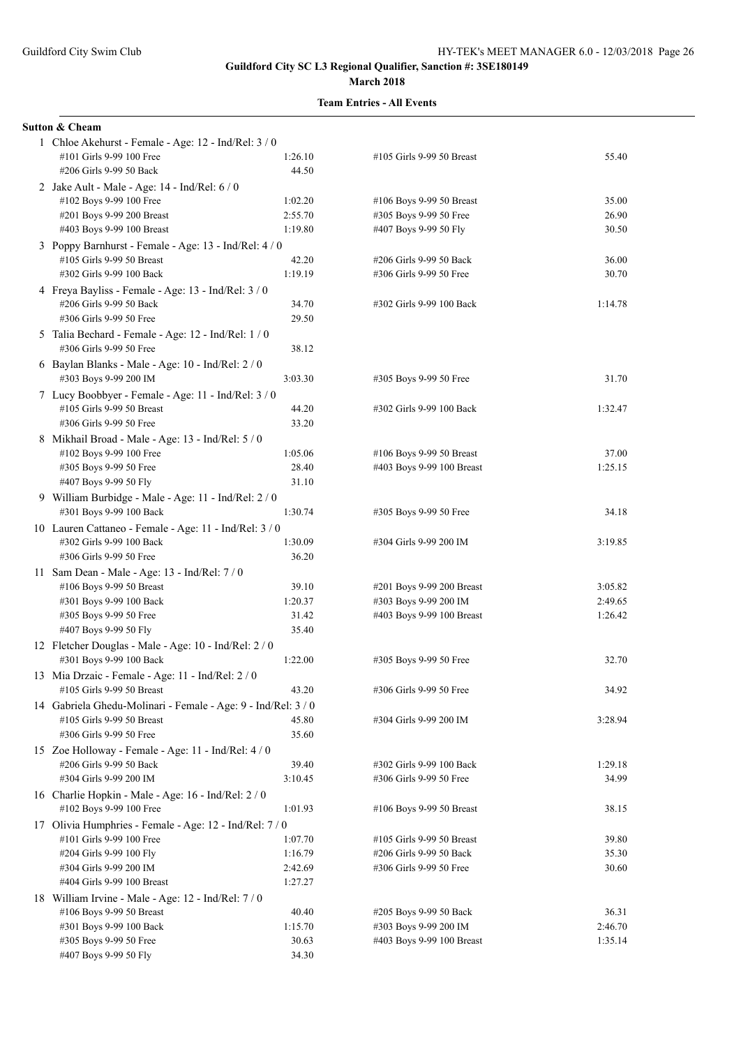| <b>Sutton &amp; Cheam</b>                                                      |         |                           |         |
|--------------------------------------------------------------------------------|---------|---------------------------|---------|
| 1 Chloe Akehurst - Female - Age: 12 - Ind/Rel: 3 / 0                           |         |                           |         |
| #101 Girls 9-99 100 Free                                                       | 1:26.10 | #105 Girls 9-99 50 Breast | 55.40   |
| #206 Girls 9-99 50 Back                                                        | 44.50   |                           |         |
| 2 Jake Ault - Male - Age: 14 - Ind/Rel: 6 / 0                                  |         |                           |         |
| #102 Boys 9-99 100 Free                                                        | 1:02.20 | #106 Boys 9-99 50 Breast  | 35.00   |
| #201 Boys 9-99 200 Breast                                                      | 2:55.70 | #305 Boys 9-99 50 Free    | 26.90   |
| #403 Boys 9-99 100 Breast                                                      | 1:19.80 | #407 Boys 9-99 50 Fly     | 30.50   |
| 3 Poppy Barnhurst - Female - Age: 13 - Ind/Rel: 4 / 0                          |         |                           |         |
| #105 Girls 9-99 50 Breast                                                      | 42.20   | #206 Girls 9-99 50 Back   | 36.00   |
| #302 Girls 9-99 100 Back                                                       | 1:19.19 | #306 Girls 9-99 50 Free   | 30.70   |
|                                                                                |         |                           |         |
| 4 Freya Bayliss - Female - Age: 13 - Ind/Rel: 3 / 0<br>#206 Girls 9-99 50 Back | 34.70   | #302 Girls 9-99 100 Back  | 1:14.78 |
|                                                                                |         |                           |         |
| #306 Girls 9-99 50 Free                                                        | 29.50   |                           |         |
| 5 Talia Bechard - Female - Age: 12 - Ind/Rel: 1 / 0                            |         |                           |         |
| #306 Girls 9-99 50 Free                                                        | 38.12   |                           |         |
| 6 Baylan Blanks - Male - Age: 10 - Ind/Rel: 2 / 0                              |         |                           |         |
| #303 Boys 9-99 200 IM                                                          | 3:03.30 | #305 Boys 9-99 50 Free    | 31.70   |
| 7 Lucy Boobbyer - Female - Age: 11 - Ind/Rel: 3 / 0                            |         |                           |         |
| #105 Girls 9-99 50 Breast                                                      | 44.20   | #302 Girls 9-99 100 Back  | 1:32.47 |
| #306 Girls 9-99 50 Free                                                        | 33.20   |                           |         |
| 8 Mikhail Broad - Male - Age: 13 - Ind/Rel: 5 / 0                              |         |                           |         |
| #102 Boys 9-99 100 Free                                                        | 1:05.06 | #106 Boys 9-99 50 Breast  | 37.00   |
| #305 Boys 9-99 50 Free                                                         | 28.40   | #403 Boys 9-99 100 Breast | 1:25.15 |
| #407 Boys 9-99 50 Fly                                                          | 31.10   |                           |         |
| 9 William Burbidge - Male - Age: 11 - Ind/Rel: 2 / 0                           |         |                           |         |
| #301 Boys 9-99 100 Back                                                        | 1:30.74 | #305 Boys 9-99 50 Free    | 34.18   |
|                                                                                |         |                           |         |
| 10 Lauren Cattaneo - Female - Age: 11 - Ind/Rel: 3 / 0                         |         |                           |         |
| #302 Girls 9-99 100 Back                                                       | 1:30.09 | #304 Girls 9-99 200 IM    | 3:19.85 |
| #306 Girls 9-99 50 Free                                                        | 36.20   |                           |         |
| 11 Sam Dean - Male - Age: 13 - Ind/Rel: 7 / 0                                  |         |                           |         |
| #106 Boys 9-99 50 Breast                                                       | 39.10   | #201 Boys 9-99 200 Breast | 3:05.82 |
| #301 Boys 9-99 100 Back                                                        | 1:20.37 | #303 Boys 9-99 200 IM     | 2:49.65 |
| #305 Boys 9-99 50 Free                                                         | 31.42   | #403 Boys 9-99 100 Breast | 1:26.42 |
| #407 Boys 9-99 50 Fly                                                          | 35.40   |                           |         |
| 12 Fletcher Douglas - Male - Age: 10 - Ind/Rel: 2 / 0                          |         |                           |         |
| #301 Boys 9-99 100 Back                                                        | 1:22.00 | #305 Boys 9-99 50 Free    | 32.70   |
| 13 Mia Drzaic - Female - Age: 11 - Ind/Rel: $2/0$                              |         |                           |         |
| #105 Girls 9-99 50 Breast                                                      | 43.20   | #306 Girls 9-99 50 Free   | 34.92   |
| 14 Gabriela Ghedu-Molinari - Female - Age: 9 - Ind/Rel: 3 / 0                  |         |                           |         |
| #105 Girls 9-99 50 Breast                                                      | 45.80   | #304 Girls 9-99 200 IM    | 3:28.94 |
| #306 Girls 9-99 50 Free                                                        | 35.60   |                           |         |
| 15 Zoe Holloway - Female - Age: 11 - Ind/Rel: 4 / 0                            |         |                           |         |
| #206 Girls 9-99 50 Back                                                        | 39.40   | #302 Girls 9-99 100 Back  | 1:29.18 |
| #304 Girls 9-99 200 IM                                                         | 3:10.45 | #306 Girls 9-99 50 Free   | 34.99   |
| 16 Charlie Hopkin - Male - Age: 16 - Ind/Rel: 2 / 0                            |         |                           |         |
| #102 Boys 9-99 100 Free                                                        | 1:01.93 | #106 Boys 9-99 50 Breast  | 38.15   |
|                                                                                |         |                           |         |
| 17 Olivia Humphries - Female - Age: 12 - Ind/Rel: 7 / 0                        |         |                           |         |
| #101 Girls 9-99 100 Free                                                       | 1:07.70 | #105 Girls 9-99 50 Breast | 39.80   |
| #204 Girls 9-99 100 Fly                                                        | 1:16.79 | #206 Girls 9-99 50 Back   | 35.30   |
| #304 Girls 9-99 200 IM                                                         | 2:42.69 | #306 Girls 9-99 50 Free   | 30.60   |
| #404 Girls 9-99 100 Breast                                                     | 1:27.27 |                           |         |
| 18 William Irvine - Male - Age: 12 - Ind/Rel: 7 / 0                            |         |                           |         |
| #106 Boys 9-99 50 Breast                                                       | 40.40   | #205 Boys 9-99 50 Back    | 36.31   |
| #301 Boys 9-99 100 Back                                                        | 1:15.70 | #303 Boys 9-99 200 IM     | 2:46.70 |
| #305 Boys 9-99 50 Free                                                         | 30.63   | #403 Boys 9-99 100 Breast | 1:35.14 |
| #407 Boys 9-99 50 Fly                                                          | 34.30   |                           |         |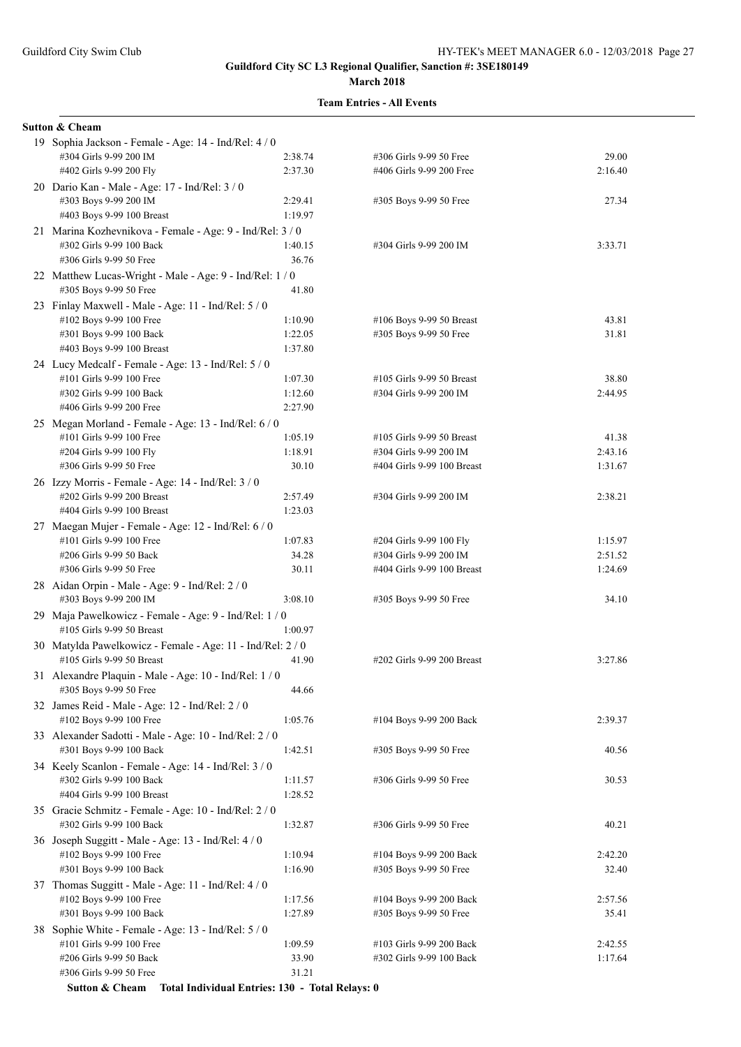#### **Team Entries - All Events**

| <b>Sutton &amp; Cheam</b>                                                         |         |                            |         |
|-----------------------------------------------------------------------------------|---------|----------------------------|---------|
| 19 Sophia Jackson - Female - Age: 14 - Ind/Rel: 4 / 0                             |         |                            |         |
| #304 Girls 9-99 200 IM                                                            | 2:38.74 | #306 Girls 9-99 50 Free    | 29.00   |
| #402 Girls 9-99 200 Fly                                                           | 2:37.30 | #406 Girls 9-99 200 Free   | 2:16.40 |
| 20 Dario Kan - Male - Age: 17 - Ind/Rel: 3 / 0                                    |         |                            |         |
| #303 Boys 9-99 200 IM                                                             | 2:29.41 | #305 Boys 9-99 50 Free     | 27.34   |
| #403 Boys 9-99 100 Breast                                                         | 1:19.97 |                            |         |
| 21 Marina Kozhevnikova - Female - Age: 9 - Ind/Rel: 3 / 0                         |         |                            |         |
| #302 Girls 9-99 100 Back                                                          | 1:40.15 | #304 Girls 9-99 200 IM     | 3:33.71 |
| #306 Girls 9-99 50 Free                                                           | 36.76   |                            |         |
| 22 Matthew Lucas-Wright - Male - Age: 9 - Ind/Rel: 1 / 0                          |         |                            |         |
| #305 Boys 9-99 50 Free                                                            | 41.80   |                            |         |
| 23 Finlay Maxwell - Male - Age: 11 - Ind/Rel: 5 / 0                               |         |                            |         |
| #102 Boys 9-99 100 Free                                                           | 1:10.90 | #106 Boys 9-99 50 Breast   | 43.81   |
| #301 Boys 9-99 100 Back                                                           | 1:22.05 | #305 Boys 9-99 50 Free     | 31.81   |
| #403 Boys 9-99 100 Breast                                                         | 1:37.80 |                            |         |
| 24 Lucy Medcalf - Female - Age: 13 - Ind/Rel: 5 / 0                               |         |                            |         |
| #101 Girls 9-99 100 Free                                                          | 1:07.30 | #105 Girls 9-99 50 Breast  | 38.80   |
| #302 Girls 9-99 100 Back                                                          | 1:12.60 | #304 Girls 9-99 200 IM     | 2:44.95 |
| #406 Girls 9-99 200 Free                                                          | 2:27.90 |                            |         |
| 25 Megan Morland - Female - Age: 13 - Ind/Rel: 6 / 0                              |         |                            |         |
| #101 Girls 9-99 100 Free                                                          | 1:05.19 | #105 Girls 9-99 50 Breast  | 41.38   |
| #204 Girls 9-99 100 Fly                                                           | 1:18.91 | #304 Girls 9-99 200 IM     | 2:43.16 |
| #306 Girls 9-99 50 Free                                                           | 30.10   | #404 Girls 9-99 100 Breast | 1:31.67 |
| 26 Izzy Morris - Female - Age: 14 - Ind/Rel: 3 / 0                                |         |                            |         |
| #202 Girls 9-99 200 Breast                                                        | 2:57.49 | #304 Girls 9-99 200 IM     | 2:38.21 |
| #404 Girls 9-99 100 Breast                                                        | 1:23.03 |                            |         |
| 27 Maegan Mujer - Female - Age: 12 - Ind/Rel: 6 / 0                               |         |                            |         |
| #101 Girls 9-99 100 Free                                                          | 1:07.83 | #204 Girls 9-99 100 Fly    | 1:15.97 |
| #206 Girls 9-99 50 Back                                                           | 34.28   | #304 Girls 9-99 200 IM     | 2:51.52 |
| #306 Girls 9-99 50 Free                                                           | 30.11   | #404 Girls 9-99 100 Breast | 1:24.69 |
| 28 Aidan Orpin - Male - Age: 9 - Ind/Rel: 2 / 0                                   |         |                            |         |
| #303 Boys 9-99 200 IM                                                             | 3:08.10 | #305 Boys 9-99 50 Free     | 34.10   |
| 29 Maja Pawelkowicz - Female - Age: 9 - Ind/Rel: 1 / 0                            |         |                            |         |
| #105 Girls 9-99 50 Breast                                                         | 1:00.97 |                            |         |
| 30 Matylda Pawelkowicz - Female - Age: 11 - Ind/Rel: 2 / 0                        |         |                            |         |
| #105 Girls 9-99 50 Breast                                                         | 41.90   | #202 Girls 9-99 200 Breast | 3:27.86 |
| 31 Alexandre Plaquin - Male - Age: 10 - Ind/Rel: 1 / 0                            |         |                            |         |
| #305 Boys 9-99 50 Free                                                            | 44.66   |                            |         |
| 32 James Reid - Male - Age: 12 - Ind/Rel: 2 / 0                                   |         |                            |         |
| #102 Boys 9-99 100 Free                                                           | 1:05.76 | #104 Boys 9-99 200 Back    | 2:39.37 |
| 33 Alexander Sadotti - Male - Age: 10 - Ind/Rel: 2 / 0                            |         |                            |         |
| #301 Boys 9-99 100 Back                                                           | 1:42.51 | #305 Boys 9-99 50 Free     | 40.56   |
|                                                                                   |         |                            |         |
| 34 Keely Scanlon - Female - Age: 14 - Ind/Rel: 3 / 0<br>#302 Girls 9-99 100 Back  | 1:11.57 | #306 Girls 9-99 50 Free    | 30.53   |
| #404 Girls 9-99 100 Breast                                                        | 1:28.52 |                            |         |
|                                                                                   |         |                            |         |
| 35 Gracie Schmitz - Female - Age: 10 - Ind/Rel: 2 / 0<br>#302 Girls 9-99 100 Back | 1:32.87 | #306 Girls 9-99 50 Free    | 40.21   |
|                                                                                   |         |                            |         |
| 36 Joseph Suggitt - Male - Age: 13 - Ind/Rel: 4 / 0                               |         |                            |         |
| #102 Boys 9-99 100 Free                                                           | 1:10.94 | #104 Boys 9-99 200 Back    | 2:42.20 |
| #301 Boys 9-99 100 Back                                                           | 1:16.90 | #305 Boys 9-99 50 Free     | 32.40   |
| 37 Thomas Suggitt - Male - Age: 11 - Ind/Rel: 4 / 0                               |         |                            |         |
| #102 Boys 9-99 100 Free                                                           | 1:17.56 | #104 Boys 9-99 200 Back    | 2:57.56 |
| #301 Boys 9-99 100 Back                                                           | 1:27.89 | #305 Boys 9-99 50 Free     | 35.41   |
| 38 Sophie White - Female - Age: 13 - Ind/Rel: 5 / 0                               |         |                            |         |
| #101 Girls 9-99 100 Free                                                          | 1:09.59 | #103 Girls 9-99 200 Back   | 2:42.55 |
| #206 Girls 9-99 50 Back                                                           | 33.90   | #302 Girls 9-99 100 Back   | 1:17.64 |
| #306 Girls 9-99 50 Free                                                           | 31.21   |                            |         |

**Sutton & Cheam Total Individual Entries: 130 - Total Relays: 0**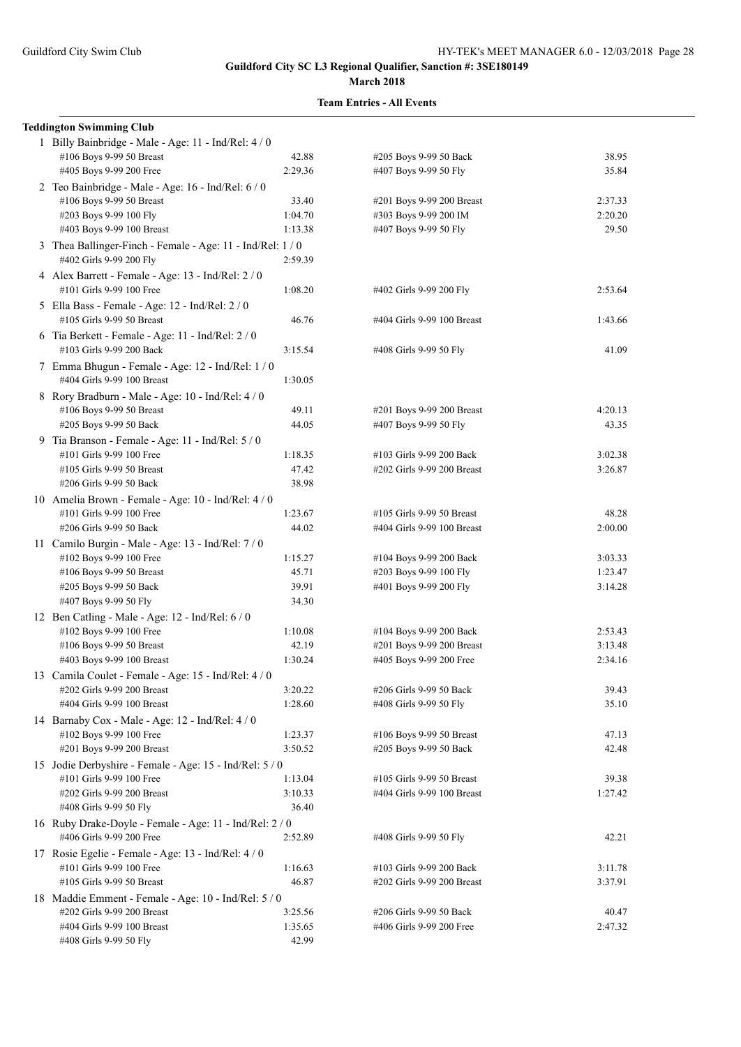| <b>Teddington Swimming Club</b>                                                       |         |                            |         |
|---------------------------------------------------------------------------------------|---------|----------------------------|---------|
| 1 Billy Bainbridge - Male - Age: 11 - Ind/Rel: 4 / 0                                  |         |                            |         |
| #106 Boys 9-99 50 Breast                                                              | 42.88   | #205 Boys 9-99 50 Back     | 38.95   |
| #405 Boys 9-99 200 Free                                                               | 2:29.36 | #407 Boys 9-99 50 Fly      | 35.84   |
| 2 Teo Bainbridge - Male - Age: 16 - Ind/Rel: 6 / 0                                    |         |                            |         |
| #106 Boys 9-99 50 Breast                                                              | 33.40   | #201 Boys 9-99 200 Breast  | 2:37.33 |
| #203 Boys 9-99 100 Fly                                                                | 1:04.70 | #303 Boys 9-99 200 IM      | 2:20.20 |
| #403 Boys 9-99 100 Breast                                                             | 1:13.38 | #407 Boys 9-99 50 Fly      | 29.50   |
| 3 Thea Ballinger-Finch - Female - Age: 11 - Ind/Rel: 1 / 0<br>#402 Girls 9-99 200 Fly | 2:59.39 |                            |         |
| 4 Alex Barrett - Female - Age: 13 - Ind/Rel: 2 / 0<br>#101 Girls 9-99 100 Free        | 1:08.20 | #402 Girls 9-99 200 Fly    | 2:53.64 |
| 5 Ella Bass - Female - Age: 12 - Ind/Rel: 2 / 0<br>#105 Girls 9-99 50 Breast          | 46.76   | #404 Girls 9-99 100 Breast | 1:43.66 |
| 6 Tia Berkett - Female - Age: 11 - Ind/Rel: 2 / 0<br>#103 Girls 9-99 200 Back         | 3:15.54 | #408 Girls 9-99 50 Fly     | 41.09   |
| 7 Emma Bhugun - Female - Age: 12 - Ind/Rel: 1 / 0<br>#404 Girls 9-99 100 Breast       | 1:30.05 |                            |         |
| 8 Rory Bradburn - Male - Age: 10 - Ind/Rel: 4 / 0                                     |         |                            |         |
| #106 Boys 9-99 50 Breast                                                              | 49.11   | #201 Boys 9-99 200 Breast  | 4:20.13 |
| #205 Boys 9-99 50 Back                                                                | 44.05   | #407 Boys 9-99 50 Fly      | 43.35   |
| 9 Tia Branson - Female - Age: 11 - Ind/Rel: 5 / 0                                     |         |                            |         |
| #101 Girls 9-99 100 Free                                                              | 1:18.35 | #103 Girls 9-99 200 Back   | 3:02.38 |
| #105 Girls 9-99 50 Breast                                                             | 47.42   | #202 Girls 9-99 200 Breast | 3:26.87 |
| #206 Girls 9-99 50 Back                                                               | 38.98   |                            |         |
| 10 Amelia Brown - Female - Age: 10 - Ind/Rel: 4 / 0                                   |         |                            |         |
| #101 Girls 9-99 100 Free                                                              | 1:23.67 | #105 Girls 9-99 50 Breast  | 48.28   |
| #206 Girls 9-99 50 Back                                                               | 44.02   | #404 Girls 9-99 100 Breast | 2:00.00 |
| 11 Camilo Burgin - Male - Age: 13 - Ind/Rel: 7 / 0                                    |         |                            |         |
| #102 Boys 9-99 100 Free                                                               | 1:15.27 | #104 Boys 9-99 200 Back    | 3:03.33 |
| #106 Boys 9-99 50 Breast                                                              | 45.71   | #203 Boys 9-99 100 Fly     | 1:23.47 |
| #205 Boys 9-99 50 Back                                                                | 39.91   | #401 Boys 9-99 200 Fly     | 3:14.28 |
| #407 Boys 9-99 50 Fly                                                                 | 34.30   |                            |         |
| 12 Ben Catling - Male - Age: 12 - Ind/Rel: 6 / 0                                      |         |                            |         |
| #102 Boys 9-99 100 Free                                                               | 1:10.08 | #104 Boys 9-99 200 Back    | 2:53.43 |
| #106 Boys 9-99 50 Breast                                                              | 42.19   | #201 Boys 9-99 200 Breast  | 3:13.48 |
| #403 Boys 9-99 100 Breast                                                             | 1:30.24 | #405 Boys 9-99 200 Free    | 2:34.16 |
| 13 Camila Coulet - Female - Age: 15 - Ind/Rel: 4 / 0                                  |         |                            |         |
| #202 Girls 9-99 200 Breast                                                            | 3:20.22 | #206 Girls 9-99 50 Back    | 39.43   |
| #404 Girls 9-99 100 Breast                                                            | 1:28.60 | #408 Girls 9-99 50 Fly     | 35.10   |
| 14 Barnaby Cox - Male - Age: 12 - Ind/Rel: 4 / 0                                      |         |                            |         |
| #102 Boys 9-99 100 Free                                                               | 1:23.37 | #106 Boys 9-99 50 Breast   | 47.13   |
| #201 Boys 9-99 200 Breast                                                             | 3:50.52 | #205 Boys 9-99 50 Back     | 42.48   |
| 15 Jodie Derbyshire - Female - Age: 15 - Ind/Rel: 5 / 0                               |         |                            |         |
| #101 Girls 9-99 100 Free                                                              | 1:13.04 | #105 Girls 9-99 50 Breast  | 39.38   |
| #202 Girls 9-99 200 Breast                                                            | 3:10.33 | #404 Girls 9-99 100 Breast | 1:27.42 |
| #408 Girls 9-99 50 Fly                                                                | 36.40   |                            |         |
| 16 Ruby Drake-Doyle - Female - Age: 11 - Ind/Rel: 2 / 0<br>#406 Girls 9-99 200 Free   | 2:52.89 | #408 Girls 9-99 50 Fly     | 42.21   |
| 17 Rosie Egelie - Female - Age: 13 - Ind/Rel: 4 / 0                                   |         |                            |         |
| #101 Girls 9-99 100 Free                                                              | 1:16.63 | #103 Girls 9-99 200 Back   | 3:11.78 |
| #105 Girls 9-99 50 Breast                                                             | 46.87   | #202 Girls 9-99 200 Breast | 3:37.91 |
| 18 Maddie Emment - Female - Age: 10 - Ind/Rel: 5 / 0                                  |         |                            |         |
| #202 Girls 9-99 200 Breast                                                            | 3:25.56 | #206 Girls 9-99 50 Back    | 40.47   |
| #404 Girls 9-99 100 Breast                                                            | 1:35.65 | #406 Girls 9-99 200 Free   | 2:47.32 |
| #408 Girls 9-99 50 Fly                                                                | 42.99   |                            |         |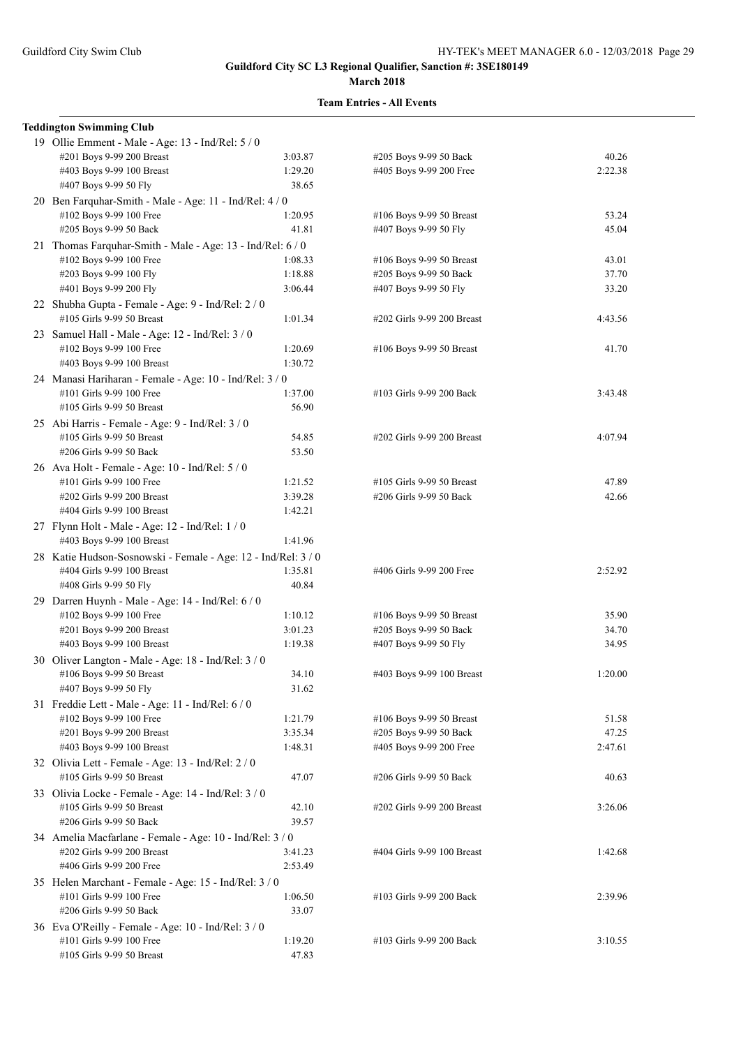| <b>Teddington Swimming Club</b>                                                   |                  |                                                   |         |
|-----------------------------------------------------------------------------------|------------------|---------------------------------------------------|---------|
| 19 Ollie Emment - Male - Age: 13 - Ind/Rel: 5 / 0                                 |                  |                                                   |         |
| #201 Boys 9-99 200 Breast                                                         | 3:03.87          | #205 Boys 9-99 50 Back                            | 40.26   |
| #403 Boys 9-99 100 Breast                                                         | 1:29.20          | #405 Boys 9-99 200 Free                           | 2:22.38 |
| #407 Boys 9-99 50 Fly                                                             | 38.65            |                                                   |         |
| 20 Ben Farquhar-Smith - Male - Age: 11 - Ind/Rel: 4 / 0                           |                  |                                                   | 53.24   |
| #102 Boys 9-99 100 Free<br>#205 Boys 9-99 50 Back                                 | 1:20.95<br>41.81 | #106 Boys 9-99 50 Breast<br>#407 Boys 9-99 50 Fly | 45.04   |
| 21 Thomas Farquhar-Smith - Male - Age: 13 - Ind/Rel: 6 / 0                        |                  |                                                   |         |
| #102 Boys 9-99 100 Free                                                           | 1:08.33          | #106 Boys 9-99 50 Breast                          | 43.01   |
| #203 Boys 9-99 100 Fly                                                            | 1:18.88          | #205 Boys 9-99 50 Back                            | 37.70   |
| #401 Boys 9-99 200 Fly                                                            | 3:06.44          | #407 Boys 9-99 50 Fly                             | 33.20   |
| 22 Shubha Gupta - Female - Age: 9 - Ind/Rel: 2 / 0                                |                  |                                                   |         |
| #105 Girls 9-99 50 Breast                                                         | 1:01.34          | #202 Girls 9-99 200 Breast                        | 4:43.56 |
| 23 Samuel Hall - Male - Age: 12 - Ind/Rel: 3 / 0                                  |                  |                                                   |         |
| #102 Boys 9-99 100 Free                                                           | 1:20.69          | #106 Boys 9-99 50 Breast                          | 41.70   |
| #403 Boys 9-99 100 Breast                                                         | 1:30.72          |                                                   |         |
| 24 Manasi Hariharan - Female - Age: 10 - Ind/Rel: 3 / 0                           |                  |                                                   |         |
| #101 Girls 9-99 100 Free                                                          | 1:37.00          | #103 Girls 9-99 200 Back                          | 3:43.48 |
| #105 Girls 9-99 50 Breast                                                         | 56.90            |                                                   |         |
| 25 Abi Harris - Female - Age: 9 - Ind/Rel: 3 / 0                                  |                  |                                                   |         |
| #105 Girls 9-99 50 Breast                                                         | 54.85            | #202 Girls 9-99 200 Breast                        | 4:07.94 |
| #206 Girls 9-99 50 Back                                                           | 53.50            |                                                   |         |
| 26 Ava Holt - Female - Age: 10 - Ind/Rel: 5 / 0                                   |                  |                                                   |         |
| #101 Girls 9-99 100 Free                                                          | 1:21.52          | #105 Girls 9-99 50 Breast                         | 47.89   |
| #202 Girls 9-99 200 Breast                                                        | 3:39.28          | #206 Girls 9-99 50 Back                           | 42.66   |
| #404 Girls 9-99 100 Breast                                                        | 1:42.21          |                                                   |         |
| 27 Flynn Holt - Male - Age: 12 - Ind/Rel: 1 / 0                                   |                  |                                                   |         |
| #403 Boys 9-99 100 Breast                                                         | 1:41.96          |                                                   |         |
| 28 Katie Hudson-Sosnowski - Female - Age: 12 - Ind/Rel: 3 / 0                     |                  |                                                   |         |
| #404 Girls 9-99 100 Breast<br>#408 Girls 9-99 50 Fly                              | 1:35.81<br>40.84 | #406 Girls 9-99 200 Free                          | 2:52.92 |
| 29 Darren Huynh - Male - Age: 14 - Ind/Rel: 6 / 0                                 |                  |                                                   |         |
| #102 Boys 9-99 100 Free                                                           | 1:10.12          | #106 Boys 9-99 50 Breast                          | 35.90   |
| #201 Boys 9-99 200 Breast                                                         | 3:01.23          | #205 Boys 9-99 50 Back                            | 34.70   |
| #403 Boys 9-99 100 Breast                                                         | 1:19.38          | #407 Boys 9-99 50 Fly                             | 34.95   |
| 30 Oliver Langton - Male - Age: 18 - Ind/Rel: 3/0                                 |                  |                                                   |         |
| #106 Boys 9-99 50 Breast                                                          | 34.10            | #403 Boys 9-99 100 Breast                         | 1:20.00 |
| #407 Boys 9-99 50 Fly                                                             | 31.62            |                                                   |         |
| 31 Freddie Lett - Male - Age: 11 - Ind/Rel: 6 / 0                                 |                  |                                                   |         |
| #102 Boys 9-99 100 Free                                                           | 1:21.79          | #106 Boys 9-99 50 Breast                          | 51.58   |
| #201 Boys 9-99 200 Breast                                                         | 3:35.34          | #205 Boys 9-99 50 Back                            | 47.25   |
| #403 Boys 9-99 100 Breast                                                         | 1:48.31          | #405 Boys 9-99 200 Free                           | 2:47.61 |
| 32 Olivia Lett - Female - Age: 13 - Ind/Rel: 2 / 0                                |                  |                                                   |         |
| #105 Girls 9-99 50 Breast                                                         | 47.07            | #206 Girls 9-99 50 Back                           | 40.63   |
| 33 Olivia Locke - Female - Age: 14 - Ind/Rel: 3 / 0                               |                  |                                                   |         |
| #105 Girls 9-99 50 Breast                                                         | 42.10            | #202 Girls 9-99 200 Breast                        | 3:26.06 |
| #206 Girls 9-99 50 Back                                                           | 39.57            |                                                   |         |
| 34 Amelia Macfarlane - Female - Age: 10 - Ind/Rel: 3 / 0                          |                  |                                                   |         |
| #202 Girls 9-99 200 Breast                                                        | 3:41.23          | #404 Girls 9-99 100 Breast                        | 1:42.68 |
| #406 Girls 9-99 200 Free                                                          | 2:53.49          |                                                   |         |
| 35 Helen Marchant - Female - Age: 15 - Ind/Rel: 3 / 0<br>#101 Girls 9-99 100 Free | 1:06.50          | #103 Girls 9-99 200 Back                          | 2:39.96 |
| #206 Girls 9-99 50 Back                                                           | 33.07            |                                                   |         |
| 36 Eva O'Reilly - Female - Age: 10 - Ind/Rel: 3 / 0                               |                  |                                                   |         |
| #101 Girls 9-99 100 Free                                                          | 1:19.20          | #103 Girls 9-99 200 Back                          | 3:10.55 |
| #105 Girls 9-99 50 Breast                                                         | 47.83            |                                                   |         |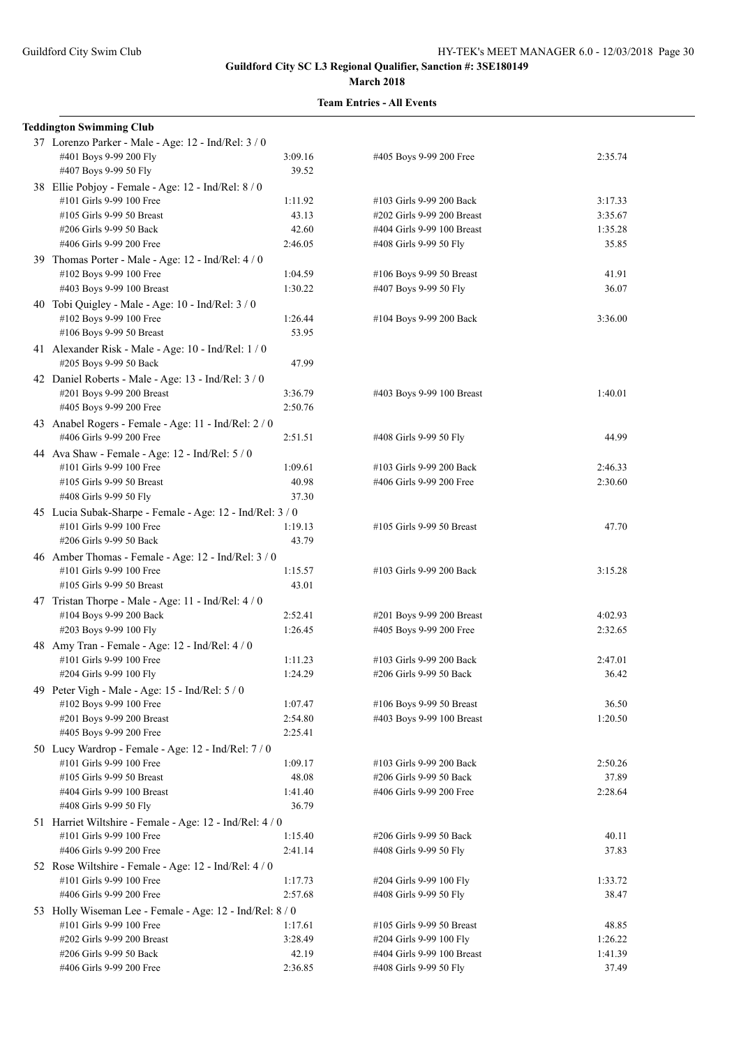| <b>Teddington Swimming Club</b>                           |                    |                            |         |
|-----------------------------------------------------------|--------------------|----------------------------|---------|
| 37 Lorenzo Parker - Male - Age: 12 - Ind/Rel: 3 / 0       |                    |                            |         |
| #401 Boys 9-99 200 Fly                                    | 3:09.16            | #405 Boys 9-99 200 Free    | 2:35.74 |
| #407 Boys 9-99 50 Fly                                     | 39.52              |                            |         |
| 38 Ellie Pobjoy - Female - Age: 12 - Ind/Rel: 8 / 0       |                    |                            |         |
| #101 Girls 9-99 100 Free                                  | 1:11.92            | #103 Girls 9-99 200 Back   | 3:17.33 |
| #105 Girls 9-99 50 Breast                                 | 43.13              | #202 Girls 9-99 200 Breast | 3:35.67 |
| #206 Girls 9-99 50 Back                                   | 42.60              | #404 Girls 9-99 100 Breast | 1:35.28 |
| #406 Girls 9-99 200 Free                                  | 2:46.05            | #408 Girls 9-99 50 Fly     | 35.85   |
|                                                           |                    |                            |         |
| 39 Thomas Porter - Male - Age: 12 - Ind/Rel: 4/0          |                    |                            |         |
| #102 Boys 9-99 100 Free                                   | 1:04.59            | #106 Boys 9-99 50 Breast   | 41.91   |
| #403 Boys 9-99 100 Breast                                 | 1:30.22            | #407 Boys 9-99 50 Fly      | 36.07   |
| 40 Tobi Quigley - Male - Age: $10$ - Ind/Rel: $3/0$       |                    |                            |         |
| #102 Boys 9-99 100 Free                                   | 1:26.44            | #104 Boys 9-99 200 Back    | 3:36.00 |
| #106 Boys 9-99 50 Breast                                  | 53.95              |                            |         |
| 41 Alexander Risk - Male - Age: 10 - Ind/Rel: 1 / 0       |                    |                            |         |
| #205 Boys 9-99 50 Back                                    | 47.99              |                            |         |
| 42 Daniel Roberts - Male - Age: 13 - Ind/Rel: 3 / 0       |                    |                            |         |
| #201 Boys 9-99 200 Breast                                 | 3:36.79            | #403 Boys 9-99 100 Breast  | 1:40.01 |
| #405 Boys 9-99 200 Free                                   | 2:50.76            |                            |         |
| 43 Anabel Rogers - Female - Age: 11 - Ind/Rel: 2/0        |                    |                            |         |
| #406 Girls 9-99 200 Free                                  | 2:51.51            | #408 Girls 9-99 50 Fly     | 44.99   |
| 44 Ava Shaw - Female - Age: 12 - Ind/Rel: 5 / 0           |                    |                            |         |
| #101 Girls 9-99 100 Free                                  | 1:09.61            | #103 Girls 9-99 200 Back   | 2:46.33 |
| #105 Girls 9-99 50 Breast                                 | 40.98              | #406 Girls 9-99 200 Free   | 2:30.60 |
| #408 Girls 9-99 50 Fly                                    | 37.30              |                            |         |
|                                                           |                    |                            |         |
| 45 Lucia Subak-Sharpe - Female - Age: 12 - Ind/Rel: 3 / 0 |                    |                            |         |
| #101 Girls 9-99 100 Free                                  | 1:19.13            | #105 Girls 9-99 50 Breast  | 47.70   |
| #206 Girls 9-99 50 Back                                   | 43.79              |                            |         |
| 46 Amber Thomas - Female - Age: 12 - Ind/Rel: 3 / 0       |                    |                            |         |
| #101 Girls 9-99 100 Free                                  | 1:15.57            | #103 Girls 9-99 200 Back   | 3:15.28 |
| #105 Girls 9-99 50 Breast                                 | 43.01              |                            |         |
| 47 Tristan Thorpe - Male - Age: 11 - Ind/Rel: 4 / 0       |                    |                            |         |
| #104 Boys 9-99 200 Back                                   | 2:52.41            | #201 Boys 9-99 200 Breast  | 4:02.93 |
| #203 Boys 9-99 100 Fly                                    | 1:26.45            | #405 Boys 9-99 200 Free    | 2:32.65 |
| 48 Amy Tran - Female - Age: 12 - Ind/Rel: 4 / 0           |                    |                            |         |
| #101 Girls 9-99 100 Free                                  | 1:11.23            | #103 Girls 9-99 200 Back   | 2:47.01 |
| #204 Girls 9-99 100 Fly                                   | 1:24.29            | #206 Girls 9-99 50 Back    | 36.42   |
| 49 Peter Vigh - Male - Age: 15 - Ind/Rel: 5 / 0           |                    |                            |         |
| #102 Boys 9-99 100 Free                                   | 1:07.47            | #106 Boys 9-99 50 Breast   | 36.50   |
| #201 Boys 9-99 200 Breast                                 | 2:54.80            | #403 Boys 9-99 100 Breast  | 1:20.50 |
| #405 Boys 9-99 200 Free                                   | 2:25.41            |                            |         |
| 50 Lucy Wardrop - Female - Age: 12 - Ind/Rel: 7 / 0       |                    |                            |         |
| #101 Girls 9-99 100 Free                                  | 1:09.17            | #103 Girls 9-99 200 Back   | 2:50.26 |
| #105 Girls 9-99 50 Breast                                 | 48.08              | #206 Girls 9-99 50 Back    | 37.89   |
| #404 Girls 9-99 100 Breast                                | 1:41.40            | #406 Girls 9-99 200 Free   | 2:28.64 |
| #408 Girls 9-99 50 Fly                                    | 36.79              |                            |         |
| 51 Harriet Wiltshire - Female - Age: 12 - Ind/Rel: 4 / 0  |                    |                            |         |
| #101 Girls 9-99 100 Free                                  | 1:15.40            | #206 Girls 9-99 50 Back    | 40.11   |
| #406 Girls 9-99 200 Free                                  | 2:41.14            | #408 Girls 9-99 50 Fly     | 37.83   |
| 52 Rose Wiltshire - Female - Age: 12 - Ind/Rel: 4 / 0     |                    |                            |         |
| #101 Girls 9-99 100 Free                                  |                    |                            |         |
| #406 Girls 9-99 200 Free                                  | 1:17.73<br>2:57.68 | #204 Girls 9-99 100 Fly    | 1:33.72 |
|                                                           |                    | #408 Girls 9-99 50 Fly     | 38.47   |
| 53 Holly Wiseman Lee - Female - Age: 12 - Ind/Rel: 8 / 0  |                    |                            |         |
| #101 Girls 9-99 100 Free                                  | 1:17.61            | #105 Girls 9-99 50 Breast  | 48.85   |
| #202 Girls 9-99 200 Breast                                | 3:28.49            | #204 Girls 9-99 100 Fly    | 1:26.22 |
| #206 Girls 9-99 50 Back                                   | 42.19              | #404 Girls 9-99 100 Breast | 1:41.39 |
| #406 Girls 9-99 200 Free                                  | 2:36.85            | #408 Girls 9-99 50 Fly     | 37.49   |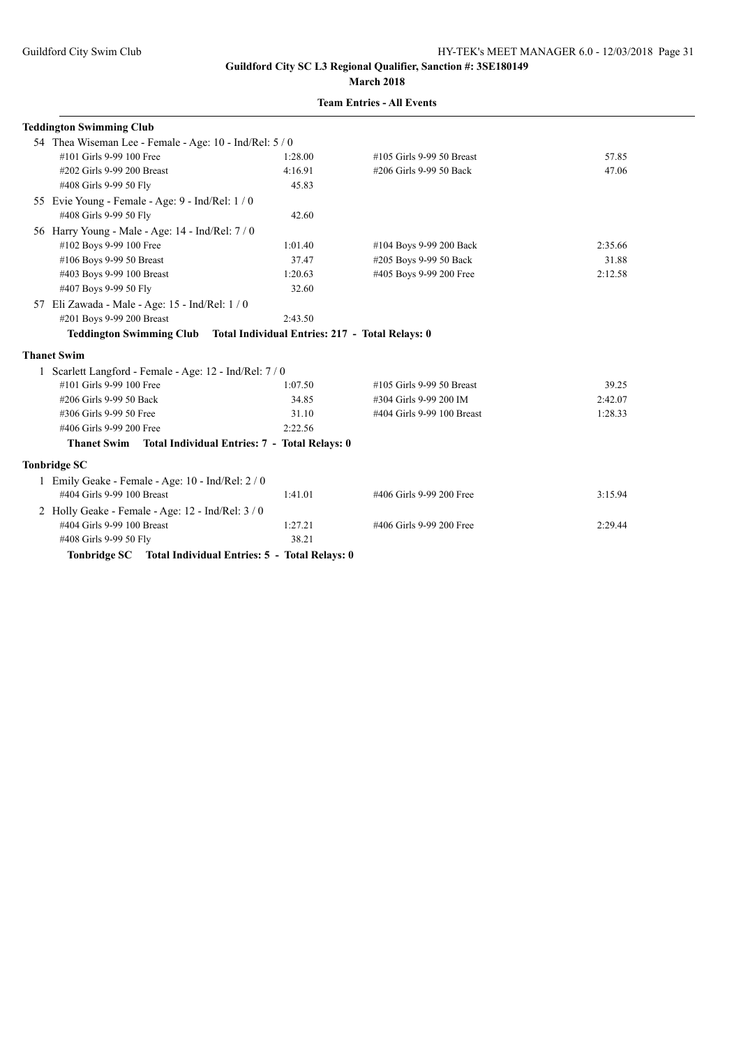| <b>Teddington Swimming Club</b>                                          |         |                            |         |
|--------------------------------------------------------------------------|---------|----------------------------|---------|
| 54 Thea Wiseman Lee - Female - Age: 10 - Ind/Rel: 5 / 0                  |         |                            |         |
| #101 Girls 9-99 100 Free                                                 | 1:28.00 | #105 Girls 9-99 50 Breast  | 57.85   |
| #202 Girls 9-99 200 Breast                                               | 4:16.91 | #206 Girls 9-99 50 Back    | 47.06   |
| #408 Girls 9-99 50 Fly                                                   | 45.83   |                            |         |
| 55 Evie Young - Female - Age: 9 - Ind/Rel: 1 / 0                         |         |                            |         |
| #408 Girls 9-99 50 Fly                                                   | 42.60   |                            |         |
| 56 Harry Young - Male - Age: 14 - Ind/Rel: 7/0                           |         |                            |         |
| #102 Boys 9-99 100 Free                                                  | 1:01.40 | #104 Boys 9-99 200 Back    | 2:35.66 |
| #106 Boys 9-99 50 Breast                                                 | 37.47   | #205 Boys 9-99 50 Back     | 31.88   |
| #403 Boys 9-99 100 Breast                                                | 1:20.63 | #405 Boys 9-99 200 Free    | 2:12.58 |
| #407 Boys 9-99 50 Fly                                                    | 32.60   |                            |         |
| 57 Eli Zawada - Male - Age: 15 - Ind/Rel: 1/0                            |         |                            |         |
| #201 Boys 9-99 200 Breast                                                | 2:43.50 |                            |         |
| Teddington Swimming Club Total Individual Entries: 217 - Total Relays: 0 |         |                            |         |
| <b>Thanet Swim</b>                                                       |         |                            |         |
| 1 Scarlett Langford - Female - Age: 12 - Ind/Rel: 7 / 0                  |         |                            |         |
| #101 Girls 9-99 100 Free                                                 | 1:07.50 | #105 Girls 9-99 50 Breast  | 39.25   |
| #206 Girls 9-99 50 Back                                                  | 34.85   | #304 Girls 9-99 200 IM     | 2:42.07 |
| #306 Girls 9-99 50 Free                                                  | 31.10   | #404 Girls 9-99 100 Breast | 1:28.33 |
| #406 Girls 9-99 200 Free                                                 | 2:22.56 |                            |         |
| Thanet Swim Total Individual Entries: 7 - Total Relays: 0                |         |                            |         |
| <b>Tonbridge SC</b>                                                      |         |                            |         |
| 1 Emily Geake - Female - Age: 10 - Ind/Rel: 2 / 0                        |         |                            |         |
| #404 Girls 9-99 100 Breast                                               | 1:41.01 | #406 Girls 9-99 200 Free   | 3:15.94 |
| 2 Holly Geake - Female - Age: 12 - Ind/Rel: 3 / 0                        |         |                            |         |
| #404 Girls 9-99 100 Breast                                               | 1:27.21 | #406 Girls 9-99 200 Free   | 2:29.44 |
| #408 Girls 9-99 50 Fly                                                   | 38.21   |                            |         |
| Tonbridge SC Total Individual Entries: 5 - Total Relays: 0               |         |                            |         |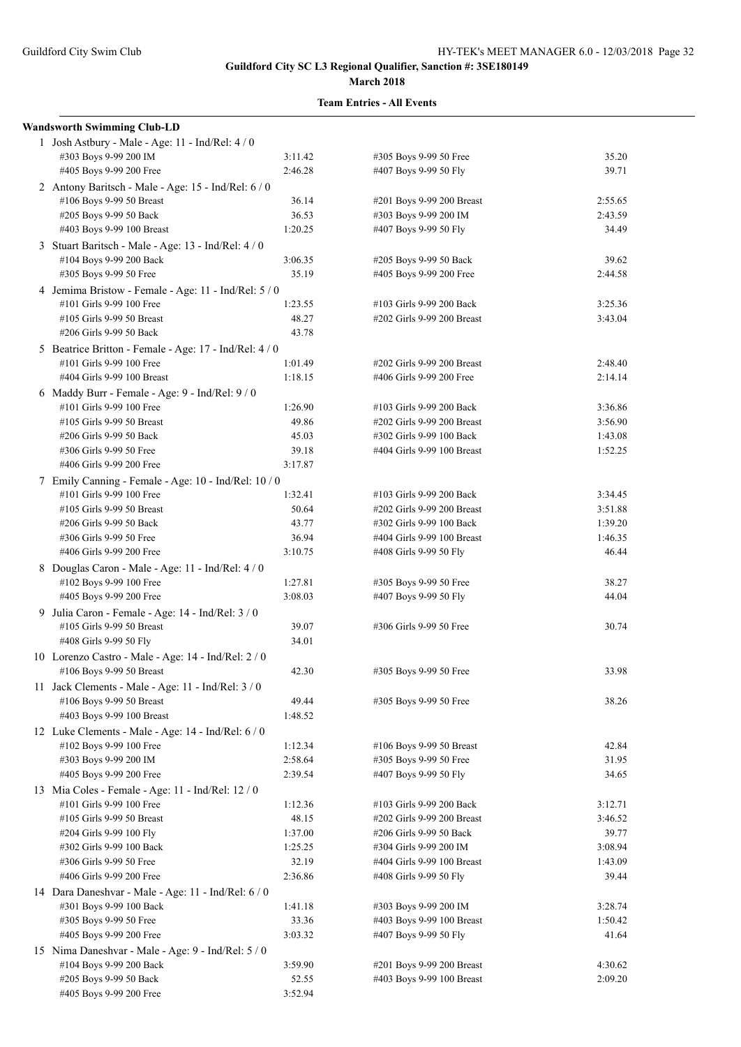| <b>Wandsworth Swimming Club-LD</b>                     |         |                            |         |
|--------------------------------------------------------|---------|----------------------------|---------|
| 1 Josh Astbury - Male - Age: 11 - Ind/Rel: 4 / 0       |         |                            |         |
| #303 Boys 9-99 200 IM                                  | 3:11.42 | #305 Boys 9-99 50 Free     | 35.20   |
| #405 Boys 9-99 200 Free                                | 2:46.28 | #407 Boys 9-99 50 Fly      | 39.71   |
| 2 Antony Baritsch - Male - Age: 15 - Ind/Rel: 6 / 0    |         |                            |         |
| #106 Boys 9-99 50 Breast                               | 36.14   | #201 Boys 9-99 200 Breast  | 2:55.65 |
| #205 Boys 9-99 50 Back                                 | 36.53   | #303 Boys 9-99 200 IM      | 2:43.59 |
| #403 Boys 9-99 100 Breast                              | 1:20.25 | #407 Boys 9-99 50 Fly      | 34.49   |
| 3 Stuart Baritsch - Male - Age: 13 - Ind/Rel: 4 / 0    |         |                            |         |
| #104 Boys 9-99 200 Back                                | 3:06.35 | #205 Boys 9-99 50 Back     | 39.62   |
| #305 Boys 9-99 50 Free                                 | 35.19   | #405 Boys 9-99 200 Free    | 2:44.58 |
|                                                        |         |                            |         |
| 4 Jemima Bristow - Female - Age: 11 - Ind/Rel: 5 / 0   |         |                            |         |
| #101 Girls 9-99 100 Free                               | 1:23.55 | #103 Girls 9-99 200 Back   | 3:25.36 |
| #105 Girls 9-99 50 Breast                              | 48.27   | #202 Girls 9-99 200 Breast | 3:43.04 |
| #206 Girls 9-99 50 Back                                | 43.78   |                            |         |
| 5 Beatrice Britton - Female - Age: 17 - Ind/Rel: 4 / 0 |         |                            |         |
| #101 Girls 9-99 100 Free                               | 1:01.49 | #202 Girls 9-99 200 Breast | 2:48.40 |
| #404 Girls 9-99 100 Breast                             | 1:18.15 | #406 Girls 9-99 200 Free   | 2:14.14 |
| 6 Maddy Burr - Female - Age: $9$ - Ind/Rel: $9/0$      |         |                            |         |
| #101 Girls 9-99 100 Free                               | 1:26.90 | #103 Girls 9-99 200 Back   | 3:36.86 |
| #105 Girls 9-99 50 Breast                              | 49.86   | #202 Girls 9-99 200 Breast | 3:56.90 |
| #206 Girls 9-99 50 Back                                | 45.03   | #302 Girls 9-99 100 Back   | 1:43.08 |
| #306 Girls 9-99 50 Free                                | 39.18   | #404 Girls 9-99 100 Breast | 1:52.25 |
| #406 Girls 9-99 200 Free                               | 3:17.87 |                            |         |
| 7 Emily Canning - Female - Age: 10 - Ind/Rel: 10 / 0   |         |                            |         |
| #101 Girls 9-99 100 Free                               | 1:32.41 | #103 Girls 9-99 200 Back   | 3:34.45 |
| #105 Girls 9-99 50 Breast                              | 50.64   | #202 Girls 9-99 200 Breast | 3:51.88 |
| #206 Girls 9-99 50 Back                                | 43.77   | #302 Girls 9-99 100 Back   | 1:39.20 |
| #306 Girls 9-99 50 Free                                | 36.94   | #404 Girls 9-99 100 Breast | 1:46.35 |
| #406 Girls 9-99 200 Free                               | 3:10.75 | #408 Girls 9-99 50 Fly     | 46.44   |
| 8 Douglas Caron - Male - Age: 11 - Ind/Rel: 4 / 0      |         |                            |         |
| #102 Boys 9-99 100 Free                                | 1:27.81 | #305 Boys 9-99 50 Free     | 38.27   |
| #405 Boys 9-99 200 Free                                | 3:08.03 | #407 Boys 9-99 50 Fly      | 44.04   |
| 9 Julia Caron - Female - Age: 14 - Ind/Rel: 3 / 0      |         |                            |         |
| #105 Girls 9-99 50 Breast                              | 39.07   | #306 Girls 9-99 50 Free    | 30.74   |
| #408 Girls 9-99 50 Fly                                 | 34.01   |                            |         |
| 10 Lorenzo Castro - Male - Age: 14 - Ind/Rel: 2 / 0    |         |                            |         |
| #106 Boys 9-99 50 Breast                               | 42.30   | #305 Boys 9-99 50 Free     | 33.98   |
|                                                        |         |                            |         |
| 11 Jack Clements - Male - Age: 11 - Ind/Rel: 3 / 0     |         |                            |         |
| #106 Boys 9-99 50 Breast                               | 49.44   | #305 Boys 9-99 50 Free     | 38.26   |
| #403 Boys 9-99 100 Breast                              | 1:48.52 |                            |         |
| 12 Luke Clements - Male - Age: 14 - Ind/Rel: 6 / 0     |         |                            |         |
| #102 Boys 9-99 100 Free                                | 1:12.34 | #106 Boys 9-99 50 Breast   | 42.84   |
| #303 Boys 9-99 200 IM                                  | 2:58.64 | #305 Boys 9-99 50 Free     | 31.95   |
| #405 Boys 9-99 200 Free                                | 2:39.54 | #407 Boys 9-99 50 Fly      | 34.65   |
| 13 Mia Coles - Female - Age: 11 - Ind/Rel: 12 / 0      |         |                            |         |
| #101 Girls 9-99 100 Free                               | 1:12.36 | #103 Girls 9-99 200 Back   | 3:12.71 |
| #105 Girls 9-99 50 Breast                              | 48.15   | #202 Girls 9-99 200 Breast | 3:46.52 |
| #204 Girls 9-99 100 Fly                                | 1:37.00 | #206 Girls 9-99 50 Back    | 39.77   |
| #302 Girls 9-99 100 Back                               | 1:25.25 | #304 Girls 9-99 200 IM     | 3:08.94 |
| #306 Girls 9-99 50 Free                                | 32.19   | #404 Girls 9-99 100 Breast | 1:43.09 |
| #406 Girls 9-99 200 Free                               | 2:36.86 | #408 Girls 9-99 50 Fly     | 39.44   |
| 14 Dara Daneshvar - Male - Age: 11 - Ind/Rel: 6 / 0    |         |                            |         |
| #301 Boys 9-99 100 Back                                | 1:41.18 | #303 Boys 9-99 200 IM      | 3:28.74 |
| #305 Boys 9-99 50 Free                                 | 33.36   | #403 Boys 9-99 100 Breast  | 1:50.42 |
| #405 Boys 9-99 200 Free                                | 3:03.32 | #407 Boys 9-99 50 Fly      | 41.64   |
| 15 Nima Daneshvar - Male - Age: 9 - Ind/Rel: 5 / 0     |         |                            |         |
| #104 Boys 9-99 200 Back                                | 3:59.90 | #201 Boys 9-99 200 Breast  | 4:30.62 |
| #205 Boys 9-99 50 Back                                 | 52.55   | #403 Boys 9-99 100 Breast  | 2:09.20 |
| #405 Boys 9-99 200 Free                                | 3:52.94 |                            |         |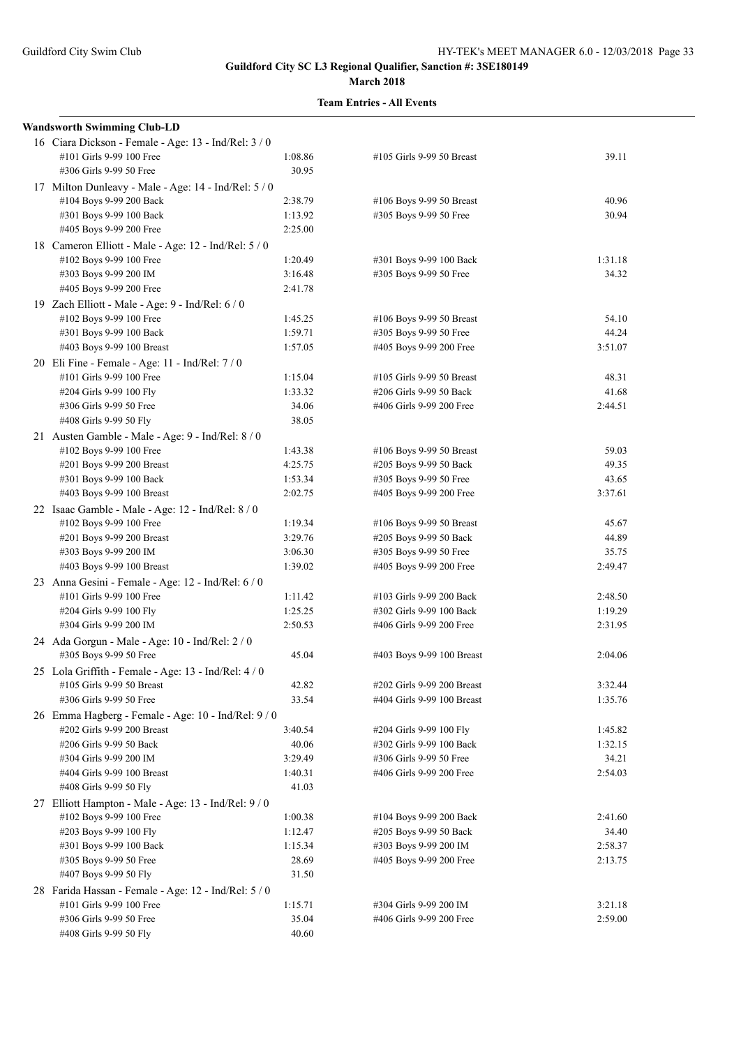| <b>Wandsworth Swimming Club-LD</b>                   |         |                            |         |
|------------------------------------------------------|---------|----------------------------|---------|
| 16 Ciara Dickson - Female - Age: 13 - Ind/Rel: 3 / 0 |         |                            |         |
| #101 Girls 9-99 100 Free                             | 1:08.86 | #105 Girls 9-99 50 Breast  | 39.11   |
| #306 Girls 9-99 50 Free                              | 30.95   |                            |         |
| 17 Milton Dunleavy - Male - Age: 14 - Ind/Rel: 5 / 0 |         |                            |         |
| #104 Boys 9-99 200 Back                              | 2:38.79 | #106 Boys 9-99 50 Breast   | 40.96   |
| #301 Boys 9-99 100 Back                              | 1:13.92 | #305 Boys 9-99 50 Free     | 30.94   |
| #405 Boys 9-99 200 Free                              | 2:25.00 |                            |         |
| 18 Cameron Elliott - Male - Age: 12 - Ind/Rel: 5 / 0 |         |                            |         |
| #102 Boys 9-99 100 Free                              | 1:20.49 | #301 Boys 9-99 100 Back    | 1:31.18 |
| #303 Boys 9-99 200 IM                                | 3:16.48 | #305 Boys 9-99 50 Free     | 34.32   |
| #405 Boys 9-99 200 Free                              | 2:41.78 |                            |         |
| 19 Zach Elliott - Male - Age: 9 - Ind/Rel: 6 / 0     |         |                            |         |
| #102 Boys 9-99 100 Free                              | 1:45.25 | #106 Boys 9-99 50 Breast   | 54.10   |
| #301 Boys 9-99 100 Back                              | 1:59.71 | #305 Boys 9-99 50 Free     | 44.24   |
| #403 Boys 9-99 100 Breast                            | 1:57.05 | #405 Boys 9-99 200 Free    | 3:51.07 |
| 20 Eli Fine - Female - Age: 11 - Ind/Rel: 7 / 0      |         |                            |         |
| #101 Girls 9-99 100 Free                             | 1:15.04 | #105 Girls 9-99 50 Breast  | 48.31   |
| #204 Girls 9-99 100 Fly                              | 1:33.32 | #206 Girls 9-99 50 Back    | 41.68   |
| #306 Girls 9-99 50 Free                              | 34.06   | #406 Girls 9-99 200 Free   | 2:44.51 |
| #408 Girls 9-99 50 Fly                               | 38.05   |                            |         |
| 21 Austen Gamble - Male - Age: 9 - Ind/Rel: 8 / 0    |         |                            |         |
| #102 Boys 9-99 100 Free                              | 1:43.38 | #106 Boys 9-99 50 Breast   | 59.03   |
| #201 Boys 9-99 200 Breast                            | 4:25.75 | #205 Boys 9-99 50 Back     | 49.35   |
| #301 Boys 9-99 100 Back                              | 1:53.34 | #305 Boys 9-99 50 Free     | 43.65   |
| #403 Boys 9-99 100 Breast                            | 2:02.75 | #405 Boys 9-99 200 Free    | 3:37.61 |
| 22 Isaac Gamble - Male - Age: 12 - Ind/Rel: 8 / 0    |         |                            |         |
| #102 Boys 9-99 100 Free                              | 1:19.34 | #106 Boys 9-99 50 Breast   | 45.67   |
| #201 Boys 9-99 200 Breast                            | 3:29.76 | #205 Boys 9-99 50 Back     | 44.89   |
| #303 Boys 9-99 200 IM                                | 3:06.30 | #305 Boys 9-99 50 Free     | 35.75   |
| #403 Boys 9-99 100 Breast                            | 1:39.02 | #405 Boys 9-99 200 Free    | 2:49.47 |
| 23 Anna Gesini - Female - Age: 12 - Ind/Rel: 6 / 0   |         |                            |         |
| #101 Girls 9-99 100 Free                             | 1:11.42 | #103 Girls 9-99 200 Back   | 2:48.50 |
| #204 Girls 9-99 100 Fly                              | 1:25.25 | #302 Girls 9-99 100 Back   | 1:19.29 |
| #304 Girls 9-99 200 IM                               | 2:50.53 | #406 Girls 9-99 200 Free   | 2:31.95 |
| 24 Ada Gorgun - Male - Age: 10 - Ind/Rel: 2 / 0      |         |                            |         |
| #305 Boys 9-99 50 Free                               | 45.04   | #403 Boys 9-99 100 Breast  | 2:04.06 |
| 25 Lola Griffith - Female - Age: 13 - Ind/Rel: 4 / 0 |         |                            |         |
| #105 Girls 9-99 50 Breast                            | 42.82   | #202 Girls 9-99 200 Breast | 3:32.44 |
| #306 Girls 9-99 50 Free                              | 33.54   | #404 Girls 9-99 100 Breast | 1:35.76 |
| 26 Emma Hagberg - Female - Age: 10 - Ind/Rel: 9/0    |         |                            |         |
| #202 Girls 9-99 200 Breast                           | 3:40.54 | #204 Girls 9-99 100 Fly    | 1:45.82 |
| #206 Girls 9-99 50 Back                              | 40.06   | #302 Girls 9-99 100 Back   | 1:32.15 |
| #304 Girls 9-99 200 IM                               | 3:29.49 | #306 Girls 9-99 50 Free    | 34.21   |
| #404 Girls 9-99 100 Breast                           | 1:40.31 | #406 Girls 9-99 200 Free   | 2:54.03 |
| #408 Girls 9-99 50 Fly                               | 41.03   |                            |         |
| 27 Elliott Hampton - Male - Age: 13 - Ind/Rel: 9/0   |         |                            |         |
| #102 Boys 9-99 100 Free                              | 1:00.38 | #104 Boys 9-99 200 Back    | 2:41.60 |
| #203 Boys 9-99 100 Fly                               | 1:12.47 | #205 Boys 9-99 50 Back     | 34.40   |
| #301 Boys 9-99 100 Back                              | 1:15.34 | #303 Boys 9-99 200 IM      | 2:58.37 |
| #305 Boys 9-99 50 Free                               | 28.69   | #405 Boys 9-99 200 Free    | 2:13.75 |
| #407 Boys 9-99 50 Fly                                | 31.50   |                            |         |
| 28 Farida Hassan - Female - Age: 12 - Ind/Rel: 5 / 0 |         |                            |         |
| #101 Girls 9-99 100 Free                             | 1:15.71 | #304 Girls 9-99 200 IM     | 3:21.18 |
| #306 Girls 9-99 50 Free                              | 35.04   | #406 Girls 9-99 200 Free   | 2:59.00 |
| #408 Girls 9-99 50 Fly                               | 40.60   |                            |         |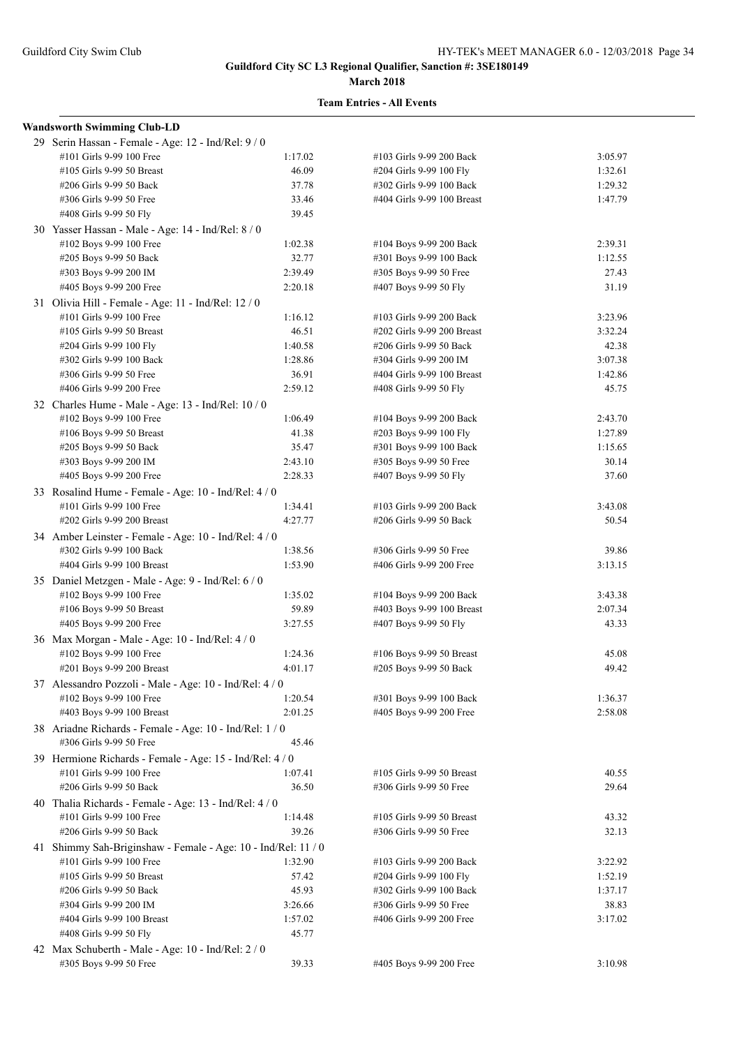#### **March 2018**

| <b>Wandsworth Swimming Club-LD</b>                            |         |                            |         |
|---------------------------------------------------------------|---------|----------------------------|---------|
| 29 Serin Hassan - Female - Age: 12 - Ind/Rel: 9 / 0           |         |                            |         |
| #101 Girls 9-99 100 Free                                      | 1:17.02 | #103 Girls 9-99 200 Back   | 3:05.97 |
| #105 Girls 9-99 50 Breast                                     | 46.09   | #204 Girls 9-99 100 Fly    | 1:32.61 |
| #206 Girls 9-99 50 Back                                       | 37.78   | #302 Girls 9-99 100 Back   | 1:29.32 |
| #306 Girls 9-99 50 Free                                       | 33.46   | #404 Girls 9-99 100 Breast | 1:47.79 |
| #408 Girls 9-99 50 Fly                                        | 39.45   |                            |         |
| 30 Yasser Hassan - Male - Age: 14 - Ind/Rel: 8 / 0            |         |                            |         |
| #102 Boys 9-99 100 Free                                       | 1:02.38 | #104 Boys 9-99 200 Back    | 2:39.31 |
| #205 Boys 9-99 50 Back                                        | 32.77   | #301 Boys 9-99 100 Back    | 1:12.55 |
| #303 Boys 9-99 200 IM                                         | 2:39.49 | #305 Boys 9-99 50 Free     | 27.43   |
| #405 Boys 9-99 200 Free                                       | 2:20.18 | #407 Boys 9-99 50 Fly      | 31.19   |
| 31 Olivia Hill - Female - Age: 11 - Ind/Rel: 12 / 0           |         |                            |         |
| #101 Girls 9-99 100 Free                                      | 1:16.12 | #103 Girls 9-99 200 Back   | 3:23.96 |
| #105 Girls 9-99 50 Breast                                     | 46.51   | #202 Girls 9-99 200 Breast | 3:32.24 |
| #204 Girls 9-99 100 Fly                                       | 1:40.58 | #206 Girls 9-99 50 Back    | 42.38   |
| #302 Girls 9-99 100 Back                                      | 1:28.86 | #304 Girls 9-99 200 IM     | 3:07.38 |
| #306 Girls 9-99 50 Free                                       | 36.91   | #404 Girls 9-99 100 Breast | 1:42.86 |
| #406 Girls 9-99 200 Free                                      | 2:59.12 | #408 Girls 9-99 50 Fly     | 45.75   |
| 32 Charles Hume - Male - Age: 13 - Ind/Rel: 10 / 0            |         |                            |         |
| #102 Boys 9-99 100 Free                                       | 1:06.49 | #104 Boys 9-99 200 Back    | 2:43.70 |
| #106 Boys 9-99 50 Breast                                      | 41.38   | #203 Boys 9-99 100 Fly     | 1:27.89 |
| #205 Boys 9-99 50 Back                                        | 35.47   | #301 Boys 9-99 100 Back    | 1:15.65 |
| #303 Boys 9-99 200 IM                                         | 2:43.10 | #305 Boys 9-99 50 Free     | 30.14   |
| #405 Boys 9-99 200 Free                                       | 2:28.33 | #407 Boys 9-99 50 Fly      | 37.60   |
| 33 Rosalind Hume - Female - Age: 10 - Ind/Rel: 4 / 0          |         |                            |         |
| #101 Girls 9-99 100 Free                                      | 1:34.41 | #103 Girls 9-99 200 Back   | 3:43.08 |
| #202 Girls 9-99 200 Breast                                    | 4:27.77 | #206 Girls 9-99 50 Back    | 50.54   |
|                                                               |         |                            |         |
| 34 Amber Leinster - Female - Age: 10 - Ind/Rel: 4 / 0         | 1:38.56 |                            |         |
| #302 Girls 9-99 100 Back<br>#404 Girls 9-99 100 Breast        | 1:53.90 | #306 Girls 9-99 50 Free    | 39.86   |
|                                                               |         | #406 Girls 9-99 200 Free   | 3:13.15 |
| 35 Daniel Metzgen - Male - Age: 9 - Ind/Rel: 6 / 0            |         |                            |         |
| #102 Boys 9-99 100 Free                                       | 1:35.02 | #104 Boys 9-99 200 Back    | 3:43.38 |
| #106 Boys 9-99 50 Breast                                      | 59.89   | #403 Boys 9-99 100 Breast  | 2:07.34 |
| #405 Boys 9-99 200 Free                                       | 3:27.55 | #407 Boys 9-99 50 Fly      | 43.33   |
| 36 Max Morgan - Male - Age: 10 - Ind/Rel: 4 / 0               |         |                            |         |
| #102 Boys 9-99 100 Free                                       | 1:24.36 | #106 Boys 9-99 50 Breast   | 45.08   |
| #201 Boys 9-99 200 Breast                                     | 4:01.17 | #205 Boys 9-99 50 Back     | 49.42   |
| 37 Alessandro Pozzoli - Male - Age: 10 - Ind/Rel: 4 / 0       |         |                            |         |
| #102 Boys 9-99 100 Free                                       | 1:20.54 | #301 Boys 9-99 100 Back    | 1:36.37 |
| #403 Boys 9-99 100 Breast                                     | 2:01.25 | #405 Boys 9-99 200 Free    | 2:58.08 |
| 38 Ariadne Richards - Female - Age: 10 - Ind/Rel: 1/0         |         |                            |         |
| #306 Girls 9-99 50 Free                                       | 45.46   |                            |         |
| 39 Hermione Richards - Female - Age: 15 - Ind/Rel: 4 / 0      |         |                            |         |
| #101 Girls 9-99 100 Free                                      | 1:07.41 | #105 Girls 9-99 50 Breast  | 40.55   |
| #206 Girls 9-99 50 Back                                       | 36.50   | #306 Girls 9-99 50 Free    | 29.64   |
| 40 Thalia Richards - Female - Age: 13 - Ind/Rel: 4 / 0        |         |                            |         |
| #101 Girls 9-99 100 Free                                      | 1:14.48 | #105 Girls 9-99 50 Breast  | 43.32   |
| #206 Girls 9-99 50 Back                                       | 39.26   | #306 Girls 9-99 50 Free    | 32.13   |
| 41 Shimmy Sah-Briginshaw - Female - Age: 10 - Ind/Rel: 11 / 0 |         |                            |         |
| #101 Girls 9-99 100 Free                                      | 1:32.90 | #103 Girls 9-99 200 Back   | 3:22.92 |
| #105 Girls 9-99 50 Breast                                     | 57.42   | #204 Girls 9-99 100 Fly    | 1:52.19 |
| #206 Girls 9-99 50 Back                                       | 45.93   | #302 Girls 9-99 100 Back   | 1:37.17 |
| #304 Girls 9-99 200 IM                                        | 3:26.66 | #306 Girls 9-99 50 Free    | 38.83   |
| #404 Girls 9-99 100 Breast                                    | 1:57.02 | #406 Girls 9-99 200 Free   | 3:17.02 |
| #408 Girls 9-99 50 Fly                                        | 45.77   |                            |         |
| 42 Max Schuberth - Male - Age: 10 - Ind/Rel: 2 / 0            |         |                            |         |
| #305 Boys 9-99 50 Free                                        | 39.33   | #405 Boys 9-99 200 Free    | 3:10.98 |